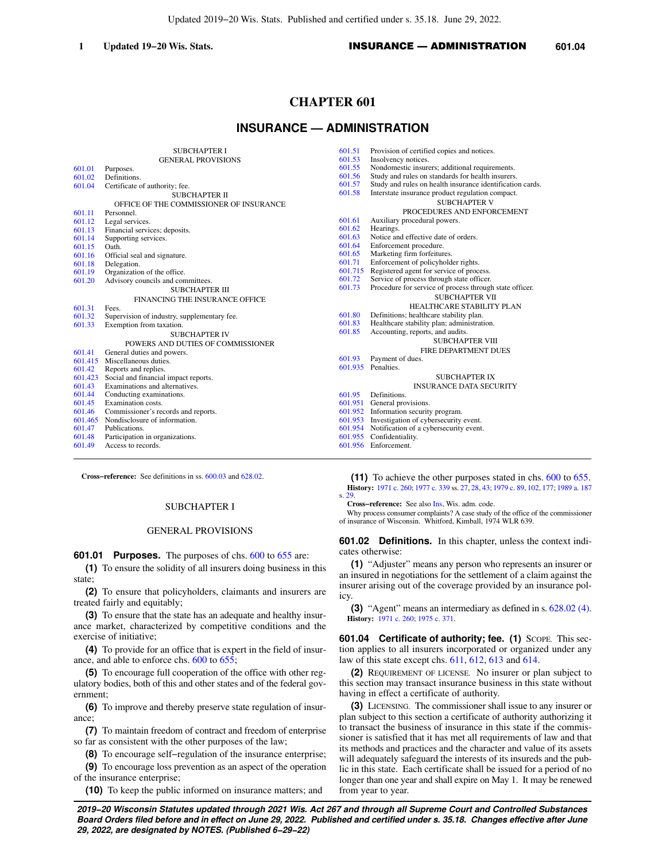Updated 2019−20 Wis. Stats. Published and certified under s. 35.18. June 29, 2022.

# **CHAPTER 601**

# **INSURANCE — ADMINISTRATION**

|         | <b>SUBCHAPTER I</b>                         | 601.51  | Provision of certified copies and notices.                |
|---------|---------------------------------------------|---------|-----------------------------------------------------------|
|         | <b>GENERAL PROVISIONS</b>                   | 601.53  | Insolvency notices.                                       |
| 601.01  | Purposes.                                   | 601.55  | Nondomestic insurers; additional requirements.            |
| 601.02  | Definitions.                                | 601.56  | Study and rules on standards for health insurers.         |
| 601.04  | Certificate of authority; fee.              | 601.57  | Study and rules on health insurance identification cards. |
|         | SUBCHAPTER II                               | 601.58  | Interstate insurance product regulation compact.          |
|         | OFFICE OF THE COMMISSIONER OF INSURANCE     |         | <b>SUBCHAPTER V</b>                                       |
| 601.11  | Personnel.                                  |         | PROCEDURES AND ENFORCEMENT                                |
| 601.12  | Legal services.                             | 601.61  | Auxiliary procedural powers.                              |
| 601.13  | Financial services; deposits.               | 601.62  | Hearings.                                                 |
| 601.14  | Supporting services.                        | 601.63  | Notice and effective date of orders.                      |
| 601.15  | Oath.                                       | 601.64  | Enforcement procedure.                                    |
| 601.16  | Official seal and signature.                | 601.65  | Marketing firm forfeitures.                               |
| 601.18  | Delegation.                                 | 601.71  | Enforcement of policyholder rights.                       |
| 601.19  | Organization of the office.                 | 601.715 | Registered agent for service of process.                  |
| 601.20  | Advisory councils and committees.           | 601.72  | Service of process through state officer.                 |
|         | SUBCHAPTER III                              | 601.73  | Procedure for service of process through state officer.   |
|         | FINANCING THE INSURANCE OFFICE              |         | <b>SUBCHAPTER VII</b>                                     |
| 601.31  | Fees.                                       |         | <b>HEALTHCARE STABILITY PLAN</b>                          |
| 601.32  | Supervision of industry, supplementary fee. | 601.80  | Definitions; healthcare stability plan.                   |
| 601.33  | Exemption from taxation.                    | 601.83  | Healthcare stability plan; administration.                |
|         | <b>SUBCHAPTER IV</b>                        | 601.85  | Accounting, reports, and audits.                          |
|         | POWERS AND DUTIES OF COMMISSIONER           |         | <b>SUBCHAPTER VIII</b>                                    |
| 601.41  | General duties and powers.                  |         | FIRE DEPARTMENT DUES                                      |
|         | 601.415 Miscellaneous duties.               | 601.93  | Payment of dues.                                          |
| 601.42  | Reports and replies.                        | 601.935 | Penalties.                                                |
| 601.423 | Social and financial impact reports.        |         | SUBCHAPTER IX                                             |
| 601.43  | Examinations and alternatives.              |         | <b>INSURANCE DATA SECURITY</b>                            |
| 601.44  | Conducting examinations.                    | 601.95  | Definitions.                                              |
| 601.45  | Examination costs.                          |         | 601.951 General provisions.                               |
| 601.46  | Commissioner's records and reports.         |         | 601.952 Information security program.                     |
| 601.465 | Nondisclosure of information.               |         | 601.953 Investigation of cybersecurity event.             |
| 601.47  | Publications.                               |         | 601.954 Notification of a cybersecurity event.            |
| 601.48  | Participation in organizations.             |         | 601.955 Confidentiality.                                  |
| 601.49  | Access to records.                          |         | 601.956 Enforcement.                                      |
|         |                                             |         |                                                           |

**Cross−reference:** See definitions in ss. [600.03](https://docs.legis.wisconsin.gov/document/statutes/600.03) and [628.02](https://docs.legis.wisconsin.gov/document/statutes/628.02).

## SUBCHAPTER I

## GENERAL PROVISIONS

**601.01 Purposes.** The purposes of chs. [600](https://docs.legis.wisconsin.gov/document/statutes/ch.%20600) to [655](https://docs.legis.wisconsin.gov/document/statutes/ch.%20655) are:

**(1)** To ensure the solidity of all insurers doing business in this state;

**(2)** To ensure that policyholders, claimants and insurers are treated fairly and equitably;

**(3)** To ensure that the state has an adequate and healthy insurance market, characterized by competitive conditions and the exercise of initiative;

**(4)** To provide for an office that is expert in the field of insur-ance, and able to enforce chs. [600](https://docs.legis.wisconsin.gov/document/statutes/ch.%20600) to [655;](https://docs.legis.wisconsin.gov/document/statutes/ch.%20655)

**(5)** To encourage full cooperation of the office with other regulatory bodies, both of this and other states and of the federal government;

**(6)** To improve and thereby preserve state regulation of insurance;

**(7)** To maintain freedom of contract and freedom of enterprise so far as consistent with the other purposes of the law;

**(8)** To encourage self−regulation of the insurance enterprise;

**(9)** To encourage loss prevention as an aspect of the operation of the insurance enterprise;

**(10)** To keep the public informed on insurance matters; and

**(11)** To achieve the other purposes stated in chs. [600](https://docs.legis.wisconsin.gov/document/statutes/ch.%20600) to [655](https://docs.legis.wisconsin.gov/document/statutes/ch.%20655). **History:** [1971 c. 260;](https://docs.legis.wisconsin.gov/document/acts/1971/260) [1977 c. 339](https://docs.legis.wisconsin.gov/document/acts/1977/339) ss. [27](https://docs.legis.wisconsin.gov/document/acts/1977/339,%20s.%2027), [28](https://docs.legis.wisconsin.gov/document/acts/1977/339,%20s.%2028), [43](https://docs.legis.wisconsin.gov/document/acts/1977/339,%20s.%2043); [1979 c. 89](https://docs.legis.wisconsin.gov/document/acts/1979/89), [102,](https://docs.legis.wisconsin.gov/document/acts/1979/102) [177](https://docs.legis.wisconsin.gov/document/acts/1979/177); [1989 a. 187](https://docs.legis.wisconsin.gov/document/acts/1989/187) s. [29](https://docs.legis.wisconsin.gov/document/acts/1989/187,%20s.%2029).

**Cross−reference:** See also [Ins,](https://docs.legis.wisconsin.gov/document/administrativecode/Ins) Wis. adm. code.

Why process consumer complaints? A case study of the office of the commissioner of insurance of Wisconsin. Whitford, Kimball, 1974 WLR 639.

**601.02 Definitions.** In this chapter, unless the context indicates otherwise:

**(1)** "Adjuster" means any person who represents an insurer or an insured in negotiations for the settlement of a claim against the insurer arising out of the coverage provided by an insurance policy.

**(3)** "Agent" means an intermediary as defined in s. [628.02 \(4\).](https://docs.legis.wisconsin.gov/document/statutes/628.02(4)) **History:** [1971 c. 260;](https://docs.legis.wisconsin.gov/document/acts/1971/260) [1975 c. 371](https://docs.legis.wisconsin.gov/document/acts/1975/371).

**601.04 Certificate of authority; fee. (1)** SCOPE. This section applies to all insurers incorporated or organized under any law of this state except chs. [611](https://docs.legis.wisconsin.gov/document/statutes/ch.%20611), [612](https://docs.legis.wisconsin.gov/document/statutes/ch.%20612), [613](https://docs.legis.wisconsin.gov/document/statutes/ch.%20613) and [614.](https://docs.legis.wisconsin.gov/document/statutes/ch.%20614)

**(2)** REQUIREMENT OF LICENSE. No insurer or plan subject to this section may transact insurance business in this state without having in effect a certificate of authority.

**(3)** LICENSING. The commissioner shall issue to any insurer or plan subject to this section a certificate of authority authorizing it to transact the business of insurance in this state if the commissioner is satisfied that it has met all requirements of law and that its methods and practices and the character and value of its assets will adequately safeguard the interests of its insureds and the public in this state. Each certificate shall be issued for a period of no longer than one year and shall expire on May 1. It may be renewed from year to year.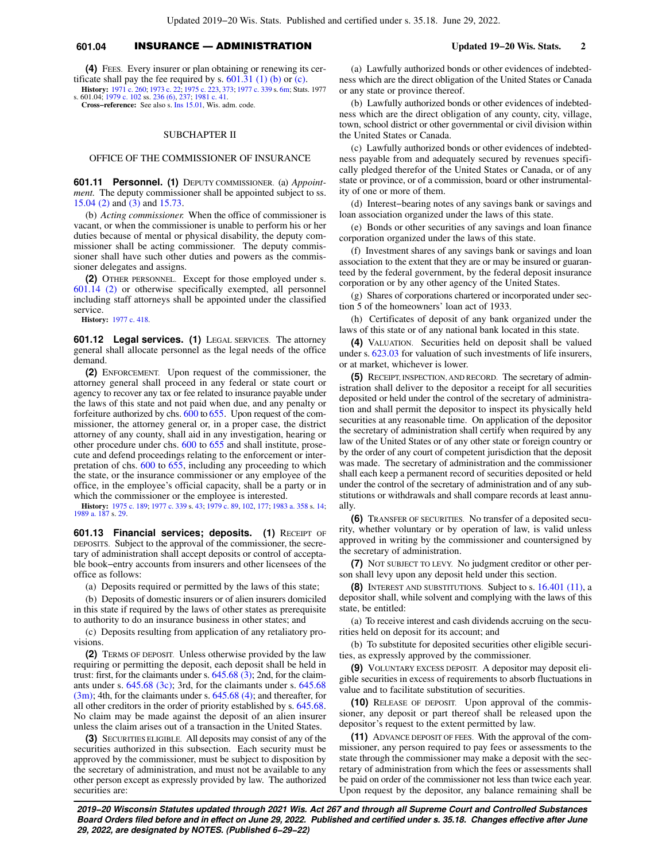# **601.04** INSURANCE — ADMINISTRATION **Updated 19−20 Wis. Stats. 2**

**(4)** FEES. Every insurer or plan obtaining or renewing its certificate shall pay the fee required by s.  $601.31$  (1) (b) or [\(c\).](https://docs.legis.wisconsin.gov/document/statutes/601.31(1)(c)) **History:** [1971 c. 260](https://docs.legis.wisconsin.gov/document/acts/1971/260); [1973 c. 22](https://docs.legis.wisconsin.gov/document/acts/1973/22); [1975 c. 223](https://docs.legis.wisconsin.gov/document/acts/1975/223), [373;](https://docs.legis.wisconsin.gov/document/acts/1975/373) [1977 c. 339](https://docs.legis.wisconsin.gov/document/acts/1977/339) s. [6m](https://docs.legis.wisconsin.gov/document/acts/1977/339,%20s.%206m); Stats. 1977

s. 601.04; [1979 c. 102](https://docs.legis.wisconsin.gov/document/acts/1979/102) ss. [236 \(6\)](https://docs.legis.wisconsin.gov/document/acts/1979/102,%20s.%20236), [237](https://docs.legis.wisconsin.gov/document/acts/1979/102,%20s.%20237); [1981 c. 41](https://docs.legis.wisconsin.gov/document/acts/1981/41). **Cross−reference:** See also s. [Ins 15.01](https://docs.legis.wisconsin.gov/document/administrativecode/Ins%2015.01), Wis. adm. code.

### SUBCHAPTER II

### OFFICE OF THE COMMISSIONER OF INSURANCE

**601.11 Personnel. (1)** DEPUTY COMMISSIONER. (a) *Appointment*. The deputy commissioner shall be appointed subject to ss. [15.04 \(2\)](https://docs.legis.wisconsin.gov/document/statutes/15.04(2)) and [\(3\)](https://docs.legis.wisconsin.gov/document/statutes/15.04(3)) and [15.73](https://docs.legis.wisconsin.gov/document/statutes/15.73).

(b) *Acting commissioner.* When the office of commissioner is vacant, or when the commissioner is unable to perform his or her duties because of mental or physical disability, the deputy commissioner shall be acting commissioner. The deputy commissioner shall have such other duties and powers as the commissioner delegates and assigns.

**(2)** OTHER PERSONNEL. Except for those employed under s. [601.14 \(2\)](https://docs.legis.wisconsin.gov/document/statutes/601.14(2)) or otherwise specifically exempted, all personnel including staff attorneys shall be appointed under the classified service.

**History:** [1977 c. 418](https://docs.legis.wisconsin.gov/document/acts/1977/418).

**601.12 Legal services. (1)** LEGAL SERVICES. The attorney general shall allocate personnel as the legal needs of the office demand.

**(2)** ENFORCEMENT. Upon request of the commissioner, the attorney general shall proceed in any federal or state court or agency to recover any tax or fee related to insurance payable under the laws of this state and not paid when due, and any penalty or forfeiture authorized by chs. [600](https://docs.legis.wisconsin.gov/document/statutes/ch.%20600) to [655.](https://docs.legis.wisconsin.gov/document/statutes/ch.%20655) Upon request of the commissioner, the attorney general or, in a proper case, the district attorney of any county, shall aid in any investigation, hearing or other procedure under chs. [600](https://docs.legis.wisconsin.gov/document/statutes/ch.%20600) to [655](https://docs.legis.wisconsin.gov/document/statutes/ch.%20655) and shall institute, prosecute and defend proceedings relating to the enforcement or inter-pretation of chs. [600](https://docs.legis.wisconsin.gov/document/statutes/ch.%20600) to [655](https://docs.legis.wisconsin.gov/document/statutes/ch.%20655), including any proceeding to which the state, or the insurance commissioner or any employee of the office, in the employee's official capacity, shall be a party or in which the commissioner or the employee is interested.

**History:** [1975 c. 189;](https://docs.legis.wisconsin.gov/document/acts/1975/189) [1977 c. 339](https://docs.legis.wisconsin.gov/document/acts/1977/339) s. [43;](https://docs.legis.wisconsin.gov/document/acts/1977/339,%20s.%2043) [1979 c. 89](https://docs.legis.wisconsin.gov/document/acts/1979/89), [102](https://docs.legis.wisconsin.gov/document/acts/1979/102), [177](https://docs.legis.wisconsin.gov/document/acts/1979/177); [1983 a. 358](https://docs.legis.wisconsin.gov/document/acts/1983/358) s. [14](https://docs.legis.wisconsin.gov/document/acts/1983/358,%20s.%2014); [1989 a. 187](https://docs.legis.wisconsin.gov/document/acts/1989/187) s. [29.](https://docs.legis.wisconsin.gov/document/acts/1989/187,%20s.%2029)

**601.13 Financial services; deposits. (1)** RECEIPT OF DEPOSITS. Subject to the approval of the commissioner, the secretary of administration shall accept deposits or control of acceptable book−entry accounts from insurers and other licensees of the office as follows:

(a) Deposits required or permitted by the laws of this state;

(b) Deposits of domestic insurers or of alien insurers domiciled in this state if required by the laws of other states as prerequisite to authority to do an insurance business in other states; and

(c) Deposits resulting from application of any retaliatory provisions.

**(2)** TERMS OF DEPOSIT. Unless otherwise provided by the law requiring or permitting the deposit, each deposit shall be held in trust: first, for the claimants under s.  $645.68$   $(3)$ ; 2nd, for the claimants under s. [645.68 \(3c\)](https://docs.legis.wisconsin.gov/document/statutes/645.68(3c)); 3rd, for the claimants under s. [645.68](https://docs.legis.wisconsin.gov/document/statutes/645.68(3m))  $(3m)$ ; 4th, for the claimants under s.  $645.68$  (4); and thereafter, for all other creditors in the order of priority established by s. [645.68.](https://docs.legis.wisconsin.gov/document/statutes/645.68) No claim may be made against the deposit of an alien insurer unless the claim arises out of a transaction in the United States.

**(3)** SECURITIES ELIGIBLE. All deposits may consist of any of the securities authorized in this subsection. Each security must be approved by the commissioner, must be subject to disposition by the secretary of administration, and must not be available to any other person except as expressly provided by law. The authorized securities are:

(a) Lawfully authorized bonds or other evidences of indebtedness which are the direct obligation of the United States or Canada or any state or province thereof.

(b) Lawfully authorized bonds or other evidences of indebtedness which are the direct obligation of any county, city, village, town, school district or other governmental or civil division within the United States or Canada.

(c) Lawfully authorized bonds or other evidences of indebtedness payable from and adequately secured by revenues specifically pledged therefor of the United States or Canada, or of any state or province, or of a commission, board or other instrumentality of one or more of them.

(d) Interest−bearing notes of any savings bank or savings and loan association organized under the laws of this state.

(e) Bonds or other securities of any savings and loan finance corporation organized under the laws of this state.

(f) Investment shares of any savings bank or savings and loan association to the extent that they are or may be insured or guaranteed by the federal government, by the federal deposit insurance corporation or by any other agency of the United States.

(g) Shares of corporations chartered or incorporated under section 5 of the homeowners' loan act of 1933.

(h) Certificates of deposit of any bank organized under the laws of this state or of any national bank located in this state.

**(4)** VALUATION. Securities held on deposit shall be valued under s. [623.03](https://docs.legis.wisconsin.gov/document/statutes/623.03) for valuation of such investments of life insurers, or at market, whichever is lower.

**(5)** RECEIPT, INSPECTION, AND RECORD. The secretary of administration shall deliver to the depositor a receipt for all securities deposited or held under the control of the secretary of administration and shall permit the depositor to inspect its physically held securities at any reasonable time. On application of the depositor the secretary of administration shall certify when required by any law of the United States or of any other state or foreign country or by the order of any court of competent jurisdiction that the deposit was made. The secretary of administration and the commissioner shall each keep a permanent record of securities deposited or held under the control of the secretary of administration and of any substitutions or withdrawals and shall compare records at least annually.

**(6)** TRANSFER OF SECURITIES. No transfer of a deposited security, whether voluntary or by operation of law, is valid unless approved in writing by the commissioner and countersigned by the secretary of administration.

**(7)** NOT SUBJECT TO LEVY. No judgment creditor or other person shall levy upon any deposit held under this section.

**(8)** INTEREST AND SUBSTITUTIONS. Subject to s. [16.401 \(11\),](https://docs.legis.wisconsin.gov/document/statutes/16.401(11)) a depositor shall, while solvent and complying with the laws of this state, be entitled:

(a) To receive interest and cash dividends accruing on the securities held on deposit for its account; and

(b) To substitute for deposited securities other eligible securities, as expressly approved by the commissioner.

**(9)** VOLUNTARY EXCESS DEPOSIT. A depositor may deposit eligible securities in excess of requirements to absorb fluctuations in value and to facilitate substitution of securities.

**(10)** RELEASE OF DEPOSIT. Upon approval of the commissioner, any deposit or part thereof shall be released upon the depositor's request to the extent permitted by law.

**(11)** ADVANCE DEPOSIT OF FEES. With the approval of the commissioner, any person required to pay fees or assessments to the state through the commissioner may make a deposit with the secretary of administration from which the fees or assessments shall be paid on order of the commissioner not less than twice each year. Upon request by the depositor, any balance remaining shall be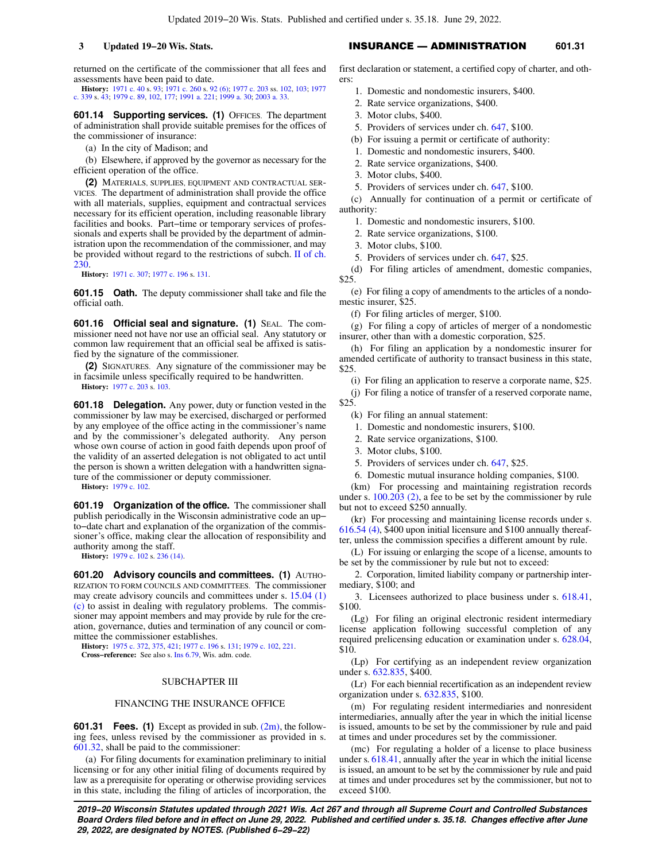returned on the certificate of the commissioner that all fees and assessments have been paid to date.

**History:** [1971 c. 40](https://docs.legis.wisconsin.gov/document/acts/1971/40) s. [93](https://docs.legis.wisconsin.gov/document/acts/1971/40,%20s.%2093); [1971 c. 260](https://docs.legis.wisconsin.gov/document/acts/1971/260) s. [92 \(6\)](https://docs.legis.wisconsin.gov/document/acts/1971/260,%20s.%2092); [1977 c. 203](https://docs.legis.wisconsin.gov/document/acts/1977/203) ss. [102](https://docs.legis.wisconsin.gov/document/acts/1977/203,%20s.%20102), [103](https://docs.legis.wisconsin.gov/document/acts/1977/203,%20s.%20103); [1977](https://docs.legis.wisconsin.gov/document/acts/1977/339) [c. 339](https://docs.legis.wisconsin.gov/document/acts/1977/339) s. [43;](https://docs.legis.wisconsin.gov/document/acts/1977/339,%20s.%2043) [1979 c. 89](https://docs.legis.wisconsin.gov/document/acts/1979/89), [102](https://docs.legis.wisconsin.gov/document/acts/1979/102), [177](https://docs.legis.wisconsin.gov/document/acts/1979/177); [1991 a. 221;](https://docs.legis.wisconsin.gov/document/acts/1991/221) [1999 a. 30](https://docs.legis.wisconsin.gov/document/acts/1999/30); [2003 a. 33](https://docs.legis.wisconsin.gov/document/acts/2003/33).

**601.14 Supporting services. (1)** OFFICES. The department of administration shall provide suitable premises for the offices of the commissioner of insurance:

(a) In the city of Madison; and

(b) Elsewhere, if approved by the governor as necessary for the efficient operation of the office.

**(2)** MATERIALS, SUPPLIES, EQUIPMENT AND CONTRACTUAL SER-VICES. The department of administration shall provide the office with all materials, supplies, equipment and contractual services necessary for its efficient operation, including reasonable library facilities and books. Part−time or temporary services of professionals and experts shall be provided by the department of administration upon the recommendation of the commissioner, and may be provided without regard to the restrictions of subch. [II of ch.](https://docs.legis.wisconsin.gov/document/statutes/subch.%20II%20of%20ch.%20230) [230](https://docs.legis.wisconsin.gov/document/statutes/subch.%20II%20of%20ch.%20230).

**History:** [1971 c. 307](https://docs.legis.wisconsin.gov/document/acts/1971/307); [1977 c. 196](https://docs.legis.wisconsin.gov/document/acts/1977/196) s. [131.](https://docs.legis.wisconsin.gov/document/acts/1977/196,%20s.%20131)

**601.15 Oath.** The deputy commissioner shall take and file the official oath.

**601.16 Official seal and signature. (1)** SEAL. The commissioner need not have nor use an official seal. Any statutory or common law requirement that an official seal be affixed is satisfied by the signature of the commissioner.

**(2)** SIGNATURES. Any signature of the commissioner may be in facsimile unless specifically required to be handwritten.

**History:** [1977 c. 203](https://docs.legis.wisconsin.gov/document/acts/1977/203) s. [103.](https://docs.legis.wisconsin.gov/document/acts/1977/203,%20s.%20103)

**601.18 Delegation.** Any power, duty or function vested in the commissioner by law may be exercised, discharged or performed by any employee of the office acting in the commissioner's name and by the commissioner's delegated authority. Any person whose own course of action in good faith depends upon proof of the validity of an asserted delegation is not obligated to act until the person is shown a written delegation with a handwritten signature of the commissioner or deputy commissioner.

**History:** [1979 c. 102](https://docs.legis.wisconsin.gov/document/acts/1979/102).

**601.19 Organization of the office.** The commissioner shall publish periodically in the Wisconsin administrative code an up− to−date chart and explanation of the organization of the commissioner's office, making clear the allocation of responsibility and authority among the staff.

**History:** [1979 c. 102](https://docs.legis.wisconsin.gov/document/acts/1979/102) s. [236 \(14\)](https://docs.legis.wisconsin.gov/document/acts/1979/102,%20s.%20236).

**601.20 Advisory councils and committees. (1)** AUTHO-RIZATION TO FORM COUNCILS AND COMMITTEES. The commissioner may create advisory councils and committees under s. [15.04 \(1\)](https://docs.legis.wisconsin.gov/document/statutes/15.04(1)(c)) [\(c\)](https://docs.legis.wisconsin.gov/document/statutes/15.04(1)(c)) to assist in dealing with regulatory problems. The commissioner may appoint members and may provide by rule for the creation, governance, duties and termination of any council or committee the commissioner establishes.

**History:** [1975 c. 372](https://docs.legis.wisconsin.gov/document/acts/1975/372), [375](https://docs.legis.wisconsin.gov/document/acts/1975/375), [421](https://docs.legis.wisconsin.gov/document/acts/1975/421); [1977 c. 196](https://docs.legis.wisconsin.gov/document/acts/1977/196) s. [131;](https://docs.legis.wisconsin.gov/document/acts/1977/196,%20s.%20131) [1979 c. 102](https://docs.legis.wisconsin.gov/document/acts/1979/102), [221](https://docs.legis.wisconsin.gov/document/acts/1979/221).

**Cross−reference:** See also s. [Ins 6.79,](https://docs.legis.wisconsin.gov/document/administrativecode/Ins%206.79) Wis. adm. code.

## SUBCHAPTER III

## FINANCING THE INSURANCE OFFICE

**601.31 Fees. (1)** Except as provided in sub. [\(2m\)](https://docs.legis.wisconsin.gov/document/statutes/601.31(2m)), the following fees, unless revised by the commissioner as provided in s. [601.32,](https://docs.legis.wisconsin.gov/document/statutes/601.32) shall be paid to the commissioner:

(a) For filing documents for examination preliminary to initial licensing or for any other initial filing of documents required by law as a prerequisite for operating or otherwise providing services in this state, including the filing of articles of incorporation, the

# **3 Updated 19−20 Wis. Stats.** INSURANCE — ADMINISTRATION **601.31**

first declaration or statement, a certified copy of charter, and others:

- 1. Domestic and nondomestic insurers, \$400.
- 2. Rate service organizations, \$400.
- 3. Motor clubs, \$400.
- 5. Providers of services under ch. [647](https://docs.legis.wisconsin.gov/document/statutes/ch.%20647), \$100.
- (b) For issuing a permit or certificate of authority:
- 1. Domestic and nondomestic insurers, \$400.
- 2. Rate service organizations, \$400.
- 3. Motor clubs, \$400.
- 5. Providers of services under ch. [647](https://docs.legis.wisconsin.gov/document/statutes/ch.%20647), \$100.

(c) Annually for continuation of a permit or certificate of authority:

- 1. Domestic and nondomestic insurers, \$100.
- 2. Rate service organizations, \$100.
- 3. Motor clubs, \$100.
- 5. Providers of services under ch. [647](https://docs.legis.wisconsin.gov/document/statutes/ch.%20647), \$25.

(d) For filing articles of amendment, domestic companies, \$25.

(e) For filing a copy of amendments to the articles of a nondomestic insurer, \$25.

(f) For filing articles of merger, \$100.

(g) For filing a copy of articles of merger of a nondomestic insurer, other than with a domestic corporation, \$25.

(h) For filing an application by a nondomestic insurer for amended certificate of authority to transact business in this state, \$25.

(i) For filing an application to reserve a corporate name, \$25.

(j) For filing a notice of transfer of a reserved corporate name, \$25.

- (k) For filing an annual statement:
- 1. Domestic and nondomestic insurers, \$100.
- 2. Rate service organizations, \$100.
- 3. Motor clubs, \$100.
- 5. Providers of services under ch. [647](https://docs.legis.wisconsin.gov/document/statutes/ch.%20647), \$25.
- 6. Domestic mutual insurance holding companies, \$100.

(km) For processing and maintaining registration records under s. [100.203 \(2\)](https://docs.legis.wisconsin.gov/document/statutes/100.203(2)), a fee to be set by the commissioner by rule but not to exceed \$250 annually.

(kr) For processing and maintaining license records under s. [616.54 \(4\)](https://docs.legis.wisconsin.gov/document/statutes/616.54(4)), \$400 upon initial licensure and \$100 annually thereafter, unless the commission specifies a different amount by rule.

(L) For issuing or enlarging the scope of a license, amounts to be set by the commissioner by rule but not to exceed:

2. Corporation, limited liability company or partnership intermediary, \$100; and

3. Licensees authorized to place business under s. [618.41,](https://docs.legis.wisconsin.gov/document/statutes/618.41) \$100.

(Lg) For filing an original electronic resident intermediary license application following successful completion of any required prelicensing education or examination under s. [628.04,](https://docs.legis.wisconsin.gov/document/statutes/628.04) \$10.

(Lp) For certifying as an independent review organization under s. [632.835](https://docs.legis.wisconsin.gov/document/statutes/632.835), \$400.

(Lr) For each biennial recertification as an independent review organization under s. [632.835,](https://docs.legis.wisconsin.gov/document/statutes/632.835) \$100.

(m) For regulating resident intermediaries and nonresident intermediaries, annually after the year in which the initial license is issued, amounts to be set by the commissioner by rule and paid at times and under procedures set by the commissioner.

(mc) For regulating a holder of a license to place business under s. [618.41,](https://docs.legis.wisconsin.gov/document/statutes/618.41) annually after the year in which the initial license is issued, an amount to be set by the commissioner by rule and paid at times and under procedures set by the commissioner, but not to exceed \$100.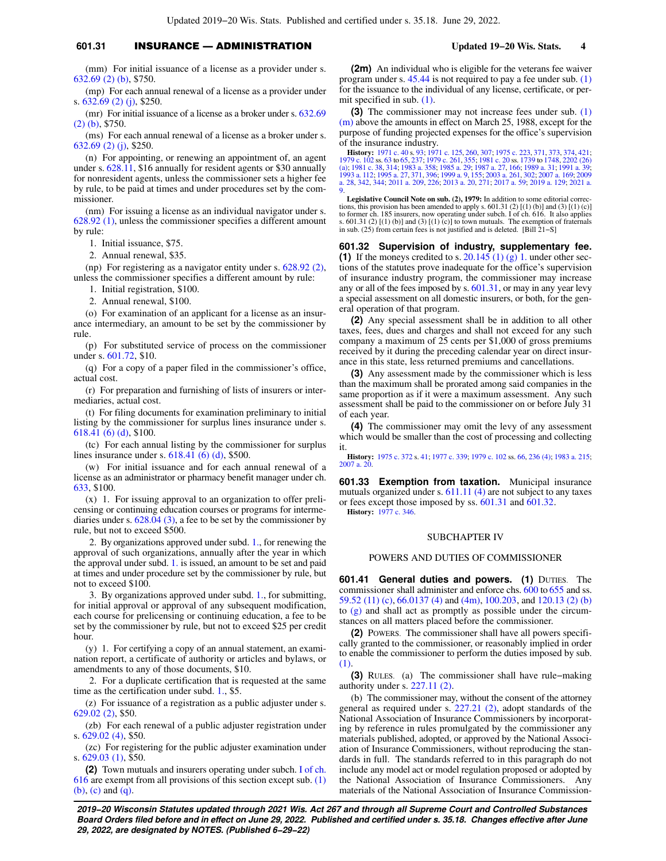# **601.31** INSURANCE — ADMINISTRATION **Updated 19−20 Wis. Stats. 4**

(mm) For initial issuance of a license as a provider under s. [632.69 \(2\) \(b\)](https://docs.legis.wisconsin.gov/document/statutes/632.69(2)(b)), \$750.

(mp) For each annual renewal of a license as a provider under s. [632.69 \(2\) \(j\)](https://docs.legis.wisconsin.gov/document/statutes/632.69(2)(j)), \$250.

(mr) For initial issuance of a license as a broker under s. [632.69](https://docs.legis.wisconsin.gov/document/statutes/632.69(2)(b)) [\(2\) \(b\)](https://docs.legis.wisconsin.gov/document/statutes/632.69(2)(b)), \$750.

(ms) For each annual renewal of a license as a broker under s. [632.69 \(2\) \(j\)](https://docs.legis.wisconsin.gov/document/statutes/632.69(2)(j)), \$250.

(n) For appointing, or renewing an appointment of, an agent under s. [628.11,](https://docs.legis.wisconsin.gov/document/statutes/628.11) \$16 annually for resident agents or \$30 annually for nonresident agents, unless the commissioner sets a higher fee by rule, to be paid at times and under procedures set by the commissioner.

(nm) For issuing a license as an individual navigator under s. [628.92 \(1\)](https://docs.legis.wisconsin.gov/document/statutes/628.92(1)), unless the commissioner specifies a different amount by rule:

1. Initial issuance, \$75.

2. Annual renewal, \$35.

(np) For registering as a navigator entity under s. [628.92 \(2\),](https://docs.legis.wisconsin.gov/document/statutes/628.92(2)) unless the commissioner specifies a different amount by rule:

1. Initial registration, \$100.

2. Annual renewal, \$100.

(o) For examination of an applicant for a license as an insurance intermediary, an amount to be set by the commissioner by rule.

(p) For substituted service of process on the commissioner under s. [601.72,](https://docs.legis.wisconsin.gov/document/statutes/601.72) \$10.

(q) For a copy of a paper filed in the commissioner's office, actual cost.

(r) For preparation and furnishing of lists of insurers or intermediaries, actual cost.

(t) For filing documents for examination preliminary to initial listing by the commissioner for surplus lines insurance under s. [618.41 \(6\) \(d\)](https://docs.legis.wisconsin.gov/document/statutes/618.41(6)(d)), \$100.

(tc) For each annual listing by the commissioner for surplus lines insurance under s. [618.41 \(6\) \(d\),](https://docs.legis.wisconsin.gov/document/statutes/618.41(6)(d)) \$500.

(w) For initial issuance and for each annual renewal of a license as an administrator or pharmacy benefit manager under ch. [633](https://docs.legis.wisconsin.gov/document/statutes/ch.%20633), \$100.

(x) 1. For issuing approval to an organization to offer prelicensing or continuing education courses or programs for intermediaries under s. [628.04 \(3\)](https://docs.legis.wisconsin.gov/document/statutes/628.04(3)), a fee to be set by the commissioner by rule, but not to exceed \$500.

2. By organizations approved under subd. [1.](https://docs.legis.wisconsin.gov/document/statutes/601.31(1)(x)1.), for renewing the approval of such organizations, annually after the year in which the approval under subd. [1.](https://docs.legis.wisconsin.gov/document/statutes/601.31(1)(x)1.) is issued, an amount to be set and paid at times and under procedure set by the commissioner by rule, but not to exceed \$100.

3. By organizations approved under subd. [1.](https://docs.legis.wisconsin.gov/document/statutes/601.31(1)(x)1.), for submitting, for initial approval or approval of any subsequent modification, each course for prelicensing or continuing education, a fee to be set by the commissioner by rule, but not to exceed \$25 per credit hour.

(y) 1. For certifying a copy of an annual statement, an examination report, a certificate of authority or articles and bylaws, or amendments to any of those documents, \$10.

2. For a duplicate certification that is requested at the same time as the certification under subd. [1.](https://docs.legis.wisconsin.gov/document/statutes/601.31(1)(y)1.), \$5.

(z) For issuance of a registration as a public adjuster under s. [629.02 \(2\),](https://docs.legis.wisconsin.gov/document/statutes/629.02(2)) \$50.

(zb) For each renewal of a public adjuster registration under s. [629.02 \(4\),](https://docs.legis.wisconsin.gov/document/statutes/629.02(4)) \$50.

(zc) For registering for the public adjuster examination under s. [629.03 \(1\),](https://docs.legis.wisconsin.gov/document/statutes/629.03(1)) \$50.

**(2)** Town mutuals and insurers operating under subch. [I of ch.](https://docs.legis.wisconsin.gov/document/statutes/subch.%20I%20of%20ch.%20616) [616](https://docs.legis.wisconsin.gov/document/statutes/subch.%20I%20of%20ch.%20616) are exempt from all provisions of this section except sub. [\(1\)](https://docs.legis.wisconsin.gov/document/statutes/601.31(1)(b)) [\(b\)](https://docs.legis.wisconsin.gov/document/statutes/601.31(1)(b)), [\(c\)](https://docs.legis.wisconsin.gov/document/statutes/601.31(1)(c)) and [\(q\)](https://docs.legis.wisconsin.gov/document/statutes/601.31(1)(q)).

**(2m)** An individual who is eligible for the veterans fee waiver program under s.  $45.44$  is not required to pay a fee under sub.  $(1)$ for the issuance to the individual of any license, certificate, or permit specified in sub. [\(1\)](https://docs.legis.wisconsin.gov/document/statutes/601.31(1)).

**(3)** The commissioner may not increase fees under sub. [\(1\)](https://docs.legis.wisconsin.gov/document/statutes/601.31(1)(m)) [\(m\)](https://docs.legis.wisconsin.gov/document/statutes/601.31(1)(m)) above the amounts in effect on March 25, 1988, except for the purpose of funding projected expenses for the office's supervision of the insurance industry.

**History:** [1971 c. 40](https://docs.legis.wisconsin.gov/document/acts/1971/40) s. [93;](https://docs.legis.wisconsin.gov/document/acts/1971/40,%20s.%2093) [1971 c. 125](https://docs.legis.wisconsin.gov/document/acts/1971/125), [260,](https://docs.legis.wisconsin.gov/document/acts/1971/260) [307](https://docs.legis.wisconsin.gov/document/acts/1971/307); [1975 c. 223,](https://docs.legis.wisconsin.gov/document/acts/1975/223) [371](https://docs.legis.wisconsin.gov/document/acts/1975/371), [373](https://docs.legis.wisconsin.gov/document/acts/1975/373), [374,](https://docs.legis.wisconsin.gov/document/acts/1975/374) [421](https://docs.legis.wisconsin.gov/document/acts/1975/421);<br>[1979 c. 102](https://docs.legis.wisconsin.gov/document/acts/1979/102) ss. [63](https://docs.legis.wisconsin.gov/document/acts/1979/102,%20s.%2063) to [65](https://docs.legis.wisconsin.gov/document/acts/1979/102,%20s.%2065), [237;](https://docs.legis.wisconsin.gov/document/acts/1979/102,%20s.%20237) [1979 c. 261,](https://docs.legis.wisconsin.gov/document/acts/1979/261) [355](https://docs.legis.wisconsin.gov/document/acts/1979/355); [1981 c. 20](https://docs.legis.wisconsin.gov/document/acts/1981/20) ss. [1739](https://docs.legis.wisconsin.gov/document/acts/1981/20,%20s.%201739) to [1748](https://docs.legis.wisconsin.gov/document/acts/1981/20,%20s.%201748), [2202 \(26\)](https://docs.legis.wisconsin.gov/document/acts/1981/20,%20s.%202202)<br>[\(a\);](https://docs.legis.wisconsin.gov/document/acts/1981/20,%20s.%202202) [1981 c. 38,](https://docs.legis.wisconsin.gov/document/acts/1981/38) [314](https://docs.legis.wisconsin.gov/document/acts/1981/314); [1983 a. 358;](https://docs.legis.wisconsin.gov/document/acts/1983/358) [1985 a. 29;](https://docs.legis.wisconsin.gov/document/acts/1985/29) 19 [a. 28,](https://docs.legis.wisconsin.gov/document/acts/2009/28) [342,](https://docs.legis.wisconsin.gov/document/acts/2009/342) [344;](https://docs.legis.wisconsin.gov/document/acts/2009/344) [2011 a. 209,](https://docs.legis.wisconsin.gov/document/acts/2011/209) [226;](https://docs.legis.wisconsin.gov/document/acts/2011/226) [2013 a. 20,](https://docs.legis.wisconsin.gov/document/acts/2013/20) [271;](https://docs.legis.wisconsin.gov/document/acts/2013/271) [2017 a. 59;](https://docs.legis.wisconsin.gov/document/acts/2017/59) [2019 a. 129](https://docs.legis.wisconsin.gov/document/acts/2019/129); [2021 a.](https://docs.legis.wisconsin.gov/document/acts/2021/9) [9](https://docs.legis.wisconsin.gov/document/acts/2021/9).

**Legislative Council Note on sub. (2), 1979:** In addition to some editorial corrections, this provision has been amended to apply s.  $601.31$  (2)  $[(1)(b)]$  and (3)  $[(1)(c)]$ to former ch. 185 insurers, now operating under subch. I of ch. 616. It also applies s. 601.31 (2) [(1) (b)] and (3) [(1) (c)] to town mutuals. The exemption of fraternals in sub. (25) from certain fees is not justified and is deleted. [Bill 21−S]

**601.32 Supervision of industry, supplementary fee. (1)** If the moneys credited to s.  $20.145$  (1) (g) 1. under other sections of the statutes prove inadequate for the office's supervision of insurance industry program, the commissioner may increase any or all of the fees imposed by s. [601.31,](https://docs.legis.wisconsin.gov/document/statutes/601.31) or may in any year levy a special assessment on all domestic insurers, or both, for the general operation of that program.

**(2)** Any special assessment shall be in addition to all other taxes, fees, dues and charges and shall not exceed for any such company a maximum of 25 cents per \$1,000 of gross premiums received by it during the preceding calendar year on direct insurance in this state, less returned premiums and cancellations.

**(3)** Any assessment made by the commissioner which is less than the maximum shall be prorated among said companies in the same proportion as if it were a maximum assessment. Any such assessment shall be paid to the commissioner on or before July 31 of each year.

**(4)** The commissioner may omit the levy of any assessment which would be smaller than the cost of processing and collecting it.

**History:** [1975 c. 372](https://docs.legis.wisconsin.gov/document/acts/1975/372) s. [41;](https://docs.legis.wisconsin.gov/document/acts/1975/372,%20s.%2041) [1977 c. 339;](https://docs.legis.wisconsin.gov/document/acts/1977/339) [1979 c. 102](https://docs.legis.wisconsin.gov/document/acts/1979/102) ss. [66,](https://docs.legis.wisconsin.gov/document/acts/1979/102,%20s.%2066) [236 \(4\)](https://docs.legis.wisconsin.gov/document/acts/1979/102,%20s.%20236); [1983 a. 215](https://docs.legis.wisconsin.gov/document/acts/1983/215); [2007 a. 20](https://docs.legis.wisconsin.gov/document/acts/2007/20).

**601.33 Exemption from taxation.** Municipal insurance mutuals organized under s.  $611.11$  (4) are not subject to any taxes or fees except those imposed by ss. [601.31](https://docs.legis.wisconsin.gov/document/statutes/601.31) and [601.32](https://docs.legis.wisconsin.gov/document/statutes/601.32). **History:** [1977 c. 346.](https://docs.legis.wisconsin.gov/document/acts/1977/346)

## SUBCHAPTER IV

## POWERS AND DUTIES OF COMMISSIONER

**601.41 General duties and powers. (1)** DUTIES. The commissioner shall administer and enforce chs. [600](https://docs.legis.wisconsin.gov/document/statutes/ch.%20600) to [655](https://docs.legis.wisconsin.gov/document/statutes/ch.%20655) and ss. [59.52 \(11\) \(c\)](https://docs.legis.wisconsin.gov/document/statutes/59.52(11)(c)), [66.0137 \(4\)](https://docs.legis.wisconsin.gov/document/statutes/66.0137(4)) and [\(4m\),](https://docs.legis.wisconsin.gov/document/statutes/66.0137(4m)) [100.203](https://docs.legis.wisconsin.gov/document/statutes/100.203), and [120.13 \(2\) \(b\)](https://docs.legis.wisconsin.gov/document/statutes/120.13(2)(b)) to [\(g\)](https://docs.legis.wisconsin.gov/document/statutes/120.13(2)(g)) and shall act as promptly as possible under the circumstances on all matters placed before the commissioner.

**(2)** POWERS. The commissioner shall have all powers specifically granted to the commissioner, or reasonably implied in order to enable the commissioner to perform the duties imposed by sub. [\(1\).](https://docs.legis.wisconsin.gov/document/statutes/601.41(1))

**(3)** RULES. (a) The commissioner shall have rule−making authority under s. [227.11 \(2\)](https://docs.legis.wisconsin.gov/document/statutes/227.11(2)).

(b) The commissioner may, without the consent of the attorney general as required under s. [227.21 \(2\),](https://docs.legis.wisconsin.gov/document/statutes/227.21(2)) adopt standards of the National Association of Insurance Commissioners by incorporating by reference in rules promulgated by the commissioner any materials published, adopted, or approved by the National Association of Insurance Commissioners, without reproducing the standards in full. The standards referred to in this paragraph do not include any model act or model regulation proposed or adopted by the National Association of Insurance Commissioners. Any materials of the National Association of Insurance Commission-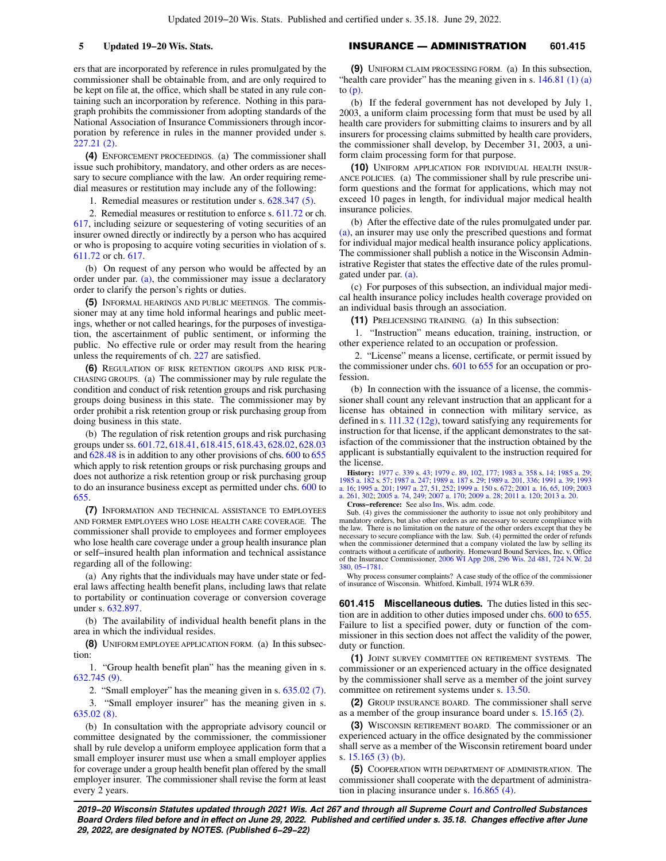ers that are incorporated by reference in rules promulgated by the commissioner shall be obtainable from, and are only required to be kept on file at, the office, which shall be stated in any rule containing such an incorporation by reference. Nothing in this paragraph prohibits the commissioner from adopting standards of the National Association of Insurance Commissioners through incorporation by reference in rules in the manner provided under s. [227.21 \(2\).](https://docs.legis.wisconsin.gov/document/statutes/227.21(2))

**(4)** ENFORCEMENT PROCEEDINGS. (a) The commissioner shall issue such prohibitory, mandatory, and other orders as are necessary to secure compliance with the law. An order requiring remedial measures or restitution may include any of the following:

1. Remedial measures or restitution under s. [628.347 \(5\)](https://docs.legis.wisconsin.gov/document/statutes/628.347(5)).

2. Remedial measures or restitution to enforce s. [611.72](https://docs.legis.wisconsin.gov/document/statutes/611.72) or ch. [617](https://docs.legis.wisconsin.gov/document/statutes/ch.%20617), including seizure or sequestering of voting securities of an insurer owned directly or indirectly by a person who has acquired or who is proposing to acquire voting securities in violation of s. [611.72](https://docs.legis.wisconsin.gov/document/statutes/611.72) or ch. [617](https://docs.legis.wisconsin.gov/document/statutes/ch.%20617).

(b) On request of any person who would be affected by an order under par.  $(a)$ , the commissioner may issue a declaratory order to clarify the person's rights or duties.

**(5)** INFORMAL HEARINGS AND PUBLIC MEETINGS. The commissioner may at any time hold informal hearings and public meetings, whether or not called hearings, for the purposes of investigation, the ascertainment of public sentiment, or informing the public. No effective rule or order may result from the hearing unless the requirements of ch. [227](https://docs.legis.wisconsin.gov/document/statutes/ch.%20227) are satisfied.

**(6)** REGULATION OF RISK RETENTION GROUPS AND RISK PUR-CHASING GROUPS. (a) The commissioner may by rule regulate the condition and conduct of risk retention groups and risk purchasing groups doing business in this state. The commissioner may by order prohibit a risk retention group or risk purchasing group from doing business in this state.

(b) The regulation of risk retention groups and risk purchasing groups under ss. [601.72,](https://docs.legis.wisconsin.gov/document/statutes/601.72) [618.41,](https://docs.legis.wisconsin.gov/document/statutes/618.41) [618.415,](https://docs.legis.wisconsin.gov/document/statutes/618.415) [618.43,](https://docs.legis.wisconsin.gov/document/statutes/618.43) [628.02](https://docs.legis.wisconsin.gov/document/statutes/628.02), [628.03](https://docs.legis.wisconsin.gov/document/statutes/628.03) and [628.48](https://docs.legis.wisconsin.gov/document/statutes/628.48) is in addition to any other provisions of chs. [600](https://docs.legis.wisconsin.gov/document/statutes/ch.%20600) to [655](https://docs.legis.wisconsin.gov/document/statutes/ch.%20655) which apply to risk retention groups or risk purchasing groups and does not authorize a risk retention group or risk purchasing group to do an insurance business except as permitted under chs. [600](https://docs.legis.wisconsin.gov/document/statutes/ch.%20600) to [655](https://docs.legis.wisconsin.gov/document/statutes/ch.%20655).

**(7)** INFORMATION AND TECHNICAL ASSISTANCE TO EMPLOYEES AND FORMER EMPLOYEES WHO LOSE HEALTH CARE COVERAGE. The commissioner shall provide to employees and former employees who lose health care coverage under a group health insurance plan or self−insured health plan information and technical assistance regarding all of the following:

(a) Any rights that the individuals may have under state or federal laws affecting health benefit plans, including laws that relate to portability or continuation coverage or conversion coverage under s. [632.897](https://docs.legis.wisconsin.gov/document/statutes/632.897).

(b) The availability of individual health benefit plans in the area in which the individual resides.

**(8)** UNIFORM EMPLOYEE APPLICATION FORM. (a) In this subsection:

1. "Group health benefit plan" has the meaning given in s. [632.745 \(9\)](https://docs.legis.wisconsin.gov/document/statutes/632.745(9)).

2. "Small employer" has the meaning given in s. [635.02 \(7\).](https://docs.legis.wisconsin.gov/document/statutes/635.02(7)) 3. "Small employer insurer" has the meaning given in s. [635.02 \(8\).](https://docs.legis.wisconsin.gov/document/statutes/635.02(8))

(b) In consultation with the appropriate advisory council or committee designated by the commissioner, the commissioner shall by rule develop a uniform employee application form that a small employer insurer must use when a small employer applies for coverage under a group health benefit plan offered by the small employer insurer. The commissioner shall revise the form at least every 2 years.

## **5 Updated 19−20 Wis. Stats.** INSURANCE — ADMINISTRATION **601.415**

**(9)** UNIFORM CLAIM PROCESSING FORM. (a) In this subsection, "health care provider" has the meaning given in s. [146.81 \(1\) \(a\)](https://docs.legis.wisconsin.gov/document/statutes/146.81(1)(a)) to  $(p)$ .

(b) If the federal government has not developed by July 1, 2003, a uniform claim processing form that must be used by all health care providers for submitting claims to insurers and by all insurers for processing claims submitted by health care providers, the commissioner shall develop, by December 31, 2003, a uniform claim processing form for that purpose.

**(10)** UNIFORM APPLICATION FOR INDIVIDUAL HEALTH INSUR-ANCE POLICIES. (a) The commissioner shall by rule prescribe uniform questions and the format for applications, which may not exceed 10 pages in length, for individual major medical health insurance policies.

(b) After the effective date of the rules promulgated under par. [\(a\)](https://docs.legis.wisconsin.gov/document/statutes/601.41(10)(a)), an insurer may use only the prescribed questions and format for individual major medical health insurance policy applications. The commissioner shall publish a notice in the Wisconsin Administrative Register that states the effective date of the rules promulgated under par. [\(a\)](https://docs.legis.wisconsin.gov/document/statutes/601.41(10)(a)).

(c) For purposes of this subsection, an individual major medical health insurance policy includes health coverage provided on an individual basis through an association.

**(11)** PRELICENSING TRAINING. (a) In this subsection:

1. "Instruction" means education, training, instruction, or other experience related to an occupation or profession.

2. "License" means a license, certificate, or permit issued by the commissioner under chs. [601](https://docs.legis.wisconsin.gov/document/statutes/ch.%20601) to [655](https://docs.legis.wisconsin.gov/document/statutes/ch.%20655) for an occupation or profession.

(b) In connection with the issuance of a license, the commissioner shall count any relevant instruction that an applicant for a license has obtained in connection with military service, as defined in s. [111.32 \(12g\),](https://docs.legis.wisconsin.gov/document/statutes/111.32(12g)) toward satisfying any requirements for instruction for that license, if the applicant demonstrates to the satisfaction of the commissioner that the instruction obtained by the applicant is substantially equivalent to the instruction required for the license.

**History:** [1977 c. 339](https://docs.legis.wisconsin.gov/document/acts/1977/339) s. [43;](https://docs.legis.wisconsin.gov/document/acts/1977/339,%20s.%2043) [1979 c. 89](https://docs.legis.wisconsin.gov/document/acts/1979/89), [102](https://docs.legis.wisconsin.gov/document/acts/1979/102), [177](https://docs.legis.wisconsin.gov/document/acts/1979/177); [1983 a. 358](https://docs.legis.wisconsin.gov/document/acts/1983/358) s. [14](https://docs.legis.wisconsin.gov/document/acts/1983/358,%20s.%2014); [1985 a. 29](https://docs.legis.wisconsin.gov/document/acts/1985/29); [1985 a. 182](https://docs.legis.wisconsin.gov/document/acts/1985/182) s. [57;](https://docs.legis.wisconsin.gov/document/acts/1985/182,%20s.%2057) [1987 a. 247;](https://docs.legis.wisconsin.gov/document/acts/1987/247) [1989 a. 187](https://docs.legis.wisconsin.gov/document/acts/1989/187) s. [29;](https://docs.legis.wisconsin.gov/document/acts/1989/187,%20s.%2029) [1989 a. 201,](https://docs.legis.wisconsin.gov/document/acts/1989/201) [336;](https://docs.legis.wisconsin.gov/document/acts/1989/336) [1991 a. 39;](https://docs.legis.wisconsin.gov/document/acts/1991/39) [1993](https://docs.legis.wisconsin.gov/document/acts/1993/16) [a. 16](https://docs.legis.wisconsin.gov/document/acts/1993/16); [1995 a. 201;](https://docs.legis.wisconsin.gov/document/acts/1995/201) [1997 a. 27](https://docs.legis.wisconsin.gov/document/acts/1997/27), [51](https://docs.legis.wisconsin.gov/document/acts/1997/51), [252](https://docs.legis.wisconsin.gov/document/acts/1997/252); [1999 a. 150](https://docs.legis.wisconsin.gov/document/acts/1999/150) s. [672;](https://docs.legis.wisconsin.gov/document/acts/1999/150,%20s.%20672) [2001 a. 16,](https://docs.legis.wisconsin.gov/document/acts/2001/16) [65](https://docs.legis.wisconsin.gov/document/acts/2001/65), [109;](https://docs.legis.wisconsin.gov/document/acts/2001/109) [2003](https://docs.legis.wisconsin.gov/document/acts/2003/261) [a. 261](https://docs.legis.wisconsin.gov/document/acts/2003/261), [302](https://docs.legis.wisconsin.gov/document/acts/2003/302); [2005 a. 74](https://docs.legis.wisconsin.gov/document/acts/2005/74), [249](https://docs.legis.wisconsin.gov/document/acts/2005/249); [2007 a. 170](https://docs.legis.wisconsin.gov/document/acts/2007/170); [2009 a. 28](https://docs.legis.wisconsin.gov/document/acts/2009/28); [2011 a. 120;](https://docs.legis.wisconsin.gov/document/acts/2011/120) [2013 a. 20.](https://docs.legis.wisconsin.gov/document/acts/2013/20)

**Cross−reference:** See also [Ins,](https://docs.legis.wisconsin.gov/document/administrativecode/Ins) Wis. adm. code. Sub. (4) gives the commissioner the authority to issue not only prohibitory and mandatory orders, but also other orders as are necessary to secure compliance with the law. There is no limitation on the nature of the other orders except that they be necessary to secure compliance with the law. Sub. (4) permitted the order of refunds

when the commissioner determined that a company violated the law by selling its contracts without a certificate of authority. Homeward Bound Services, Inc. v. Office of the Insurance Commissioner, [2006 WI App 208,](https://docs.legis.wisconsin.gov/document/courts/2006%20WI%20App%20208) 296 Wis. [380,](https://docs.legis.wisconsin.gov/document/courts/724%20N.W.%202d%20380) [05−1781.](https://docs.legis.wisconsin.gov/document/wicourtofappeals/05-1781)

Why process consumer complaints? A case study of the office of the commissioner of insurance of Wisconsin. Whitford, Kimball, 1974 WLR 639.

**601.415 Miscellaneous duties.** The duties listed in this section are in addition to other duties imposed under chs. [600](https://docs.legis.wisconsin.gov/document/statutes/ch.%20600) to [655.](https://docs.legis.wisconsin.gov/document/statutes/ch.%20655) Failure to list a specified power, duty or function of the commissioner in this section does not affect the validity of the power, duty or function.

**(1)** JOINT SURVEY COMMITTEE ON RETIREMENT SYSTEMS. The commissioner or an experienced actuary in the office designated by the commissioner shall serve as a member of the joint survey committee on retirement systems under s. [13.50](https://docs.legis.wisconsin.gov/document/statutes/13.50).

**(2)** GROUP INSURANCE BOARD. The commissioner shall serve as a member of the group insurance board under s. [15.165 \(2\)](https://docs.legis.wisconsin.gov/document/statutes/15.165(2)).

**(3)** WISCONSIN RETIREMENT BOARD. The commissioner or an experienced actuary in the office designated by the commissioner shall serve as a member of the Wisconsin retirement board under s. [15.165 \(3\) \(b\).](https://docs.legis.wisconsin.gov/document/statutes/15.165(3)(b))

**(5)** COOPERATION WITH DEPARTMENT OF ADMINISTRATION. The commissioner shall cooperate with the department of administration in placing insurance under s. [16.865 \(4\)](https://docs.legis.wisconsin.gov/document/statutes/16.865(4)).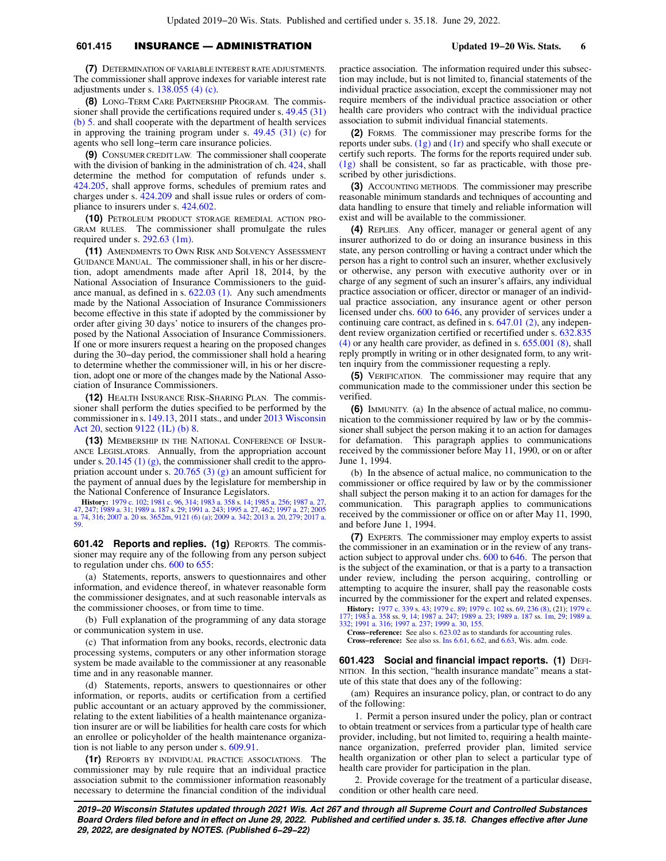## **601.415** INSURANCE — ADMINISTRATION **Updated 19−20 Wis. Stats. 6**

**(7)** DETERMINATION OF VARIABLE INTEREST RATE ADJUSTMENTS. The commissioner shall approve indexes for variable interest rate adjustments under s. [138.055 \(4\) \(c\).](https://docs.legis.wisconsin.gov/document/statutes/138.055(4)(c))

**(8)** LONG−TERM CARE PARTNERSHIP PROGRAM. The commissioner shall provide the certifications required under s. [49.45 \(31\)](https://docs.legis.wisconsin.gov/document/statutes/49.45(31)(b)5.) [\(b\) 5.](https://docs.legis.wisconsin.gov/document/statutes/49.45(31)(b)5.) and shall cooperate with the department of health services in approving the training program under s. [49.45 \(31\) \(c\)](https://docs.legis.wisconsin.gov/document/statutes/49.45(31)(c)) for agents who sell long−term care insurance policies.

**(9)** CONSUMER CREDIT LAW. The commissioner shall cooperate with the division of banking in the administration of ch.  $424$ , shall determine the method for computation of refunds under s. [424.205](https://docs.legis.wisconsin.gov/document/statutes/424.205), shall approve forms, schedules of premium rates and charges under s. [424.209](https://docs.legis.wisconsin.gov/document/statutes/424.209) and shall issue rules or orders of compliance to insurers under s. [424.602.](https://docs.legis.wisconsin.gov/document/statutes/424.602)

**(10)** PETROLEUM PRODUCT STORAGE REMEDIAL ACTION PRO-GRAM RULES. The commissioner shall promulgate the rules required under s. [292.63 \(1m\).](https://docs.legis.wisconsin.gov/document/statutes/292.63(1m))

**(11)** AMENDMENTS TO OWN RISK AND SOLVENCY ASSESSMENT GUIDANCE MANUAL. The commissioner shall, in his or her discretion, adopt amendments made after April 18, 2014, by the National Association of Insurance Commissioners to the guidance manual, as defined in s. [622.03 \(1\)](https://docs.legis.wisconsin.gov/document/statutes/622.03(1)). Any such amendments made by the National Association of Insurance Commissioners become effective in this state if adopted by the commissioner by order after giving 30 days' notice to insurers of the changes proposed by the National Association of Insurance Commissioners. If one or more insurers request a hearing on the proposed changes during the 30−day period, the commissioner shall hold a hearing to determine whether the commissioner will, in his or her discretion, adopt one or more of the changes made by the National Association of Insurance Commissioners.

**(12)** HEALTH INSURANCE RISK−SHARING PLAN. The commissioner shall perform the duties specified to be performed by the commissioner in s. [149.13,](https://docs.legis.wisconsin.gov/document/statutes/2011/149.13) 2011 stats., and under [2013 Wisconsin](https://docs.legis.wisconsin.gov/document/acts/2013/20) [Act 20](https://docs.legis.wisconsin.gov/document/acts/2013/20), section [9122 \(1L\) \(b\)](https://docs.legis.wisconsin.gov/document/acts/2013/20,%20s.%209122) [8.](https://docs.legis.wisconsin.gov/document/acts/2013/20,%20s.%208)

**(13)** MEMBERSHIP IN THE NATIONAL CONFERENCE OF INSUR-ANCE LEGISLATORS. Annually, from the appropriation account under s. [20.145 \(1\) \(g\)](https://docs.legis.wisconsin.gov/document/statutes/20.145(1)(g)), the commissioner shall credit to the appropriation account under s. [20.765 \(3\) \(g\)](https://docs.legis.wisconsin.gov/document/statutes/20.765(3)(g)) an amount sufficient for the payment of annual dues by the legislature for membership in the National Conference of Insurance Legislators.

**History:** [1979 c. 102;](https://docs.legis.wisconsin.gov/document/acts/1979/102) [1981 c. 96](https://docs.legis.wisconsin.gov/document/acts/1981/96), [314;](https://docs.legis.wisconsin.gov/document/acts/1981/314) [1983 a. 358](https://docs.legis.wisconsin.gov/document/acts/1983/358) s. [14;](https://docs.legis.wisconsin.gov/document/acts/1983/358,%20s.%2014) [1985 a. 256](https://docs.legis.wisconsin.gov/document/acts/1985/256); [1987 a. 27](https://docs.legis.wisconsin.gov/document/acts/1987/27), [247](https://docs.legis.wisconsin.gov/document/acts/1987/247); [1989 a. 31](https://docs.legis.wisconsin.gov/document/acts/1989/31); [1989 a. 187](https://docs.legis.wisconsin.gov/document/acts/1989/187) s. [29;](https://docs.legis.wisconsin.gov/document/acts/1989/187,%20s.%2029) [1991 a. 243](https://docs.legis.wisconsin.gov/document/acts/1991/243); [1995 a. 27](https://docs.legis.wisconsin.gov/document/acts/1995/27), [462;](https://docs.legis.wisconsin.gov/document/acts/1995/462) [1997 a. 27;](https://docs.legis.wisconsin.gov/document/acts/1997/27) [2005](https://docs.legis.wisconsin.gov/document/acts/2005/74)<br>[a. 74](https://docs.legis.wisconsin.gov/document/acts/2005/74), [316](https://docs.legis.wisconsin.gov/document/acts/2005/316); [2007 a. 20](https://docs.legis.wisconsin.gov/document/acts/2007/20) ss. [3652m](https://docs.legis.wisconsin.gov/document/acts/2007/20,%20s.%203652m), [9121 \(6\) \(a\);](https://docs.legis.wisconsin.gov/document/acts/2007/20,%20s.%209121) 2009 a

**601.42 Reports and replies. (1g)** REPORTS. The commissioner may require any of the following from any person subject to regulation under chs. [600](https://docs.legis.wisconsin.gov/document/statutes/ch.%20600) to [655](https://docs.legis.wisconsin.gov/document/statutes/ch.%20655):

(a) Statements, reports, answers to questionnaires and other information, and evidence thereof, in whatever reasonable form the commissioner designates, and at such reasonable intervals as the commissioner chooses, or from time to time.

(b) Full explanation of the programming of any data storage or communication system in use.

(c) That information from any books, records, electronic data processing systems, computers or any other information storage system be made available to the commissioner at any reasonable time and in any reasonable manner.

(d) Statements, reports, answers to questionnaires or other information, or reports, audits or certification from a certified public accountant or an actuary approved by the commissioner, relating to the extent liabilities of a health maintenance organization insurer are or will be liabilities for health care costs for which an enrollee or policyholder of the health maintenance organization is not liable to any person under s. [609.91.](https://docs.legis.wisconsin.gov/document/statutes/609.91)

**(1r)** REPORTS BY INDIVIDUAL PRACTICE ASSOCIATIONS. The commissioner may by rule require that an individual practice association submit to the commissioner information reasonably necessary to determine the financial condition of the individual practice association. The information required under this subsection may include, but is not limited to, financial statements of the individual practice association, except the commissioner may not require members of the individual practice association or other health care providers who contract with the individual practice association to submit individual financial statements.

**(2)** FORMS. The commissioner may prescribe forms for the reports under subs. [\(1g\)](https://docs.legis.wisconsin.gov/document/statutes/601.42(1g)) and [\(1r\)](https://docs.legis.wisconsin.gov/document/statutes/601.42(1r)) and specify who shall execute or certify such reports. The forms for the reports required under sub. [\(1g\)](https://docs.legis.wisconsin.gov/document/statutes/601.42(1g)) shall be consistent, so far as practicable, with those prescribed by other jurisdictions.

**(3)** ACCOUNTING METHODS. The commissioner may prescribe reasonable minimum standards and techniques of accounting and data handling to ensure that timely and reliable information will exist and will be available to the commissioner.

**(4)** REPLIES. Any officer, manager or general agent of any insurer authorized to do or doing an insurance business in this state, any person controlling or having a contract under which the person has a right to control such an insurer, whether exclusively or otherwise, any person with executive authority over or in charge of any segment of such an insurer's affairs, any individual practice association or officer, director or manager of an individual practice association, any insurance agent or other person licensed under chs. [600](https://docs.legis.wisconsin.gov/document/statutes/ch.%20600) to [646,](https://docs.legis.wisconsin.gov/document/statutes/ch.%20646) any provider of services under a continuing care contract, as defined in s. [647.01 \(2\),](https://docs.legis.wisconsin.gov/document/statutes/647.01(2)) any independent review organization certified or recertified under s. [632.835](https://docs.legis.wisconsin.gov/document/statutes/632.835(4)) [\(4\)](https://docs.legis.wisconsin.gov/document/statutes/632.835(4)) or any health care provider, as defined in s. [655.001 \(8\),](https://docs.legis.wisconsin.gov/document/statutes/655.001(8)) shall reply promptly in writing or in other designated form, to any written inquiry from the commissioner requesting a reply.

**(5)** VERIFICATION. The commissioner may require that any communication made to the commissioner under this section be verified.

**(6)** IMMUNITY. (a) In the absence of actual malice, no communication to the commissioner required by law or by the commissioner shall subject the person making it to an action for damages for defamation. This paragraph applies to communications received by the commissioner before May 11, 1990, or on or after June 1, 1994.

(b) In the absence of actual malice, no communication to the commissioner or office required by law or by the commissioner shall subject the person making it to an action for damages for the communication. This paragraph applies to communications received by the commissioner or office on or after May 11, 1990, and before June 1, 1994.

**(7)** EXPERTS. The commissioner may employ experts to assist the commissioner in an examination or in the review of any transaction subject to approval under chs. [600](https://docs.legis.wisconsin.gov/document/statutes/ch.%20600) to [646.](https://docs.legis.wisconsin.gov/document/statutes/ch.%20646) The person that is the subject of the examination, or that is a party to a transaction under review, including the person acquiring, controlling or attempting to acquire the insurer, shall pay the reasonable costs incurred by the commissioner for the expert and related expenses.

**History:** [1977 c. 339](https://docs.legis.wisconsin.gov/document/acts/1977/339) s. [43;](https://docs.legis.wisconsin.gov/document/acts/1977/339,%20s.%2043) [1979 c. 89;](https://docs.legis.wisconsin.gov/document/acts/1979/89) [1979 c. 102](https://docs.legis.wisconsin.gov/document/acts/1979/102) ss. [69](https://docs.legis.wisconsin.gov/document/acts/1979/102,%20s.%2069), [236 \(8\)](https://docs.legis.wisconsin.gov/document/acts/1979/102,%20s.%20236), (21); [1979 c.](https://docs.legis.wisconsin.gov/document/acts/1979/177) [177;](https://docs.legis.wisconsin.gov/document/acts/1979/177) [1983 a. 358](https://docs.legis.wisconsin.gov/document/acts/1983/358) ss. [9](https://docs.legis.wisconsin.gov/document/acts/1983/358,%20s.%209), [14;](https://docs.legis.wisconsin.gov/document/acts/1983/358,%20s.%2014) [1987 a. 247](https://docs.legis.wisconsin.gov/document/acts/1987/247); [1989 a. 23](https://docs.legis.wisconsin.gov/document/acts/1989/23); [1989 a. 187](https://docs.legis.wisconsin.gov/document/acts/1989/187) ss. [1m](https://docs.legis.wisconsin.gov/document/acts/1989/187,%20s.%201m), [29;](https://docs.legis.wisconsin.gov/document/acts/1989/187,%20s.%2029) [1989 a.](https://docs.legis.wisconsin.gov/document/acts/1989/332) [332;](https://docs.legis.wisconsin.gov/document/acts/1989/332) [1991 a. 316](https://docs.legis.wisconsin.gov/document/acts/1991/316); [1997 a. 237;](https://docs.legis.wisconsin.gov/document/acts/1997/237) [1999 a. 30](https://docs.legis.wisconsin.gov/document/acts/1999/30), [155](https://docs.legis.wisconsin.gov/document/acts/1999/155).

**Cross−reference:** See also s. [623.02](https://docs.legis.wisconsin.gov/document/statutes/623.02) as to standards for accounting rules. **Cross−reference:** See also ss. [Ins 6.61,](https://docs.legis.wisconsin.gov/document/administrativecode/Ins%206.61) [6.62,](https://docs.legis.wisconsin.gov/document/administrativecode/Ins%206.62) and [6.63](https://docs.legis.wisconsin.gov/document/administrativecode/Ins%206.63), Wis. adm. code.

**601.423 Social and financial impact reports. (1) DEFI-**NITION. In this section, "health insurance mandate" means a statute of this state that does any of the following:

(am) Requires an insurance policy, plan, or contract to do any of the following:

1. Permit a person insured under the policy, plan or contract to obtain treatment or services from a particular type of health care provider, including, but not limited to, requiring a health maintenance organization, preferred provider plan, limited service health organization or other plan to select a particular type of health care provider for participation in the plan.

2. Provide coverage for the treatment of a particular disease, condition or other health care need.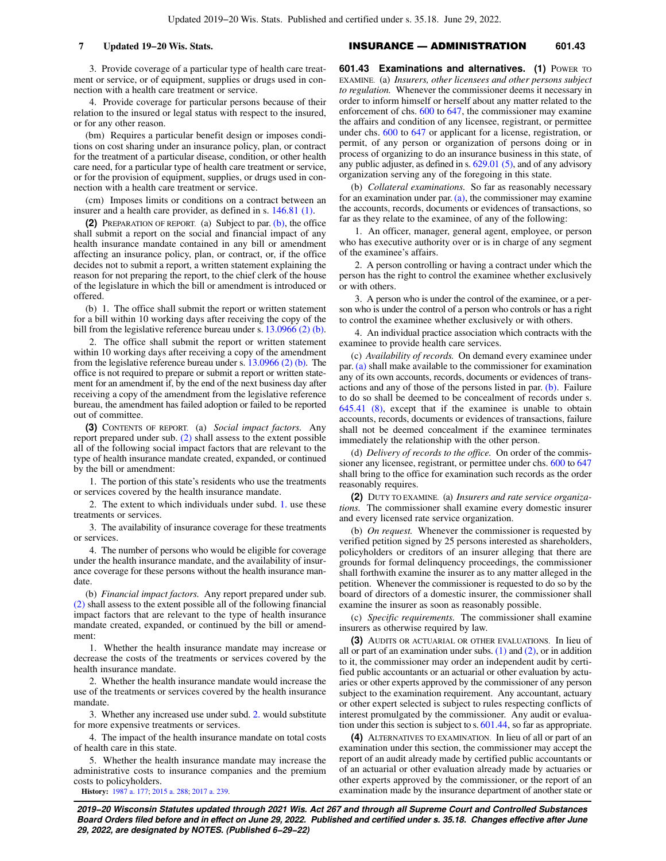3. Provide coverage of a particular type of health care treatment or service, or of equipment, supplies or drugs used in connection with a health care treatment or service.

4. Provide coverage for particular persons because of their relation to the insured or legal status with respect to the insured, or for any other reason.

(bm) Requires a particular benefit design or imposes conditions on cost sharing under an insurance policy, plan, or contract for the treatment of a particular disease, condition, or other health care need, for a particular type of health care treatment or service, or for the provision of equipment, supplies, or drugs used in connection with a health care treatment or service.

(cm) Imposes limits or conditions on a contract between an insurer and a health care provider, as defined in s. [146.81 \(1\).](https://docs.legis.wisconsin.gov/document/statutes/146.81(1))

**(2)** PREPARATION OF REPORT. (a) Subject to par. [\(b\),](https://docs.legis.wisconsin.gov/document/statutes/601.423(2)(b)) the office shall submit a report on the social and financial impact of any health insurance mandate contained in any bill or amendment affecting an insurance policy, plan, or contract, or, if the office decides not to submit a report, a written statement explaining the reason for not preparing the report, to the chief clerk of the house of the legislature in which the bill or amendment is introduced or offered.

(b) 1. The office shall submit the report or written statement for a bill within 10 working days after receiving the copy of the bill from the legislative reference bureau under s. [13.0966 \(2\) \(b\).](https://docs.legis.wisconsin.gov/document/statutes/13.0966(2)(b))

2. The office shall submit the report or written statement within 10 working days after receiving a copy of the amendment from the legislative reference bureau under s. [13.0966 \(2\) \(b\)](https://docs.legis.wisconsin.gov/document/statutes/13.0966(2)(b)). The office is not required to prepare or submit a report or written statement for an amendment if, by the end of the next business day after receiving a copy of the amendment from the legislative reference bureau, the amendment has failed adoption or failed to be reported out of committee.

**(3)** CONTENTS OF REPORT. (a) *Social impact factors.* Any report prepared under sub. [\(2\)](https://docs.legis.wisconsin.gov/document/statutes/601.423(2)) shall assess to the extent possible all of the following social impact factors that are relevant to the type of health insurance mandate created, expanded, or continued by the bill or amendment:

1. The portion of this state's residents who use the treatments or services covered by the health insurance mandate.

2. The extent to which individuals under subd. [1.](https://docs.legis.wisconsin.gov/document/statutes/601.423(3)(a)1.) use these treatments or services.

3. The availability of insurance coverage for these treatments or services.

4. The number of persons who would be eligible for coverage under the health insurance mandate, and the availability of insurance coverage for these persons without the health insurance mandate.

(b) *Financial impact factors.* Any report prepared under sub. [\(2\)](https://docs.legis.wisconsin.gov/document/statutes/601.423(2)) shall assess to the extent possible all of the following financial impact factors that are relevant to the type of health insurance mandate created, expanded, or continued by the bill or amendment:

1. Whether the health insurance mandate may increase or decrease the costs of the treatments or services covered by the health insurance mandate.

2. Whether the health insurance mandate would increase the use of the treatments or services covered by the health insurance mandate.

3. Whether any increased use under subd. [2.](https://docs.legis.wisconsin.gov/document/statutes/601.423(3)(b)2.) would substitute for more expensive treatments or services.

4. The impact of the health insurance mandate on total costs of health care in this state.

5. Whether the health insurance mandate may increase the administrative costs to insurance companies and the premium costs to policyholders.

**History:** [1987 a. 177](https://docs.legis.wisconsin.gov/document/acts/1987/177); [2015 a. 288](https://docs.legis.wisconsin.gov/document/acts/2015/288); [2017 a. 239.](https://docs.legis.wisconsin.gov/document/acts/2017/239)

# **7 Updated 19−20 Wis. Stats.** INSURANCE — ADMINISTRATION **601.43**

**601.43 Examinations and alternatives. (1) POWER TO** EXAMINE. (a) *Insurers, other licensees and other persons subject to regulation.* Whenever the commissioner deems it necessary in order to inform himself or herself about any matter related to the enforcement of chs. [600](https://docs.legis.wisconsin.gov/document/statutes/ch.%20600) to [647,](https://docs.legis.wisconsin.gov/document/statutes/ch.%20647) the commissioner may examine the affairs and condition of any licensee, registrant, or permittee under chs. [600](https://docs.legis.wisconsin.gov/document/statutes/ch.%20600) to [647](https://docs.legis.wisconsin.gov/document/statutes/ch.%20647) or applicant for a license, registration, or permit, of any person or organization of persons doing or in process of organizing to do an insurance business in this state, of any public adjuster, as defined in s. [629.01 \(5\),](https://docs.legis.wisconsin.gov/document/statutes/629.01(5)) and of any advisory organization serving any of the foregoing in this state.

(b) *Collateral examinations.* So far as reasonably necessary for an examination under par. [\(a\),](https://docs.legis.wisconsin.gov/document/statutes/601.43(1)(a)) the commissioner may examine the accounts, records, documents or evidences of transactions, so far as they relate to the examinee, of any of the following:

1. An officer, manager, general agent, employee, or person who has executive authority over or is in charge of any segment of the examinee's affairs.

2. A person controlling or having a contract under which the person has the right to control the examinee whether exclusively or with others.

3. A person who is under the control of the examinee, or a person who is under the control of a person who controls or has a right to control the examinee whether exclusively or with others.

4. An individual practice association which contracts with the examinee to provide health care services.

(c) *Availability of records.* On demand every examinee under par. [\(a\)](https://docs.legis.wisconsin.gov/document/statutes/601.43(1)(a)) shall make available to the commissioner for examination any of its own accounts, records, documents or evidences of transactions and any of those of the persons listed in par. [\(b\).](https://docs.legis.wisconsin.gov/document/statutes/601.43(1)(b)) Failure to do so shall be deemed to be concealment of records under s. [645.41 \(8\)](https://docs.legis.wisconsin.gov/document/statutes/645.41(8)), except that if the examinee is unable to obtain accounts, records, documents or evidences of transactions, failure shall not be deemed concealment if the examinee terminates immediately the relationship with the other person.

(d) *Delivery of records to the office.* On order of the commissioner any licensee, registrant, or permittee under chs. [600](https://docs.legis.wisconsin.gov/document/statutes/ch.%20600) to [647](https://docs.legis.wisconsin.gov/document/statutes/ch.%20647) shall bring to the office for examination such records as the order reasonably requires.

**(2)** DUTY TO EXAMINE. (a) *Insurers and rate service organizations.* The commissioner shall examine every domestic insurer and every licensed rate service organization.

(b) *On request.* Whenever the commissioner is requested by verified petition signed by 25 persons interested as shareholders, policyholders or creditors of an insurer alleging that there are grounds for formal delinquency proceedings, the commissioner shall forthwith examine the insurer as to any matter alleged in the petition. Whenever the commissioner is requested to do so by the board of directors of a domestic insurer, the commissioner shall examine the insurer as soon as reasonably possible.

(c) *Specific requirements.* The commissioner shall examine insurers as otherwise required by law.

**(3)** AUDITS OR ACTUARIAL OR OTHER EVALUATIONS. In lieu of all or part of an examination under subs.  $(1)$  and  $(2)$ , or in addition to it, the commissioner may order an independent audit by certified public accountants or an actuarial or other evaluation by actuaries or other experts approved by the commissioner of any person subject to the examination requirement. Any accountant, actuary or other expert selected is subject to rules respecting conflicts of interest promulgated by the commissioner. Any audit or evaluation under this section is subject to s. [601.44,](https://docs.legis.wisconsin.gov/document/statutes/601.44) so far as appropriate.

**(4)** ALTERNATIVES TO EXAMINATION. In lieu of all or part of an examination under this section, the commissioner may accept the report of an audit already made by certified public accountants or of an actuarial or other evaluation already made by actuaries or other experts approved by the commissioner, or the report of an examination made by the insurance department of another state or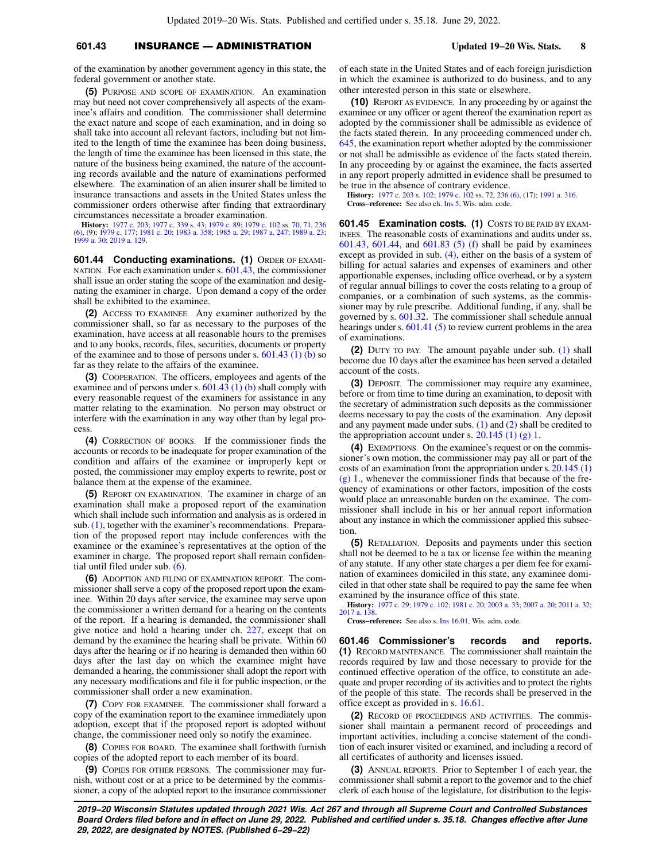# **601.43** INSURANCE — ADMINISTRATION **Updated 19−20 Wis. Stats. 8**

of the examination by another government agency in this state, the federal government or another state.

**(5)** PURPOSE AND SCOPE OF EXAMINATION. An examination may but need not cover comprehensively all aspects of the examinee's affairs and condition. The commissioner shall determine the exact nature and scope of each examination, and in doing so shall take into account all relevant factors, including but not limited to the length of time the examinee has been doing business, the length of time the examinee has been licensed in this state, the nature of the business being examined, the nature of the accounting records available and the nature of examinations performed elsewhere. The examination of an alien insurer shall be limited to insurance transactions and assets in the United States unless the commissioner orders otherwise after finding that extraordinary circumstances necessitate a broader examination.

**History:** [1977 c. 203](https://docs.legis.wisconsin.gov/document/acts/1977/203); [1977 c. 339](https://docs.legis.wisconsin.gov/document/acts/1977/339) s. [43](https://docs.legis.wisconsin.gov/document/acts/1977/339,%20s.%2043); [1979 c. 89](https://docs.legis.wisconsin.gov/document/acts/1979/89); [1979 c. 102](https://docs.legis.wisconsin.gov/document/acts/1979/102) ss. [70](https://docs.legis.wisconsin.gov/document/acts/1979/102,%20s.%2070), [71](https://docs.legis.wisconsin.gov/document/acts/1979/102,%20s.%2071), [236](https://docs.legis.wisconsin.gov/document/acts/1979/102,%20s.%20236) [\(6\),](https://docs.legis.wisconsin.gov/document/acts/1979/102,%20s.%20236) (9); [1979 c. 177](https://docs.legis.wisconsin.gov/document/acts/1979/177); [1981 c. 20;](https://docs.legis.wisconsin.gov/document/acts/1981/20) [1983 a. 358;](https://docs.legis.wisconsin.gov/document/acts/1983/358) [1985 a. 29](https://docs.legis.wisconsin.gov/document/acts/1985/29); [1987 a. 247;](https://docs.legis.wisconsin.gov/document/acts/1987/247) [1989 a. 23](https://docs.legis.wisconsin.gov/document/acts/1989/23); [1999 a. 30](https://docs.legis.wisconsin.gov/document/acts/1999/30); [2019 a. 129.](https://docs.legis.wisconsin.gov/document/acts/2019/129)

**601.44 Conducting examinations. (1)** ORDER OF EXAMI-NATION. For each examination under s. [601.43](https://docs.legis.wisconsin.gov/document/statutes/601.43), the commissioner shall issue an order stating the scope of the examination and designating the examiner in charge. Upon demand a copy of the order shall be exhibited to the examinee.

**(2)** ACCESS TO EXAMINEE. Any examiner authorized by the commissioner shall, so far as necessary to the purposes of the examination, have access at all reasonable hours to the premises and to any books, records, files, securities, documents or property of the examinee and to those of persons under s.  $601.43$  (1) (b) so far as they relate to the affairs of the examinee.

**(3)** COOPERATION. The officers, employees and agents of the examinee and of persons under s.  $601.43$  (1) (b) shall comply with every reasonable request of the examiners for assistance in any matter relating to the examination. No person may obstruct or interfere with the examination in any way other than by legal process.

**(4)** CORRECTION OF BOOKS. If the commissioner finds the accounts or records to be inadequate for proper examination of the condition and affairs of the examinee or improperly kept or posted, the commissioner may employ experts to rewrite, post or balance them at the expense of the examinee.

**(5)** REPORT ON EXAMINATION. The examiner in charge of an examination shall make a proposed report of the examination which shall include such information and analysis as is ordered in sub. [\(1\)](https://docs.legis.wisconsin.gov/document/statutes/601.44(1)), together with the examiner's recommendations. Preparation of the proposed report may include conferences with the examinee or the examinee's representatives at the option of the examiner in charge. The proposed report shall remain confidential until filed under sub. [\(6\).](https://docs.legis.wisconsin.gov/document/statutes/601.44(6))

**(6)** ADOPTION AND FILING OF EXAMINATION REPORT. The commissioner shall serve a copy of the proposed report upon the examinee. Within 20 days after service, the examinee may serve upon the commissioner a written demand for a hearing on the contents of the report. If a hearing is demanded, the commissioner shall give notice and hold a hearing under ch. [227](https://docs.legis.wisconsin.gov/document/statutes/ch.%20227), except that on demand by the examinee the hearing shall be private. Within 60 days after the hearing or if no hearing is demanded then within 60 days after the last day on which the examinee might have demanded a hearing, the commissioner shall adopt the report with any necessary modifications and file it for public inspection, or the commissioner shall order a new examination.

**(7)** COPY FOR EXAMINEE. The commissioner shall forward a copy of the examination report to the examinee immediately upon adoption, except that if the proposed report is adopted without change, the commissioner need only so notify the examinee.

**(8)** COPIES FOR BOARD. The examinee shall forthwith furnish copies of the adopted report to each member of its board.

**(9)** COPIES FOR OTHER PERSONS. The commissioner may furnish, without cost or at a price to be determined by the commissioner, a copy of the adopted report to the insurance commissioner of each state in the United States and of each foreign jurisdiction in which the examinee is authorized to do business, and to any other interested person in this state or elsewhere.

**(10)** REPORT AS EVIDENCE. In any proceeding by or against the examinee or any officer or agent thereof the examination report as adopted by the commissioner shall be admissible as evidence of the facts stated therein. In any proceeding commenced under ch. [645,](https://docs.legis.wisconsin.gov/document/statutes/ch.%20645) the examination report whether adopted by the commissioner or not shall be admissible as evidence of the facts stated therein. In any proceeding by or against the examinee, the facts asserted in any report properly admitted in evidence shall be presumed to be true in the absence of contrary evidence.

**History:** [1977 c. 203](https://docs.legis.wisconsin.gov/document/acts/1977/203) s. [102](https://docs.legis.wisconsin.gov/document/acts/1977/203,%20s.%20102); [1979 c. 102](https://docs.legis.wisconsin.gov/document/acts/1979/102) ss. [72,](https://docs.legis.wisconsin.gov/document/acts/1979/102,%20s.%2072) [236 \(6\),](https://docs.legis.wisconsin.gov/document/acts/1979/102,%20s.%20236) (17); [1991 a. 316](https://docs.legis.wisconsin.gov/document/acts/1991/316). **Cross−reference:** See also ch. [Ins 5](https://docs.legis.wisconsin.gov/document/administrativecode/ch.%20Ins%205), Wis. adm. code.

**601.45 Examination costs. (1)** COSTS TO BE PAID BY EXAM-INEES. The reasonable costs of examinations and audits under ss. [601.43,](https://docs.legis.wisconsin.gov/document/statutes/601.43) [601.44](https://docs.legis.wisconsin.gov/document/statutes/601.44), and [601.83 \(5\) \(f\)](https://docs.legis.wisconsin.gov/document/statutes/601.83(5)(f)) shall be paid by examinees except as provided in sub. [\(4\),](https://docs.legis.wisconsin.gov/document/statutes/601.45(4)) either on the basis of a system of billing for actual salaries and expenses of examiners and other apportionable expenses, including office overhead, or by a system of regular annual billings to cover the costs relating to a group of companies, or a combination of such systems, as the commissioner may by rule prescribe. Additional funding, if any, shall be governed by s. [601.32.](https://docs.legis.wisconsin.gov/document/statutes/601.32) The commissioner shall schedule annual hearings under s. [601.41 \(5\)](https://docs.legis.wisconsin.gov/document/statutes/601.41(5)) to review current problems in the area of examinations.

**(2)** DUTY TO PAY. The amount payable under sub. [\(1\)](https://docs.legis.wisconsin.gov/document/statutes/601.45(1)) shall become due 10 days after the examinee has been served a detailed account of the costs.

**(3)** DEPOSIT. The commissioner may require any examinee, before or from time to time during an examination, to deposit with the secretary of administration such deposits as the commissioner deems necessary to pay the costs of the examination. Any deposit and any payment made under subs.  $(1)$  and  $(2)$  shall be credited to the appropriation account under s.  $20.145$  (1) (g) 1.

**(4)** EXEMPTIONS. On the examinee's request or on the commissioner's own motion, the commissioner may pay all or part of the costs of an examination from the appropriation under s. [20.145 \(1\)](https://docs.legis.wisconsin.gov/document/statutes/20.145(1)(g)1.) [\(g\) 1.,](https://docs.legis.wisconsin.gov/document/statutes/20.145(1)(g)1.) whenever the commissioner finds that because of the frequency of examinations or other factors, imposition of the costs would place an unreasonable burden on the examinee. The commissioner shall include in his or her annual report information about any instance in which the commissioner applied this subsection.

**(5)** RETALIATION. Deposits and payments under this section shall not be deemed to be a tax or license fee within the meaning of any statute. If any other state charges a per diem fee for examination of examinees domiciled in this state, any examinee domiciled in that other state shall be required to pay the same fee when examined by the insurance office of this state.

**History:** [1977 c. 29](https://docs.legis.wisconsin.gov/document/acts/1977/29); [1979 c. 102](https://docs.legis.wisconsin.gov/document/acts/1979/102); [1981 c. 20;](https://docs.legis.wisconsin.gov/document/acts/1981/20) [2003 a. 33](https://docs.legis.wisconsin.gov/document/acts/2003/33); [2007 a. 20](https://docs.legis.wisconsin.gov/document/acts/2007/20); [2011 a. 32](https://docs.legis.wisconsin.gov/document/acts/2011/32); [2017 a. 138.](https://docs.legis.wisconsin.gov/document/acts/2017/138)

**Cross−reference:** See also s. [Ins 16.01,](https://docs.legis.wisconsin.gov/document/administrativecode/Ins%2016.01) Wis. adm. code.

**601.46 Commissioner's records and reports. (1)** RECORD MAINTENANCE. The commissioner shall maintain the records required by law and those necessary to provide for the continued effective operation of the office, to constitute an adequate and proper recording of its activities and to protect the rights of the people of this state. The records shall be preserved in the office except as provided in s. [16.61](https://docs.legis.wisconsin.gov/document/statutes/16.61).

**(2)** RECORD OF PROCEEDINGS AND ACTIVITIES. The commissioner shall maintain a permanent record of proceedings and important activities, including a concise statement of the condition of each insurer visited or examined, and including a record of all certificates of authority and licenses issued.

**(3)** ANNUAL REPORTS. Prior to September 1 of each year, the commissioner shall submit a report to the governor and to the chief clerk of each house of the legislature, for distribution to the legis-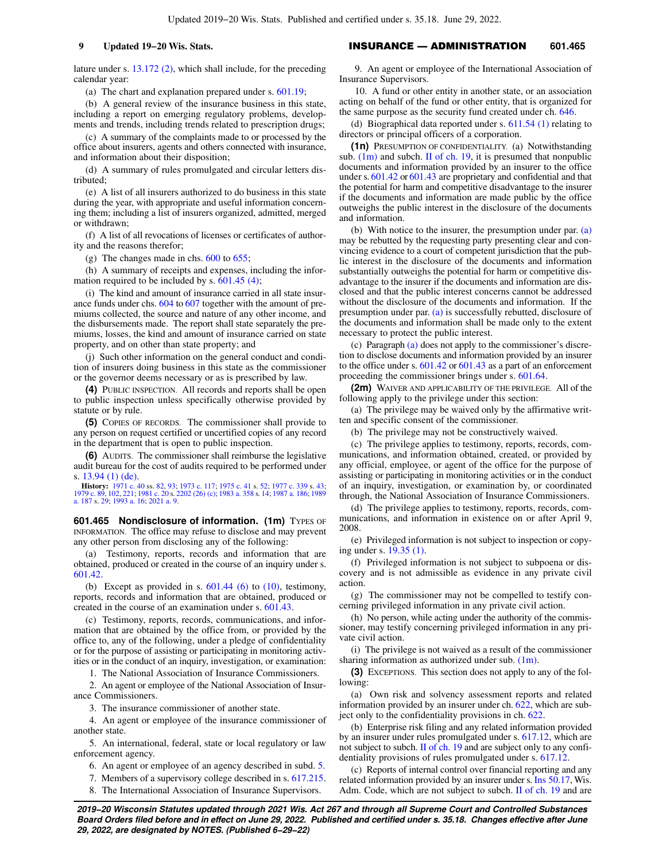lature under s. [13.172 \(2\)](https://docs.legis.wisconsin.gov/document/statutes/13.172(2)), which shall include, for the preceding calendar year:

(a) The chart and explanation prepared under s. [601.19;](https://docs.legis.wisconsin.gov/document/statutes/601.19)

(b) A general review of the insurance business in this state, including a report on emerging regulatory problems, developments and trends, including trends related to prescription drugs;

(c) A summary of the complaints made to or processed by the office about insurers, agents and others connected with insurance, and information about their disposition;

(d) A summary of rules promulgated and circular letters distributed;

(e) A list of all insurers authorized to do business in this state during the year, with appropriate and useful information concerning them; including a list of insurers organized, admitted, merged or withdrawn;

(f) A list of all revocations of licenses or certificates of authority and the reasons therefor;

(g) The changes made in chs. [600](https://docs.legis.wisconsin.gov/document/statutes/ch.%20600) to [655](https://docs.legis.wisconsin.gov/document/statutes/ch.%20655);

(h) A summary of receipts and expenses, including the information required to be included by s.  $601.45$  (4);

(i) The kind and amount of insurance carried in all state insurance funds under chs. [604](https://docs.legis.wisconsin.gov/document/statutes/ch.%20604) to [607](https://docs.legis.wisconsin.gov/document/statutes/ch.%20607) together with the amount of premiums collected, the source and nature of any other income, and the disbursements made. The report shall state separately the premiums, losses, the kind and amount of insurance carried on state property, and on other than state property; and

(j) Such other information on the general conduct and condition of insurers doing business in this state as the commissioner or the governor deems necessary or as is prescribed by law.

**(4)** PUBLIC INSPECTION. All records and reports shall be open to public inspection unless specifically otherwise provided by statute or by rule.

**(5)** COPIES OF RECORDS. The commissioner shall provide to any person on request certified or uncertified copies of any record in the department that is open to public inspection.

**(6)** AUDITS. The commissioner shall reimburse the legislative audit bureau for the cost of audits required to be performed under s. [13.94 \(1\) \(de\).](https://docs.legis.wisconsin.gov/document/statutes/13.94(1)(de))

**History:** [1971 c. 40](https://docs.legis.wisconsin.gov/document/acts/1971/40) ss. [82,](https://docs.legis.wisconsin.gov/document/acts/1971/40,%20s.%2082) [93](https://docs.legis.wisconsin.gov/document/acts/1971/40,%20s.%2093); [1973 c. 117;](https://docs.legis.wisconsin.gov/document/acts/1973/117) [1975 c. 41](https://docs.legis.wisconsin.gov/document/acts/1975/41) s. [52](https://docs.legis.wisconsin.gov/document/acts/1975/41,%20s.%2052); [1977 c. 339](https://docs.legis.wisconsin.gov/document/acts/1977/339) s. [43](https://docs.legis.wisconsin.gov/document/acts/1977/339,%20s.%2043); [1979 c. 89](https://docs.legis.wisconsin.gov/document/acts/1979/89), [102,](https://docs.legis.wisconsin.gov/document/acts/1979/102) [221](https://docs.legis.wisconsin.gov/document/acts/1979/221); [1981 c. 20](https://docs.legis.wisconsin.gov/document/acts/1981/20) s. [2202 \(26\) \(c\)](https://docs.legis.wisconsin.gov/document/acts/1981/20,%20s.%202202); [1983 a. 358](https://docs.legis.wisconsin.gov/document/acts/1983/358) s. [14;](https://docs.legis.wisconsin.gov/document/acts/1983/358,%20s.%2014) [1987 a. 186;](https://docs.legis.wisconsin.gov/document/acts/1987/186) [1989](https://docs.legis.wisconsin.gov/document/acts/1989/187) [a. 187](https://docs.legis.wisconsin.gov/document/acts/1989/187) s. [29;](https://docs.legis.wisconsin.gov/document/acts/1989/187,%20s.%2029) [1993 a. 16](https://docs.legis.wisconsin.gov/document/acts/1993/16); [2021 a. 9.](https://docs.legis.wisconsin.gov/document/acts/2021/9)

**601.465 Nondisclosure of information. (1m)** TYPES OF INFORMATION. The office may refuse to disclose and may prevent any other person from disclosing any of the following:

(a) Testimony, reports, records and information that are obtained, produced or created in the course of an inquiry under s. [601.42.](https://docs.legis.wisconsin.gov/document/statutes/601.42)

(b) Except as provided in s.  $601.44$  (6) to [\(10\)](https://docs.legis.wisconsin.gov/document/statutes/601.44(10)), testimony, reports, records and information that are obtained, produced or created in the course of an examination under s. [601.43](https://docs.legis.wisconsin.gov/document/statutes/601.43).

(c) Testimony, reports, records, communications, and information that are obtained by the office from, or provided by the office to, any of the following, under a pledge of confidentiality or for the purpose of assisting or participating in monitoring activities or in the conduct of an inquiry, investigation, or examination:

1. The National Association of Insurance Commissioners.

2. An agent or employee of the National Association of Insurance Commissioners.

3. The insurance commissioner of another state.

4. An agent or employee of the insurance commissioner of another state.

5. An international, federal, state or local regulatory or law enforcement agency.

6. An agent or employee of an agency described in subd. [5.](https://docs.legis.wisconsin.gov/document/statutes/601.465(1m)(c)5.)

7. Members of a supervisory college described in s. [617.215.](https://docs.legis.wisconsin.gov/document/statutes/617.215)

8. The International Association of Insurance Supervisors.

**9 Updated 19−20 Wis. Stats.** INSURANCE — ADMINISTRATION **601.465**

9. An agent or employee of the International Association of Insurance Supervisors.

10. A fund or other entity in another state, or an association acting on behalf of the fund or other entity, that is organized for the same purpose as the security fund created under ch. [646](https://docs.legis.wisconsin.gov/document/statutes/ch.%20646).

(d) Biographical data reported under s. [611.54 \(1\)](https://docs.legis.wisconsin.gov/document/statutes/611.54(1)) relating to directors or principal officers of a corporation.

**(1n)** PRESUMPTION OF CONFIDENTIALITY. (a) Notwithstanding sub.  $(1m)$  and subch. [II of ch. 19,](https://docs.legis.wisconsin.gov/document/statutes/subch.%20II%20of%20ch.%2019) it is presumed that nonpublic documents and information provided by an insurer to the office under s. [601.42](https://docs.legis.wisconsin.gov/document/statutes/601.42) or [601.43](https://docs.legis.wisconsin.gov/document/statutes/601.43) are proprietary and confidential and that the potential for harm and competitive disadvantage to the insurer if the documents and information are made public by the office outweighs the public interest in the disclosure of the documents and information.

(b) With notice to the insurer, the presumption under par.  $(a)$ may be rebutted by the requesting party presenting clear and convincing evidence to a court of competent jurisdiction that the public interest in the disclosure of the documents and information substantially outweighs the potential for harm or competitive disadvantage to the insurer if the documents and information are disclosed and that the public interest concerns cannot be addressed without the disclosure of the documents and information. If the presumption under par. [\(a\)](https://docs.legis.wisconsin.gov/document/statutes/601.465(1n)(a)) is successfully rebutted, disclosure of the documents and information shall be made only to the extent necessary to protect the public interest.

(c) Paragraph [\(a\)](https://docs.legis.wisconsin.gov/document/statutes/601.465(1n)(a)) does not apply to the commissioner's discretion to disclose documents and information provided by an insurer to the office under s. [601.42](https://docs.legis.wisconsin.gov/document/statutes/601.42) or [601.43](https://docs.legis.wisconsin.gov/document/statutes/601.43) as a part of an enforcement proceeding the commissioner brings under s. [601.64.](https://docs.legis.wisconsin.gov/document/statutes/601.64)

**(2m)** WAIVER AND APPLICABILITY OF THE PRIVILEGE. All of the following apply to the privilege under this section:

(a) The privilege may be waived only by the affirmative written and specific consent of the commissioner.

(b) The privilege may not be constructively waived.

(c) The privilege applies to testimony, reports, records, communications, and information obtained, created, or provided by any official, employee, or agent of the office for the purpose of assisting or participating in monitoring activities or in the conduct of an inquiry, investigation, or examination by, or coordinated through, the National Association of Insurance Commissioners.

(d) The privilege applies to testimony, reports, records, communications, and information in existence on or after April 9, 2008.

(e) Privileged information is not subject to inspection or copying under s. [19.35 \(1\).](https://docs.legis.wisconsin.gov/document/statutes/19.35(1))

(f) Privileged information is not subject to subpoena or discovery and is not admissible as evidence in any private civil action.

(g) The commissioner may not be compelled to testify concerning privileged information in any private civil action.

(h) No person, while acting under the authority of the commissioner, may testify concerning privileged information in any private civil action.

(i) The privilege is not waived as a result of the commissioner sharing information as authorized under sub.  $(1m)$ .

**(3)** EXCEPTIONS. This section does not apply to any of the following:

(a) Own risk and solvency assessment reports and related information provided by an insurer under ch. [622,](https://docs.legis.wisconsin.gov/document/statutes/ch.%20622) which are subject only to the confidentiality provisions in ch. [622](https://docs.legis.wisconsin.gov/document/statutes/ch.%20622).

(b) Enterprise risk filing and any related information provided by an insurer under rules promulgated under s. [617.12](https://docs.legis.wisconsin.gov/document/statutes/617.12), which are not subject to subch. [II of ch. 19](https://docs.legis.wisconsin.gov/document/statutes/subch.%20II%20of%20ch.%2019) and are subject only to any confidentiality provisions of rules promulgated under s. [617.12.](https://docs.legis.wisconsin.gov/document/statutes/617.12)

(c) Reports of internal control over financial reporting and any related information provided by an insurer under s. [Ins 50.17](https://docs.legis.wisconsin.gov/document/administrativecode/Ins%2050.17), Wis. Adm. Code, which are not subject to subch. [II of ch. 19](https://docs.legis.wisconsin.gov/document/statutes/subch.%20II%20of%20ch.%2019) and are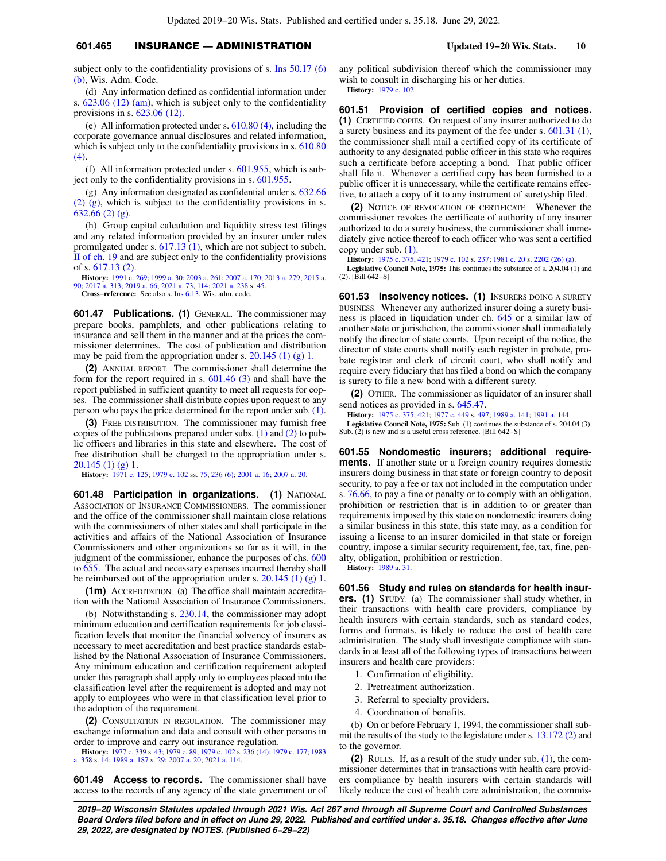# **601.465** INSURANCE — ADMINISTRATION **Updated 19−20 Wis. Stats. 10**

subject only to the confidentiality provisions of s. [Ins 50.17 \(6\)](https://docs.legis.wisconsin.gov/document/administrativecode/Ins%2050.17(6)(b)) [\(b\)](https://docs.legis.wisconsin.gov/document/administrativecode/Ins%2050.17(6)(b)), Wis. Adm. Code.

(d) Any information defined as confidential information under s. [623.06 \(12\) \(am\),](https://docs.legis.wisconsin.gov/document/statutes/623.06(12)(am)) which is subject only to the confidentiality provisions in s. [623.06 \(12\)](https://docs.legis.wisconsin.gov/document/statutes/623.06(12)).

(e) All information protected under s. [610.80 \(4\),](https://docs.legis.wisconsin.gov/document/statutes/610.80(4)) including the corporate governance annual disclosures and related information, which is subject only to the confidentiality provisions in s. [610.80](https://docs.legis.wisconsin.gov/document/statutes/610.80(4)) [\(4\)](https://docs.legis.wisconsin.gov/document/statutes/610.80(4)).

(f) All information protected under s. [601.955](https://docs.legis.wisconsin.gov/document/statutes/601.955), which is subject only to the confidentiality provisions in s. [601.955.](https://docs.legis.wisconsin.gov/document/statutes/601.955)

(g) Any information designated as confidential under s. [632.66](https://docs.legis.wisconsin.gov/document/statutes/632.66(2)(g)) [\(2\) \(g\)](https://docs.legis.wisconsin.gov/document/statutes/632.66(2)(g)), which is subject to the confidentiality provisions in s. [632.66 \(2\) \(g\)](https://docs.legis.wisconsin.gov/document/statutes/632.66(2)(g)).

(h) Group capital calculation and liquidity stress test filings and any related information provided by an insurer under rules promulgated under s. [617.13 \(1\)](https://docs.legis.wisconsin.gov/document/statutes/617.13(1)), which are not subject to subch. [II of ch. 19](https://docs.legis.wisconsin.gov/document/statutes/subch.%20II%20of%20ch.%2019) and are subject only to the confidentiality provisions of s. [617.13 \(2\)](https://docs.legis.wisconsin.gov/document/statutes/617.13(2)).

**History:** [1991 a. 269](https://docs.legis.wisconsin.gov/document/acts/1991/269); [1999 a. 30;](https://docs.legis.wisconsin.gov/document/acts/1999/30) [2003 a. 261;](https://docs.legis.wisconsin.gov/document/acts/2003/261) [2007 a. 170;](https://docs.legis.wisconsin.gov/document/acts/2007/170) [2013 a. 279](https://docs.legis.wisconsin.gov/document/acts/2013/279); [2015 a.](https://docs.legis.wisconsin.gov/document/acts/2015/90) [90;](https://docs.legis.wisconsin.gov/document/acts/2015/90) [2017 a. 313](https://docs.legis.wisconsin.gov/document/acts/2017/313); [2019 a. 66;](https://docs.legis.wisconsin.gov/document/acts/2019/66) [2021 a. 73,](https://docs.legis.wisconsin.gov/document/acts/2021/73) [114;](https://docs.legis.wisconsin.gov/document/acts/2021/114) [2021 a. 238](https://docs.legis.wisconsin.gov/document/acts/2021/238) s. [45](https://docs.legis.wisconsin.gov/document/acts/2021/238,%20s.%2045).

**Cross−reference:** See also s. [Ins 6.13,](https://docs.legis.wisconsin.gov/document/administrativecode/Ins%206.13) Wis. adm. code.

**601.47 Publications. (1)** GENERAL. The commissioner may prepare books, pamphlets, and other publications relating to insurance and sell them in the manner and at the prices the commissioner determines. The cost of publication and distribution may be paid from the appropriation under s. [20.145 \(1\) \(g\) 1.](https://docs.legis.wisconsin.gov/document/statutes/20.145(1)(g)1.)

**(2)** ANNUAL REPORT. The commissioner shall determine the form for the report required in s. [601.46 \(3\)](https://docs.legis.wisconsin.gov/document/statutes/601.46(3)) and shall have the report published in sufficient quantity to meet all requests for copies. The commissioner shall distribute copies upon request to any person who pays the price determined for the report under sub. [\(1\).](https://docs.legis.wisconsin.gov/document/statutes/601.47(1))

**(3)** FREE DISTRIBUTION. The commissioner may furnish free copies of the publications prepared under subs.  $(1)$  and  $(2)$  to public officers and libraries in this state and elsewhere. The cost of free distribution shall be charged to the appropriation under s. [20.145 \(1\) \(g\) 1.](https://docs.legis.wisconsin.gov/document/statutes/20.145(1)(g)1.)

**History:** [1971 c. 125](https://docs.legis.wisconsin.gov/document/acts/1971/125); [1979 c. 102](https://docs.legis.wisconsin.gov/document/acts/1979/102) ss. [75,](https://docs.legis.wisconsin.gov/document/acts/1979/102,%20s.%2075) [236 \(6\);](https://docs.legis.wisconsin.gov/document/acts/1979/102,%20s.%20236) [2001 a. 16;](https://docs.legis.wisconsin.gov/document/acts/2001/16) [2007 a. 20](https://docs.legis.wisconsin.gov/document/acts/2007/20).

**601.48 Participation in organizations. (1)** NATIONAL ASSOCIATION OF INSURANCE COMMISSIONERS. The commissioner and the office of the commissioner shall maintain close relations with the commissioners of other states and shall participate in the activities and affairs of the National Association of Insurance Commissioners and other organizations so far as it will, in the judgment of the commissioner, enhance the purposes of chs. [600](https://docs.legis.wisconsin.gov/document/statutes/ch.%20600) to [655](https://docs.legis.wisconsin.gov/document/statutes/ch.%20655). The actual and necessary expenses incurred thereby shall be reimbursed out of the appropriation under s. [20.145 \(1\) \(g\) 1.](https://docs.legis.wisconsin.gov/document/statutes/20.145(1)(g)1.)

**(1m)** ACCREDITATION. (a) The office shall maintain accreditation with the National Association of Insurance Commissioners.

(b) Notwithstanding s. [230.14](https://docs.legis.wisconsin.gov/document/statutes/230.14), the commissioner may adopt minimum education and certification requirements for job classification levels that monitor the financial solvency of insurers as necessary to meet accreditation and best practice standards established by the National Association of Insurance Commissioners. Any minimum education and certification requirement adopted under this paragraph shall apply only to employees placed into the classification level after the requirement is adopted and may not apply to employees who were in that classification level prior to the adoption of the requirement.

**(2)** CONSULTATION IN REGULATION. The commissioner may exchange information and data and consult with other persons in order to improve and carry out insurance regulation.

**History:** [1977 c. 339](https://docs.legis.wisconsin.gov/document/acts/1977/339) s. [43;](https://docs.legis.wisconsin.gov/document/acts/1977/339,%20s.%2043) [1979 c. 89;](https://docs.legis.wisconsin.gov/document/acts/1979/89) [1979 c. 102](https://docs.legis.wisconsin.gov/document/acts/1979/102) s. [236 \(14\)](https://docs.legis.wisconsin.gov/document/acts/1979/102,%20s.%20236); [1979 c. 177;](https://docs.legis.wisconsin.gov/document/acts/1979/177) [1983](https://docs.legis.wisconsin.gov/document/acts/1983/358) [a. 358](https://docs.legis.wisconsin.gov/document/acts/1983/358) s. [14;](https://docs.legis.wisconsin.gov/document/acts/1983/358,%20s.%2014) [1989 a. 187](https://docs.legis.wisconsin.gov/document/acts/1989/187) s. [29;](https://docs.legis.wisconsin.gov/document/acts/1989/187,%20s.%2029) [2007 a. 20;](https://docs.legis.wisconsin.gov/document/acts/2007/20) [2021 a. 114](https://docs.legis.wisconsin.gov/document/acts/2021/114).

**601.49 Access to records.** The commissioner shall have access to the records of any agency of the state government or of any political subdivision thereof which the commissioner may wish to consult in discharging his or her duties. **History:** [1979 c. 102.](https://docs.legis.wisconsin.gov/document/acts/1979/102)

**601.51 Provision of certified copies and notices. (1)** CERTIFIED COPIES. On request of any insurer authorized to do a surety business and its payment of the fee under s. [601.31 \(1\),](https://docs.legis.wisconsin.gov/document/statutes/601.31(1)) the commissioner shall mail a certified copy of its certificate of authority to any designated public officer in this state who requires such a certificate before accepting a bond. That public officer shall file it. Whenever a certified copy has been furnished to a public officer it is unnecessary, while the certificate remains effective, to attach a copy of it to any instrument of suretyship filed.

**(2)** NOTICE OF REVOCATION OF CERTIFICATE. Whenever the commissioner revokes the certificate of authority of any insurer authorized to do a surety business, the commissioner shall immediately give notice thereof to each officer who was sent a certified copy under sub. [\(1\)](https://docs.legis.wisconsin.gov/document/statutes/601.51(1)).

**History:** [1975 c. 375,](https://docs.legis.wisconsin.gov/document/acts/1975/375) [421;](https://docs.legis.wisconsin.gov/document/acts/1975/421) [1979 c. 102](https://docs.legis.wisconsin.gov/document/acts/1979/102) s. [237;](https://docs.legis.wisconsin.gov/document/acts/1979/102,%20s.%20237) [1981 c. 20](https://docs.legis.wisconsin.gov/document/acts/1981/20) s. [2202 \(26\) \(a\)](https://docs.legis.wisconsin.gov/document/acts/1981/20,%20s.%202202).

**Legislative Council Note, 1975:** This continues the substance of s. 204.04 (1) and (2). [Bill 642−S]

**601.53 Insolvency notices. (1)** INSURERS DOING A SURETY BUSINESS. Whenever any authorized insurer doing a surety business is placed in liquidation under ch. [645](https://docs.legis.wisconsin.gov/document/statutes/ch.%20645) or a similar law of another state or jurisdiction, the commissioner shall immediately notify the director of state courts. Upon receipt of the notice, the director of state courts shall notify each register in probate, probate registrar and clerk of circuit court, who shall notify and require every fiduciary that has filed a bond on which the company is surety to file a new bond with a different surety.

**(2)** OTHER. The commissioner as liquidator of an insurer shall send notices as provided in s. [645.47](https://docs.legis.wisconsin.gov/document/statutes/645.47).

**History:** [1975 c. 375,](https://docs.legis.wisconsin.gov/document/acts/1975/375) [421;](https://docs.legis.wisconsin.gov/document/acts/1975/421) [1977 c. 449](https://docs.legis.wisconsin.gov/document/acts/1977/449) s. [497;](https://docs.legis.wisconsin.gov/document/acts/1977/449,%20s.%20497) [1989 a. 141;](https://docs.legis.wisconsin.gov/document/acts/1989/141) [1991 a. 144](https://docs.legis.wisconsin.gov/document/acts/1991/144).

**Legislative Council Note, 1975:** Sub. (1) continues the substance of s. 204.04 (3). Sub. (2) is new and is a useful cross reference. [Bill 642−S]

**601.55 Nondomestic insurers; additional requirements.** If another state or a foreign country requires domestic insurers doing business in that state or foreign country to deposit security, to pay a fee or tax not included in the computation under s. [76.66](https://docs.legis.wisconsin.gov/document/statutes/76.66), to pay a fine or penalty or to comply with an obligation, prohibition or restriction that is in addition to or greater than requirements imposed by this state on nondomestic insurers doing a similar business in this state, this state may, as a condition for issuing a license to an insurer domiciled in that state or foreign country, impose a similar security requirement, fee, tax, fine, penalty, obligation, prohibition or restriction.

**History:** [1989 a. 31](https://docs.legis.wisconsin.gov/document/acts/1989/31).

**601.56 Study and rules on standards for health insurers.** (1) STUDY. (a) The commissioner shall study whether, in their transactions with health care providers, compliance by health insurers with certain standards, such as standard codes, forms and formats, is likely to reduce the cost of health care administration. The study shall investigate compliance with standards in at least all of the following types of transactions between insurers and health care providers:

- 1. Confirmation of eligibility.
- 2. Pretreatment authorization.
- 3. Referral to specialty providers.
- 4. Coordination of benefits.

(b) On or before February 1, 1994, the commissioner shall submit the results of the study to the legislature under s. [13.172 \(2\)](https://docs.legis.wisconsin.gov/document/statutes/13.172(2)) and to the governor.

**(2)** RULES. If, as a result of the study under sub. [\(1\)](https://docs.legis.wisconsin.gov/document/statutes/601.56(1)), the commissioner determines that in transactions with health care providers compliance by health insurers with certain standards will likely reduce the cost of health care administration, the commis-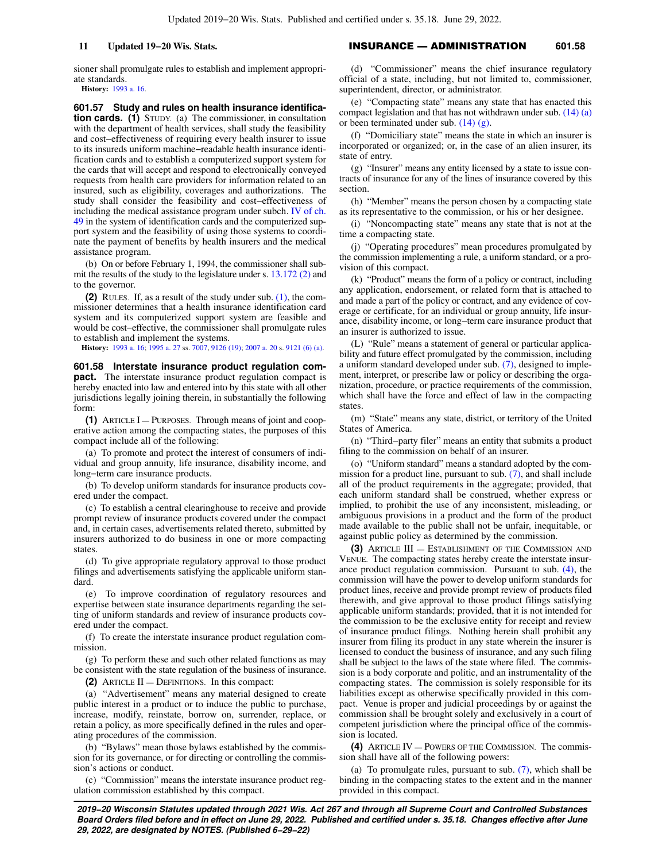sioner shall promulgate rules to establish and implement appropriate standards.

**History:** [1993 a. 16.](https://docs.legis.wisconsin.gov/document/acts/1993/16)

**601.57 Study and rules on health insurance identification cards.** (1) STUDY. (a) The commissioner, in consultation with the department of health services, shall study the feasibility and cost−effectiveness of requiring every health insurer to issue to its insureds uniform machine−readable health insurance identification cards and to establish a computerized support system for the cards that will accept and respond to electronically conveyed requests from health care providers for information related to an insured, such as eligibility, coverages and authorizations. The study shall consider the feasibility and cost−effectiveness of including the medical assistance program under subch. [IV of ch.](https://docs.legis.wisconsin.gov/document/statutes/subch.%20IV%20of%20ch.%2049) [49](https://docs.legis.wisconsin.gov/document/statutes/subch.%20IV%20of%20ch.%2049) in the system of identification cards and the computerized support system and the feasibility of using those systems to coordinate the payment of benefits by health insurers and the medical assistance program.

(b) On or before February 1, 1994, the commissioner shall submit the results of the study to the legislature under s. [13.172 \(2\)](https://docs.legis.wisconsin.gov/document/statutes/13.172(2)) and to the governor.

**(2)** RULES. If, as a result of the study under sub. [\(1\)](https://docs.legis.wisconsin.gov/document/statutes/601.57(1)), the commissioner determines that a health insurance identification card system and its computerized support system are feasible and would be cost−effective, the commissioner shall promulgate rules to establish and implement the systems.

**History:** [1993 a. 16;](https://docs.legis.wisconsin.gov/document/acts/1993/16) [1995 a. 27](https://docs.legis.wisconsin.gov/document/acts/1995/27) ss. [7007,](https://docs.legis.wisconsin.gov/document/acts/1995/27,%20s.%207007) [9126 \(19\);](https://docs.legis.wisconsin.gov/document/acts/1995/27,%20s.%209126) [2007 a. 20](https://docs.legis.wisconsin.gov/document/acts/2007/20) s. [9121 \(6\) \(a\)](https://docs.legis.wisconsin.gov/document/acts/2007/20,%20s.%209121).

**601.58 Interstate insurance product regulation compact.** The interstate insurance product regulation compact is hereby enacted into law and entered into by this state with all other jurisdictions legally joining therein, in substantially the following form:

**(1)** ARTICLE I — PURPOSES. Through means of joint and cooperative action among the compacting states, the purposes of this compact include all of the following:

(a) To promote and protect the interest of consumers of individual and group annuity, life insurance, disability income, and long−term care insurance products.

(b) To develop uniform standards for insurance products covered under the compact.

(c) To establish a central clearinghouse to receive and provide prompt review of insurance products covered under the compact and, in certain cases, advertisements related thereto, submitted by insurers authorized to do business in one or more compacting states

(d) To give appropriate regulatory approval to those product filings and advertisements satisfying the applicable uniform standard.

(e) To improve coordination of regulatory resources and expertise between state insurance departments regarding the setting of uniform standards and review of insurance products covered under the compact.

(f) To create the interstate insurance product regulation commission.

(g) To perform these and such other related functions as may be consistent with the state regulation of the business of insurance.

**(2)** ARTICLE II — DEFINITIONS. In this compact:

(a) "Advertisement" means any material designed to create public interest in a product or to induce the public to purchase, increase, modify, reinstate, borrow on, surrender, replace, or retain a policy, as more specifically defined in the rules and operating procedures of the commission.

(b) "Bylaws" mean those bylaws established by the commission for its governance, or for directing or controlling the commission's actions or conduct.

(c) "Commission" means the interstate insurance product regulation commission established by this compact.

(d) "Commissioner" means the chief insurance regulatory official of a state, including, but not limited to, commissioner, superintendent, director, or administrator.

(e) "Compacting state" means any state that has enacted this compact legislation and that has not withdrawn under sub. [\(14\) \(a\)](https://docs.legis.wisconsin.gov/document/statutes/601.58(14)(a)) or been terminated under sub. [\(14\) \(g\)](https://docs.legis.wisconsin.gov/document/statutes/601.58(14)(g)).

(f) "Domiciliary state" means the state in which an insurer is incorporated or organized; or, in the case of an alien insurer, its state of entry.

(g) "Insurer" means any entity licensed by a state to issue contracts of insurance for any of the lines of insurance covered by this section.

(h) "Member" means the person chosen by a compacting state as its representative to the commission, or his or her designee.

(i) "Noncompacting state" means any state that is not at the time a compacting state.

(j) "Operating procedures" mean procedures promulgated by the commission implementing a rule, a uniform standard, or a provision of this compact.

(k) "Product" means the form of a policy or contract, including any application, endorsement, or related form that is attached to and made a part of the policy or contract, and any evidence of coverage or certificate, for an individual or group annuity, life insurance, disability income, or long−term care insurance product that an insurer is authorized to issue.

(L) "Rule" means a statement of general or particular applicability and future effect promulgated by the commission, including a uniform standard developed under sub. [\(7\)](https://docs.legis.wisconsin.gov/document/statutes/601.58(7)), designed to implement, interpret, or prescribe law or policy or describing the organization, procedure, or practice requirements of the commission, which shall have the force and effect of law in the compacting states.

(m) "State" means any state, district, or territory of the United States of America.

(n) "Third−party filer" means an entity that submits a product filing to the commission on behalf of an insurer.

(o) "Uniform standard" means a standard adopted by the commission for a product line, pursuant to sub. [\(7\),](https://docs.legis.wisconsin.gov/document/statutes/601.58(7)) and shall include all of the product requirements in the aggregate; provided, that each uniform standard shall be construed, whether express or implied, to prohibit the use of any inconsistent, misleading, or ambiguous provisions in a product and the form of the product made available to the public shall not be unfair, inequitable, or against public policy as determined by the commission.

**(3)** ARTICLE III — ESTABLISHMENT OF THE COMMISSION AND VENUE. The compacting states hereby create the interstate insurance product regulation commission. Pursuant to sub.  $(4)$ , the commission will have the power to develop uniform standards for product lines, receive and provide prompt review of products filed therewith, and give approval to those product filings satisfying applicable uniform standards; provided, that it is not intended for the commission to be the exclusive entity for receipt and review of insurance product filings. Nothing herein shall prohibit any insurer from filing its product in any state wherein the insurer is licensed to conduct the business of insurance, and any such filing shall be subject to the laws of the state where filed. The commission is a body corporate and politic, and an instrumentality of the compacting states. The commission is solely responsible for its liabilities except as otherwise specifically provided in this compact. Venue is proper and judicial proceedings by or against the commission shall be brought solely and exclusively in a court of competent jurisdiction where the principal office of the commission is located.

**(4)** ARTICLE IV — POWERS OF THE COMMISSION. The commission shall have all of the following powers:

(a) To promulgate rules, pursuant to sub.  $(7)$ , which shall be binding in the compacting states to the extent and in the manner provided in this compact.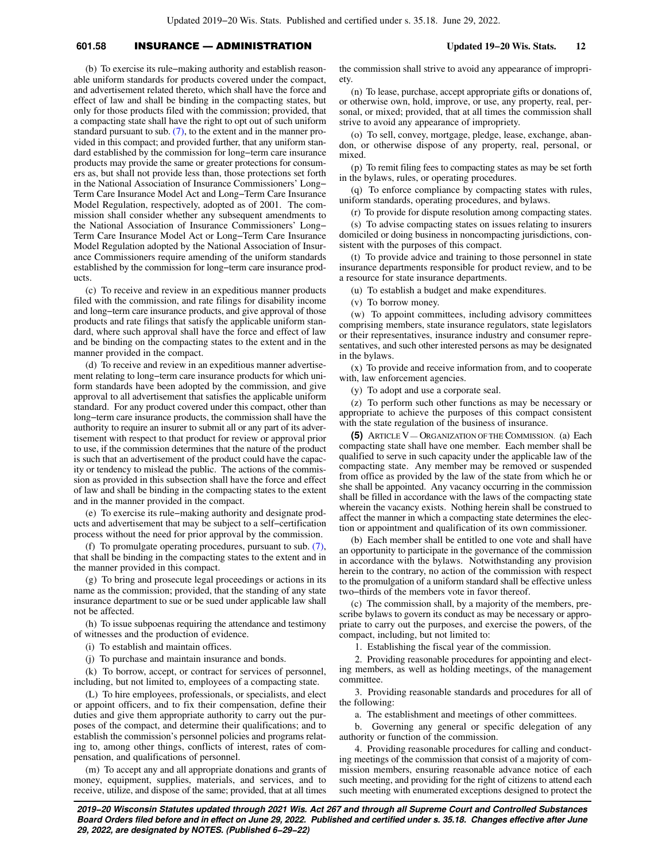# **601.58** INSURANCE — ADMINISTRATION **Updated 19−20 Wis. Stats. 12**

(b) To exercise its rule−making authority and establish reasonable uniform standards for products covered under the compact, and advertisement related thereto, which shall have the force and effect of law and shall be binding in the compacting states, but only for those products filed with the commission; provided, that a compacting state shall have the right to opt out of such uniform standard pursuant to sub. [\(7\)](https://docs.legis.wisconsin.gov/document/statutes/601.58(7)), to the extent and in the manner provided in this compact; and provided further, that any uniform standard established by the commission for long−term care insurance products may provide the same or greater protections for consumers as, but shall not provide less than, those protections set forth in the National Association of Insurance Commissioners' Long− Term Care Insurance Model Act and Long−Term Care Insurance Model Regulation, respectively, adopted as of 2001. The commission shall consider whether any subsequent amendments to the National Association of Insurance Commissioners' Long− Term Care Insurance Model Act or Long−Term Care Insurance Model Regulation adopted by the National Association of Insurance Commissioners require amending of the uniform standards established by the commission for long−term care insurance products.

(c) To receive and review in an expeditious manner products filed with the commission, and rate filings for disability income and long−term care insurance products, and give approval of those products and rate filings that satisfy the applicable uniform standard, where such approval shall have the force and effect of law and be binding on the compacting states to the extent and in the manner provided in the compact.

(d) To receive and review in an expeditious manner advertisement relating to long−term care insurance products for which uniform standards have been adopted by the commission, and give approval to all advertisement that satisfies the applicable uniform standard. For any product covered under this compact, other than long−term care insurance products, the commission shall have the authority to require an insurer to submit all or any part of its advertisement with respect to that product for review or approval prior to use, if the commission determines that the nature of the product is such that an advertisement of the product could have the capacity or tendency to mislead the public. The actions of the commission as provided in this subsection shall have the force and effect of law and shall be binding in the compacting states to the extent and in the manner provided in the compact.

(e) To exercise its rule−making authority and designate products and advertisement that may be subject to a self−certification process without the need for prior approval by the commission.

(f) To promulgate operating procedures, pursuant to sub. [\(7\),](https://docs.legis.wisconsin.gov/document/statutes/601.58(7)) that shall be binding in the compacting states to the extent and in the manner provided in this compact.

(g) To bring and prosecute legal proceedings or actions in its name as the commission; provided, that the standing of any state insurance department to sue or be sued under applicable law shall not be affected.

(h) To issue subpoenas requiring the attendance and testimony of witnesses and the production of evidence.

(i) To establish and maintain offices.

(j) To purchase and maintain insurance and bonds.

(k) To borrow, accept, or contract for services of personnel, including, but not limited to, employees of a compacting state.

(L) To hire employees, professionals, or specialists, and elect or appoint officers, and to fix their compensation, define their duties and give them appropriate authority to carry out the purposes of the compact, and determine their qualifications; and to establish the commission's personnel policies and programs relating to, among other things, conflicts of interest, rates of compensation, and qualifications of personnel.

(m) To accept any and all appropriate donations and grants of money, equipment, supplies, materials, and services, and to receive, utilize, and dispose of the same; provided, that at all times

the commission shall strive to avoid any appearance of impropriety.

(n) To lease, purchase, accept appropriate gifts or donations of, or otherwise own, hold, improve, or use, any property, real, personal, or mixed; provided, that at all times the commission shall strive to avoid any appearance of impropriety.

(o) To sell, convey, mortgage, pledge, lease, exchange, abandon, or otherwise dispose of any property, real, personal, or mixed.

(p) To remit filing fees to compacting states as may be set forth in the bylaws, rules, or operating procedures.

(q) To enforce compliance by compacting states with rules, uniform standards, operating procedures, and bylaws.

(r) To provide for dispute resolution among compacting states.

(s) To advise compacting states on issues relating to insurers domiciled or doing business in noncompacting jurisdictions, consistent with the purposes of this compact.

(t) To provide advice and training to those personnel in state insurance departments responsible for product review, and to be a resource for state insurance departments.

(u) To establish a budget and make expenditures.

(v) To borrow money.

(w) To appoint committees, including advisory committees comprising members, state insurance regulators, state legislators or their representatives, insurance industry and consumer representatives, and such other interested persons as may be designated in the bylaws.

(x) To provide and receive information from, and to cooperate with, law enforcement agencies.

(y) To adopt and use a corporate seal.

(z) To perform such other functions as may be necessary or appropriate to achieve the purposes of this compact consistent with the state regulation of the business of insurance.

**(5)** ARTICLE V — ORGANIZATION OF THE COMMISSION. (a) Each compacting state shall have one member. Each member shall be qualified to serve in such capacity under the applicable law of the compacting state. Any member may be removed or suspended from office as provided by the law of the state from which he or she shall be appointed. Any vacancy occurring in the commission shall be filled in accordance with the laws of the compacting state wherein the vacancy exists. Nothing herein shall be construed to affect the manner in which a compacting state determines the election or appointment and qualification of its own commissioner.

(b) Each member shall be entitled to one vote and shall have an opportunity to participate in the governance of the commission in accordance with the bylaws. Notwithstanding any provision herein to the contrary, no action of the commission with respect to the promulgation of a uniform standard shall be effective unless two−thirds of the members vote in favor thereof.

(c) The commission shall, by a majority of the members, prescribe bylaws to govern its conduct as may be necessary or appropriate to carry out the purposes, and exercise the powers, of the compact, including, but not limited to:

1. Establishing the fiscal year of the commission.

2. Providing reasonable procedures for appointing and electing members, as well as holding meetings, of the management committee.

3. Providing reasonable standards and procedures for all of the following:

a. The establishment and meetings of other committees.

b. Governing any general or specific delegation of any authority or function of the commission.

4. Providing reasonable procedures for calling and conducting meetings of the commission that consist of a majority of commission members, ensuring reasonable advance notice of each such meeting, and providing for the right of citizens to attend each such meeting with enumerated exceptions designed to protect the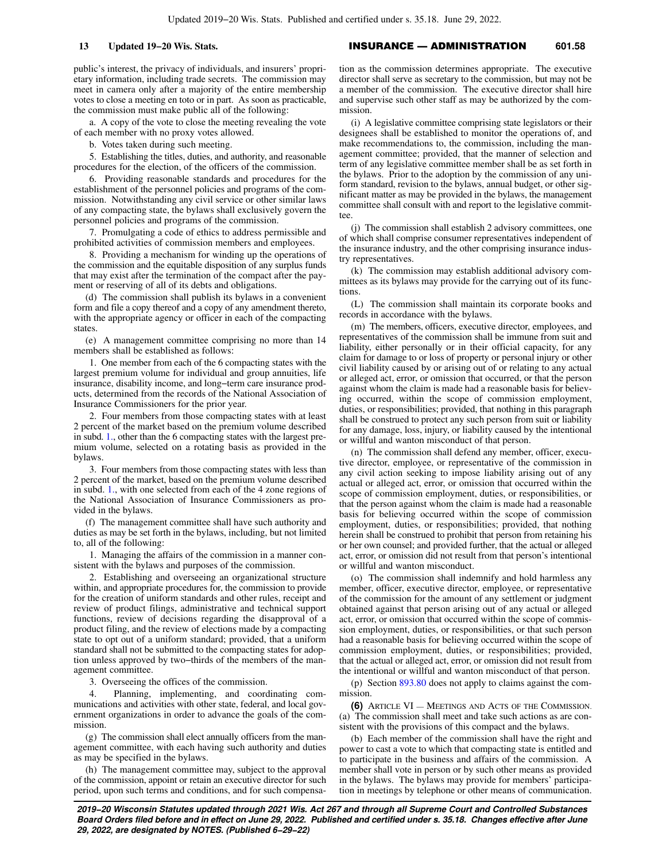public's interest, the privacy of individuals, and insurers' proprietary information, including trade secrets. The commission may meet in camera only after a majority of the entire membership votes to close a meeting en toto or in part. As soon as practicable, the commission must make public all of the following:

a. A copy of the vote to close the meeting revealing the vote of each member with no proxy votes allowed.

b. Votes taken during such meeting.

5. Establishing the titles, duties, and authority, and reasonable procedures for the election, of the officers of the commission.

6. Providing reasonable standards and procedures for the establishment of the personnel policies and programs of the commission. Notwithstanding any civil service or other similar laws of any compacting state, the bylaws shall exclusively govern the personnel policies and programs of the commission.

7. Promulgating a code of ethics to address permissible and prohibited activities of commission members and employees.

8. Providing a mechanism for winding up the operations of the commission and the equitable disposition of any surplus funds that may exist after the termination of the compact after the payment or reserving of all of its debts and obligations.

(d) The commission shall publish its bylaws in a convenient form and file a copy thereof and a copy of any amendment thereto, with the appropriate agency or officer in each of the compacting states.

(e) A management committee comprising no more than 14 members shall be established as follows:

1. One member from each of the 6 compacting states with the largest premium volume for individual and group annuities, life insurance, disability income, and long−term care insurance products, determined from the records of the National Association of Insurance Commissioners for the prior year.

2. Four members from those compacting states with at least 2 percent of the market based on the premium volume described in subd. [1.](https://docs.legis.wisconsin.gov/document/statutes/601.58(5)(e)1.), other than the 6 compacting states with the largest premium volume, selected on a rotating basis as provided in the bylaws.

3. Four members from those compacting states with less than 2 percent of the market, based on the premium volume described in subd. [1.,](https://docs.legis.wisconsin.gov/document/statutes/601.58(5)(e)1.) with one selected from each of the 4 zone regions of the National Association of Insurance Commissioners as provided in the bylaws.

(f) The management committee shall have such authority and duties as may be set forth in the bylaws, including, but not limited to, all of the following:

1. Managing the affairs of the commission in a manner consistent with the bylaws and purposes of the commission.

2. Establishing and overseeing an organizational structure within, and appropriate procedures for, the commission to provide for the creation of uniform standards and other rules, receipt and review of product filings, administrative and technical support functions, review of decisions regarding the disapproval of a product filing, and the review of elections made by a compacting state to opt out of a uniform standard; provided, that a uniform standard shall not be submitted to the compacting states for adoption unless approved by two−thirds of the members of the management committee.

3. Overseeing the offices of the commission.

4. Planning, implementing, and coordinating communications and activities with other state, federal, and local government organizations in order to advance the goals of the commission.

(g) The commission shall elect annually officers from the management committee, with each having such authority and duties as may be specified in the bylaws.

(h) The management committee may, subject to the approval of the commission, appoint or retain an executive director for such period, upon such terms and conditions, and for such compensa-

# **13 Updated 19−20 Wis. Stats.** INSURANCE — ADMINISTRATION **601.58**

tion as the commission determines appropriate. The executive director shall serve as secretary to the commission, but may not be a member of the commission. The executive director shall hire and supervise such other staff as may be authorized by the commission.

(i) A legislative committee comprising state legislators or their designees shall be established to monitor the operations of, and make recommendations to, the commission, including the management committee; provided, that the manner of selection and term of any legislative committee member shall be as set forth in the bylaws. Prior to the adoption by the commission of any uniform standard, revision to the bylaws, annual budget, or other significant matter as may be provided in the bylaws, the management committee shall consult with and report to the legislative committee.

(j) The commission shall establish 2 advisory committees, one of which shall comprise consumer representatives independent of the insurance industry, and the other comprising insurance industry representatives.

(k) The commission may establish additional advisory committees as its bylaws may provide for the carrying out of its functions.

(L) The commission shall maintain its corporate books and records in accordance with the bylaws.

(m) The members, officers, executive director, employees, and representatives of the commission shall be immune from suit and liability, either personally or in their official capacity, for any claim for damage to or loss of property or personal injury or other civil liability caused by or arising out of or relating to any actual or alleged act, error, or omission that occurred, or that the person against whom the claim is made had a reasonable basis for believing occurred, within the scope of commission employment, duties, or responsibilities; provided, that nothing in this paragraph shall be construed to protect any such person from suit or liability for any damage, loss, injury, or liability caused by the intentional or willful and wanton misconduct of that person.

(n) The commission shall defend any member, officer, executive director, employee, or representative of the commission in any civil action seeking to impose liability arising out of any actual or alleged act, error, or omission that occurred within the scope of commission employment, duties, or responsibilities, or that the person against whom the claim is made had a reasonable basis for believing occurred within the scope of commission employment, duties, or responsibilities; provided, that nothing herein shall be construed to prohibit that person from retaining his or her own counsel; and provided further, that the actual or alleged act, error, or omission did not result from that person's intentional or willful and wanton misconduct.

(o) The commission shall indemnify and hold harmless any member, officer, executive director, employee, or representative of the commission for the amount of any settlement or judgment obtained against that person arising out of any actual or alleged act, error, or omission that occurred within the scope of commission employment, duties, or responsibilities, or that such person had a reasonable basis for believing occurred within the scope of commission employment, duties, or responsibilities; provided, that the actual or alleged act, error, or omission did not result from the intentional or willful and wanton misconduct of that person.

(p) Section [893.80](https://docs.legis.wisconsin.gov/document/statutes/893.80) does not apply to claims against the commission.

**(6)** ARTICLE VI — MEETINGS AND ACTS OF THE COMMISSION. (a) The commission shall meet and take such actions as are consistent with the provisions of this compact and the bylaws.

(b) Each member of the commission shall have the right and power to cast a vote to which that compacting state is entitled and to participate in the business and affairs of the commission. A member shall vote in person or by such other means as provided in the bylaws. The bylaws may provide for members' participation in meetings by telephone or other means of communication.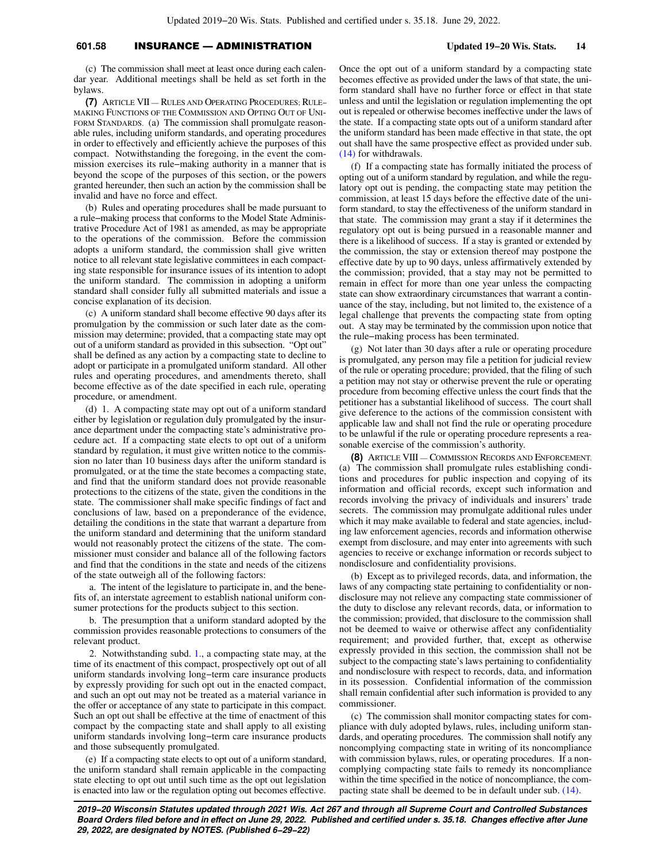# **601.58** INSURANCE — ADMINISTRATION **Updated 19−20 Wis. Stats. 14**

(c) The commission shall meet at least once during each calendar year. Additional meetings shall be held as set forth in the bylaws.

**(7)** ARTICLE VII — RULES AND OPERATING PROCEDURES; RULE− MAKING FUNCTIONS OF THE COMMISSION AND OPTING OUT OF UNI-FORM STANDARDS. (a) The commission shall promulgate reasonable rules, including uniform standards, and operating procedures in order to effectively and efficiently achieve the purposes of this compact. Notwithstanding the foregoing, in the event the commission exercises its rule−making authority in a manner that is beyond the scope of the purposes of this section, or the powers granted hereunder, then such an action by the commission shall be invalid and have no force and effect.

(b) Rules and operating procedures shall be made pursuant to a rule−making process that conforms to the Model State Administrative Procedure Act of 1981 as amended, as may be appropriate to the operations of the commission. Before the commission adopts a uniform standard, the commission shall give written notice to all relevant state legislative committees in each compacting state responsible for insurance issues of its intention to adopt the uniform standard. The commission in adopting a uniform standard shall consider fully all submitted materials and issue a concise explanation of its decision.

(c) A uniform standard shall become effective 90 days after its promulgation by the commission or such later date as the commission may determine; provided, that a compacting state may opt out of a uniform standard as provided in this subsection. "Opt out" shall be defined as any action by a compacting state to decline to adopt or participate in a promulgated uniform standard. All other rules and operating procedures, and amendments thereto, shall become effective as of the date specified in each rule, operating procedure, or amendment.

(d) 1. A compacting state may opt out of a uniform standard either by legislation or regulation duly promulgated by the insurance department under the compacting state's administrative procedure act. If a compacting state elects to opt out of a uniform standard by regulation, it must give written notice to the commission no later than 10 business days after the uniform standard is promulgated, or at the time the state becomes a compacting state, and find that the uniform standard does not provide reasonable protections to the citizens of the state, given the conditions in the state. The commissioner shall make specific findings of fact and conclusions of law, based on a preponderance of the evidence, detailing the conditions in the state that warrant a departure from the uniform standard and determining that the uniform standard would not reasonably protect the citizens of the state. The commissioner must consider and balance all of the following factors and find that the conditions in the state and needs of the citizens of the state outweigh all of the following factors:

a. The intent of the legislature to participate in, and the benefits of, an interstate agreement to establish national uniform consumer protections for the products subject to this section.

b. The presumption that a uniform standard adopted by the commission provides reasonable protections to consumers of the relevant product.

2. Notwithstanding subd. [1.](https://docs.legis.wisconsin.gov/document/statutes/601.58(7)(d)1.), a compacting state may, at the time of its enactment of this compact, prospectively opt out of all uniform standards involving long−term care insurance products by expressly providing for such opt out in the enacted compact, and such an opt out may not be treated as a material variance in the offer or acceptance of any state to participate in this compact. Such an opt out shall be effective at the time of enactment of this compact by the compacting state and shall apply to all existing uniform standards involving long−term care insurance products and those subsequently promulgated.

(e) If a compacting state elects to opt out of a uniform standard, the uniform standard shall remain applicable in the compacting state electing to opt out until such time as the opt out legislation is enacted into law or the regulation opting out becomes effective. Once the opt out of a uniform standard by a compacting state becomes effective as provided under the laws of that state, the uniform standard shall have no further force or effect in that state unless and until the legislation or regulation implementing the opt out is repealed or otherwise becomes ineffective under the laws of the state. If a compacting state opts out of a uniform standard after the uniform standard has been made effective in that state, the opt out shall have the same prospective effect as provided under sub. [\(14\)](https://docs.legis.wisconsin.gov/document/statutes/601.58(14)) for withdrawals.

(f) If a compacting state has formally initiated the process of opting out of a uniform standard by regulation, and while the regulatory opt out is pending, the compacting state may petition the commission, at least 15 days before the effective date of the uniform standard, to stay the effectiveness of the uniform standard in that state. The commission may grant a stay if it determines the regulatory opt out is being pursued in a reasonable manner and there is a likelihood of success. If a stay is granted or extended by the commission, the stay or extension thereof may postpone the effective date by up to 90 days, unless affirmatively extended by the commission; provided, that a stay may not be permitted to remain in effect for more than one year unless the compacting state can show extraordinary circumstances that warrant a continuance of the stay, including, but not limited to, the existence of a legal challenge that prevents the compacting state from opting out. A stay may be terminated by the commission upon notice that the rule−making process has been terminated.

(g) Not later than 30 days after a rule or operating procedure is promulgated, any person may file a petition for judicial review of the rule or operating procedure; provided, that the filing of such a petition may not stay or otherwise prevent the rule or operating procedure from becoming effective unless the court finds that the petitioner has a substantial likelihood of success. The court shall give deference to the actions of the commission consistent with applicable law and shall not find the rule or operating procedure to be unlawful if the rule or operating procedure represents a reasonable exercise of the commission's authority.

**(8)** ARTICLE VIII — COMMISSION RECORDS AND ENFORCEMENT. (a) The commission shall promulgate rules establishing conditions and procedures for public inspection and copying of its information and official records, except such information and records involving the privacy of individuals and insurers' trade secrets. The commission may promulgate additional rules under which it may make available to federal and state agencies, including law enforcement agencies, records and information otherwise exempt from disclosure, and may enter into agreements with such agencies to receive or exchange information or records subject to nondisclosure and confidentiality provisions.

(b) Except as to privileged records, data, and information, the laws of any compacting state pertaining to confidentiality or nondisclosure may not relieve any compacting state commissioner of the duty to disclose any relevant records, data, or information to the commission; provided, that disclosure to the commission shall not be deemed to waive or otherwise affect any confidentiality requirement; and provided further, that, except as otherwise expressly provided in this section, the commission shall not be subject to the compacting state's laws pertaining to confidentiality and nondisclosure with respect to records, data, and information in its possession. Confidential information of the commission shall remain confidential after such information is provided to any commissioner.

(c) The commission shall monitor compacting states for compliance with duly adopted bylaws, rules, including uniform standards, and operating procedures. The commission shall notify any noncomplying compacting state in writing of its noncompliance with commission bylaws, rules, or operating procedures. If a noncomplying compacting state fails to remedy its noncompliance within the time specified in the notice of noncompliance, the compacting state shall be deemed to be in default under sub. [\(14\)](https://docs.legis.wisconsin.gov/document/statutes/601.58(14)).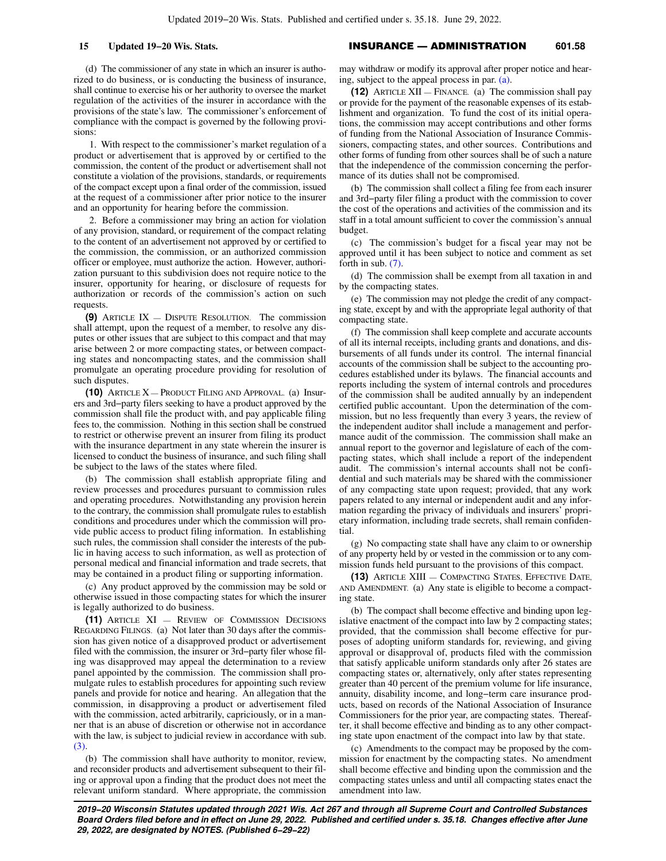(d) The commissioner of any state in which an insurer is authorized to do business, or is conducting the business of insurance, shall continue to exercise his or her authority to oversee the market regulation of the activities of the insurer in accordance with the provisions of the state's law. The commissioner's enforcement of compliance with the compact is governed by the following provisions:

1. With respect to the commissioner's market regulation of a product or advertisement that is approved by or certified to the commission, the content of the product or advertisement shall not constitute a violation of the provisions, standards, or requirements of the compact except upon a final order of the commission, issued at the request of a commissioner after prior notice to the insurer and an opportunity for hearing before the commission.

2. Before a commissioner may bring an action for violation of any provision, standard, or requirement of the compact relating to the content of an advertisement not approved by or certified to the commission, the commission, or an authorized commission officer or employee, must authorize the action. However, authorization pursuant to this subdivision does not require notice to the insurer, opportunity for hearing, or disclosure of requests for authorization or records of the commission's action on such requests.

**(9)** ARTICLE IX — DISPUTE RESOLUTION. The commission shall attempt, upon the request of a member, to resolve any disputes or other issues that are subject to this compact and that may arise between 2 or more compacting states, or between compacting states and noncompacting states, and the commission shall promulgate an operating procedure providing for resolution of such disputes.

**(10)** ARTICLE X — PRODUCT FILING AND APPROVAL. (a) Insurers and 3rd−party filers seeking to have a product approved by the commission shall file the product with, and pay applicable filing fees to, the commission. Nothing in this section shall be construed to restrict or otherwise prevent an insurer from filing its product with the insurance department in any state wherein the insurer is licensed to conduct the business of insurance, and such filing shall be subject to the laws of the states where filed.

(b) The commission shall establish appropriate filing and review processes and procedures pursuant to commission rules and operating procedures. Notwithstanding any provision herein to the contrary, the commission shall promulgate rules to establish conditions and procedures under which the commission will provide public access to product filing information. In establishing such rules, the commission shall consider the interests of the public in having access to such information, as well as protection of personal medical and financial information and trade secrets, that may be contained in a product filing or supporting information.

(c) Any product approved by the commission may be sold or otherwise issued in those compacting states for which the insurer is legally authorized to do business.

**(11)** ARTICLE XI — REVIEW OF COMMISSION DECISIONS REGARDING FILINGS. (a) Not later than 30 days after the commission has given notice of a disapproved product or advertisement filed with the commission, the insurer or 3rd−party filer whose filing was disapproved may appeal the determination to a review panel appointed by the commission. The commission shall promulgate rules to establish procedures for appointing such review panels and provide for notice and hearing. An allegation that the commission, in disapproving a product or advertisement filed with the commission, acted arbitrarily, capriciously, or in a manner that is an abuse of discretion or otherwise not in accordance with the law, is subject to judicial review in accordance with sub. [\(3\)](https://docs.legis.wisconsin.gov/document/statutes/601.58(3)).

(b) The commission shall have authority to monitor, review, and reconsider products and advertisement subsequent to their filing or approval upon a finding that the product does not meet the relevant uniform standard. Where appropriate, the commission

# **15 Updated 19−20 Wis. Stats.** INSURANCE — ADMINISTRATION **601.58**

may withdraw or modify its approval after proper notice and hearing, subject to the appeal process in par. [\(a\).](https://docs.legis.wisconsin.gov/document/statutes/601.58(11)(a))

**(12)** ARTICLE XII — FINANCE. (a) The commission shall pay or provide for the payment of the reasonable expenses of its establishment and organization. To fund the cost of its initial operations, the commission may accept contributions and other forms of funding from the National Association of Insurance Commissioners, compacting states, and other sources. Contributions and other forms of funding from other sources shall be of such a nature that the independence of the commission concerning the performance of its duties shall not be compromised.

(b) The commission shall collect a filing fee from each insurer and 3rd−party filer filing a product with the commission to cover the cost of the operations and activities of the commission and its staff in a total amount sufficient to cover the commission's annual budget.

(c) The commission's budget for a fiscal year may not be approved until it has been subject to notice and comment as set forth in sub. [\(7\).](https://docs.legis.wisconsin.gov/document/statutes/601.58(7))

(d) The commission shall be exempt from all taxation in and by the compacting states.

(e) The commission may not pledge the credit of any compacting state, except by and with the appropriate legal authority of that compacting state.

(f) The commission shall keep complete and accurate accounts of all its internal receipts, including grants and donations, and disbursements of all funds under its control. The internal financial accounts of the commission shall be subject to the accounting procedures established under its bylaws. The financial accounts and reports including the system of internal controls and procedures of the commission shall be audited annually by an independent certified public accountant. Upon the determination of the commission, but no less frequently than every 3 years, the review of the independent auditor shall include a management and performance audit of the commission. The commission shall make an annual report to the governor and legislature of each of the compacting states, which shall include a report of the independent audit. The commission's internal accounts shall not be confidential and such materials may be shared with the commissioner of any compacting state upon request; provided, that any work papers related to any internal or independent audit and any information regarding the privacy of individuals and insurers' proprietary information, including trade secrets, shall remain confidential.

(g) No compacting state shall have any claim to or ownership of any property held by or vested in the commission or to any commission funds held pursuant to the provisions of this compact.

**(13)** ARTICLE XIII — COMPACTING STATES, EFFECTIVE DATE, AND AMENDMENT. (a) Any state is eligible to become a compacting state.

(b) The compact shall become effective and binding upon legislative enactment of the compact into law by 2 compacting states; provided, that the commission shall become effective for purposes of adopting uniform standards for, reviewing, and giving approval or disapproval of, products filed with the commission that satisfy applicable uniform standards only after 26 states are compacting states or, alternatively, only after states representing greater than 40 percent of the premium volume for life insurance, annuity, disability income, and long−term care insurance products, based on records of the National Association of Insurance Commissioners for the prior year, are compacting states. Thereafter, it shall become effective and binding as to any other compacting state upon enactment of the compact into law by that state.

(c) Amendments to the compact may be proposed by the commission for enactment by the compacting states. No amendment shall become effective and binding upon the commission and the compacting states unless and until all compacting states enact the amendment into law.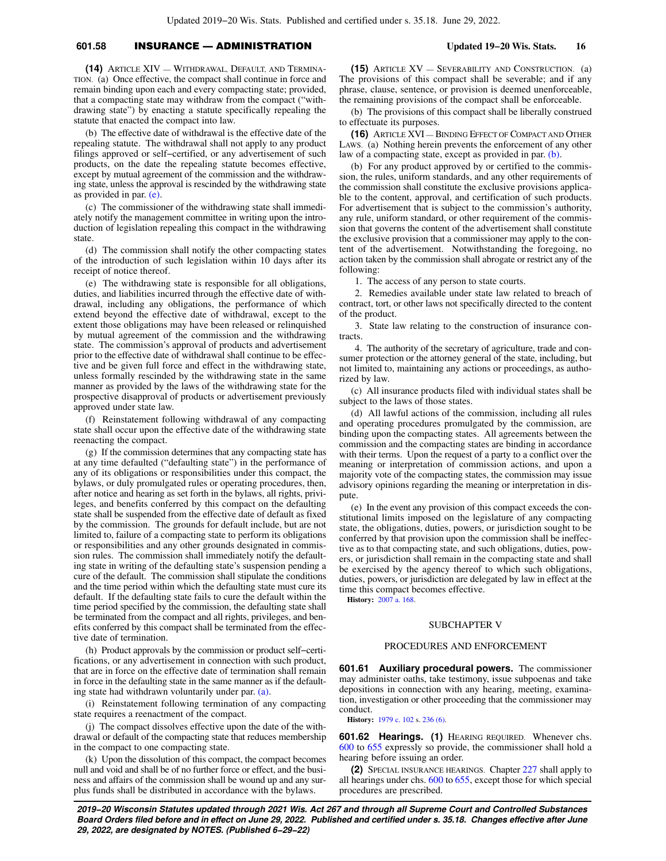# **601.58** INSURANCE — ADMINISTRATION **Updated 19−20 Wis. Stats. 16**

**(14)** ARTICLE XIV — WITHDRAWAL, DEFAULT, AND TERMINA-TION. (a) Once effective, the compact shall continue in force and remain binding upon each and every compacting state; provided, that a compacting state may withdraw from the compact ("withdrawing state") by enacting a statute specifically repealing the statute that enacted the compact into law.

(b) The effective date of withdrawal is the effective date of the repealing statute. The withdrawal shall not apply to any product filings approved or self−certified, or any advertisement of such products, on the date the repealing statute becomes effective, except by mutual agreement of the commission and the withdrawing state, unless the approval is rescinded by the withdrawing state as provided in par. [\(e\).](https://docs.legis.wisconsin.gov/document/statutes/601.58(14)(e))

(c) The commissioner of the withdrawing state shall immediately notify the management committee in writing upon the introduction of legislation repealing this compact in the withdrawing state.

(d) The commission shall notify the other compacting states of the introduction of such legislation within 10 days after its receipt of notice thereof.

(e) The withdrawing state is responsible for all obligations, duties, and liabilities incurred through the effective date of withdrawal, including any obligations, the performance of which extend beyond the effective date of withdrawal, except to the extent those obligations may have been released or relinquished by mutual agreement of the commission and the withdrawing state. The commission's approval of products and advertisement prior to the effective date of withdrawal shall continue to be effective and be given full force and effect in the withdrawing state, unless formally rescinded by the withdrawing state in the same manner as provided by the laws of the withdrawing state for the prospective disapproval of products or advertisement previously approved under state law.

(f) Reinstatement following withdrawal of any compacting state shall occur upon the effective date of the withdrawing state reenacting the compact.

(g) If the commission determines that any compacting state has at any time defaulted ("defaulting state") in the performance of any of its obligations or responsibilities under this compact, the bylaws, or duly promulgated rules or operating procedures, then, after notice and hearing as set forth in the bylaws, all rights, privileges, and benefits conferred by this compact on the defaulting state shall be suspended from the effective date of default as fixed by the commission. The grounds for default include, but are not limited to, failure of a compacting state to perform its obligations or responsibilities and any other grounds designated in commission rules. The commission shall immediately notify the defaulting state in writing of the defaulting state's suspension pending a cure of the default. The commission shall stipulate the conditions and the time period within which the defaulting state must cure its default. If the defaulting state fails to cure the default within the time period specified by the commission, the defaulting state shall be terminated from the compact and all rights, privileges, and benefits conferred by this compact shall be terminated from the effective date of termination.

(h) Product approvals by the commission or product self−certifications, or any advertisement in connection with such product, that are in force on the effective date of termination shall remain in force in the defaulting state in the same manner as if the defaulting state had withdrawn voluntarily under par. [\(a\)](https://docs.legis.wisconsin.gov/document/statutes/601.58(14)(a)).

(i) Reinstatement following termination of any compacting state requires a reenactment of the compact.

(j) The compact dissolves effective upon the date of the withdrawal or default of the compacting state that reduces membership in the compact to one compacting state.

(k) Upon the dissolution of this compact, the compact becomes null and void and shall be of no further force or effect, and the business and affairs of the commission shall be wound up and any surplus funds shall be distributed in accordance with the bylaws.

**(15)** ARTICLE XV — SEVERABILITY AND CONSTRUCTION. (a) The provisions of this compact shall be severable; and if any phrase, clause, sentence, or provision is deemed unenforceable, the remaining provisions of the compact shall be enforceable.

(b) The provisions of this compact shall be liberally construed to effectuate its purposes.

**(16)** ARTICLE XVI — BINDING EFFECT OF COMPACT AND OTHER LAWS. (a) Nothing herein prevents the enforcement of any other law of a compacting state, except as provided in par. [\(b\).](https://docs.legis.wisconsin.gov/document/statutes/601.58(16)(b))

(b) For any product approved by or certified to the commission, the rules, uniform standards, and any other requirements of the commission shall constitute the exclusive provisions applicable to the content, approval, and certification of such products. For advertisement that is subject to the commission's authority, any rule, uniform standard, or other requirement of the commission that governs the content of the advertisement shall constitute the exclusive provision that a commissioner may apply to the content of the advertisement. Notwithstanding the foregoing, no action taken by the commission shall abrogate or restrict any of the following:

1. The access of any person to state courts.

2. Remedies available under state law related to breach of contract, tort, or other laws not specifically directed to the content of the product.

3. State law relating to the construction of insurance contracts.

4. The authority of the secretary of agriculture, trade and consumer protection or the attorney general of the state, including, but not limited to, maintaining any actions or proceedings, as authorized by law.

(c) All insurance products filed with individual states shall be subject to the laws of those states.

(d) All lawful actions of the commission, including all rules and operating procedures promulgated by the commission, are binding upon the compacting states. All agreements between the commission and the compacting states are binding in accordance with their terms. Upon the request of a party to a conflict over the meaning or interpretation of commission actions, and upon a majority vote of the compacting states, the commission may issue advisory opinions regarding the meaning or interpretation in dispute.

(e) In the event any provision of this compact exceeds the constitutional limits imposed on the legislature of any compacting state, the obligations, duties, powers, or jurisdiction sought to be conferred by that provision upon the commission shall be ineffective as to that compacting state, and such obligations, duties, powers, or jurisdiction shall remain in the compacting state and shall be exercised by the agency thereof to which such obligations, duties, powers, or jurisdiction are delegated by law in effect at the time this compact becomes effective.

**History:** [2007 a. 168.](https://docs.legis.wisconsin.gov/document/acts/2007/168)

## SUBCHAPTER V

### PROCEDURES AND ENFORCEMENT

**601.61 Auxiliary procedural powers.** The commissioner may administer oaths, take testimony, issue subpoenas and take depositions in connection with any hearing, meeting, examination, investigation or other proceeding that the commissioner may conduct.

**History:** [1979 c. 102](https://docs.legis.wisconsin.gov/document/acts/1979/102) s. [236 \(6\)](https://docs.legis.wisconsin.gov/document/acts/1979/102,%20s.%20236).

**601.62 Hearings. (1)** HEARING REQUIRED. Whenever chs. [600](https://docs.legis.wisconsin.gov/document/statutes/ch.%20600) to [655](https://docs.legis.wisconsin.gov/document/statutes/ch.%20655) expressly so provide, the commissioner shall hold a hearing before issuing an order.

**(2)** SPECIAL INSURANCE HEARINGS. Chapter [227](https://docs.legis.wisconsin.gov/document/statutes/ch.%20227) shall apply to all hearings under chs. [600](https://docs.legis.wisconsin.gov/document/statutes/ch.%20600) to [655](https://docs.legis.wisconsin.gov/document/statutes/ch.%20655), except those for which special procedures are prescribed.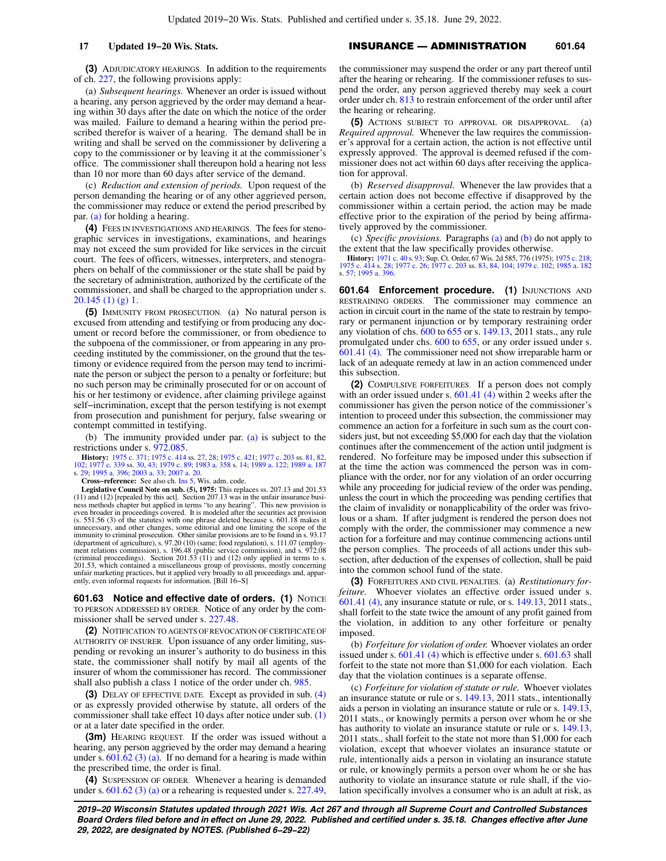the hearing or rehearing.

**(3)** ADJUDICATORY HEARINGS. In addition to the requirements of ch. [227](https://docs.legis.wisconsin.gov/document/statutes/ch.%20227), the following provisions apply:

(a) *Subsequent hearings.* Whenever an order is issued without a hearing, any person aggrieved by the order may demand a hearing within 30 days after the date on which the notice of the order was mailed. Failure to demand a hearing within the period prescribed therefor is waiver of a hearing. The demand shall be in writing and shall be served on the commissioner by delivering a copy to the commissioner or by leaving it at the commissioner's office. The commissioner shall thereupon hold a hearing not less than 10 nor more than 60 days after service of the demand.

(c) *Reduction and extension of periods.* Upon request of the person demanding the hearing or of any other aggrieved person, the commissioner may reduce or extend the period prescribed by par. [\(a\)](https://docs.legis.wisconsin.gov/document/statutes/601.62(3)(a)) for holding a hearing.

**(4)** FEES IN INVESTIGATIONS AND HEARINGS. The fees for stenographic services in investigations, examinations, and hearings may not exceed the sum provided for like services in the circuit court. The fees of officers, witnesses, interpreters, and stenographers on behalf of the commissioner or the state shall be paid by the secretary of administration, authorized by the certificate of the commissioner, and shall be charged to the appropriation under s. [20.145 \(1\) \(g\) 1.](https://docs.legis.wisconsin.gov/document/statutes/20.145(1)(g)1.)

**(5)** IMMUNITY FROM PROSECUTION. (a) No natural person is excused from attending and testifying or from producing any document or record before the commissioner, or from obedience to the subpoena of the commissioner, or from appearing in any proceeding instituted by the commissioner, on the ground that the testimony or evidence required from the person may tend to incriminate the person or subject the person to a penalty or forfeiture; but no such person may be criminally prosecuted for or on account of his or her testimony or evidence, after claiming privilege against self−incrimination, except that the person testifying is not exempt from prosecution and punishment for perjury, false swearing or contempt committed in testifying.

(b) The immunity provided under par. [\(a\)](https://docs.legis.wisconsin.gov/document/statutes/601.62(5)(a)) is subject to the restrictions under s. [972.085.](https://docs.legis.wisconsin.gov/document/statutes/972.085)

**History:** [1975 c. 371](https://docs.legis.wisconsin.gov/document/acts/1975/371); [1975 c. 414](https://docs.legis.wisconsin.gov/document/acts/1975/414) ss. [27,](https://docs.legis.wisconsin.gov/document/acts/1975/414,%20s.%2027) [28;](https://docs.legis.wisconsin.gov/document/acts/1975/414,%20s.%2028) [1975 c. 421;](https://docs.legis.wisconsin.gov/document/acts/1975/421) [1977 c. 203](https://docs.legis.wisconsin.gov/document/acts/1977/203) ss. [81](https://docs.legis.wisconsin.gov/document/acts/1977/203,%20s.%2081), [82](https://docs.legis.wisconsin.gov/document/acts/1977/203,%20s.%2082), [102](https://docs.legis.wisconsin.gov/document/acts/1977/203,%20s.%20102); [1977 c. 339](https://docs.legis.wisconsin.gov/document/acts/1977/339) ss. [30](https://docs.legis.wisconsin.gov/document/acts/1977/339,%20s.%2030), [43;](https://docs.legis.wisconsin.gov/document/acts/1977/339,%20s.%2043) [1979 c. 89;](https://docs.legis.wisconsin.gov/document/acts/1979/89) [1983 a. 358](https://docs.legis.wisconsin.gov/document/acts/1983/358) s. [14](https://docs.legis.wisconsin.gov/document/acts/1983/358,%20s.%2014); [1989 a. 122;](https://docs.legis.wisconsin.gov/document/acts/1989/122) [1989 a. 187](https://docs.legis.wisconsin.gov/document/acts/1989/187) s. [29](https://docs.legis.wisconsin.gov/document/acts/1989/187,%20s.%2029); [1995 a. 396;](https://docs.legis.wisconsin.gov/document/acts/1995/396) [2003 a. 33;](https://docs.legis.wisconsin.gov/document/acts/2003/33) [2007 a. 20](https://docs.legis.wisconsin.gov/document/acts/2007/20).

**Cross−reference:** See also ch. [Ins 5,](https://docs.legis.wisconsin.gov/document/administrativecode/ch.%20Ins%205) Wis. adm. code.

**Legislative Council Note on sub. (5), 1975:** This replaces ss. 207.13 and 201.53 ness nethods to this act]. (11) and (12) [recaled by this act]. Section 207.13 was in the unfair insurance business methods chapter but appl even broader in proceedings covered. It is modeled after the securities act provision<br>(s. 551.56 (3) of the statutes) with one phrase deleted because s. 601.18 makes it<br>unnecessary, and other changes, some editorial and on immunity to criminal prosecution. Other similar provisions are to be found in s. 93.17 (department of agriculture), s. 97.20 (10) (same; food regulation), s. 11.07 (employ-<br>ment relations commission), s. 196.48 (public ser 201.53, which contained a miscellaneous group of provisions, mostly concerning unfair marketing practices, but it applied very broadly to all proceedings and, apparently, even informal requests for information. [Bill 16−S]

**601.63 Notice and effective date of orders. (1) NOTICE** TO PERSON ADDRESSED BY ORDER. Notice of any order by the com-missioner shall be served under s. [227.48](https://docs.legis.wisconsin.gov/document/statutes/227.48).

**(2)** NOTIFICATION TO AGENTS OF REVOCATION OF CERTIFICATE OF AUTHORITY OF INSURER. Upon issuance of any order limiting, suspending or revoking an insurer's authority to do business in this state, the commissioner shall notify by mail all agents of the insurer of whom the commissioner has record. The commissioner shall also publish a class 1 notice of the order under ch. [985](https://docs.legis.wisconsin.gov/document/statutes/ch.%20985).

**(3)** DELAY OF EFFECTIVE DATE. Except as provided in sub. [\(4\)](https://docs.legis.wisconsin.gov/document/statutes/601.63(4)) or as expressly provided otherwise by statute, all orders of the commissioner shall take effect 10 days after notice under sub. [\(1\)](https://docs.legis.wisconsin.gov/document/statutes/601.63(1)) or at a later date specified in the order.

**(3m)** HEARING REQUEST. If the order was issued without a hearing, any person aggrieved by the order may demand a hearing under s.  $601.62$  (3) (a). If no demand for a hearing is made within the prescribed time, the order is final.

**(4)** SUSPENSION OF ORDER. Whenever a hearing is demanded under s.  $601.62$  (3) (a) or a rehearing is requested under s.  $227.49$ ,

the commissioner may suspend the order or any part thereof until after the hearing or rehearing. If the commissioner refuses to suspend the order, any person aggrieved thereby may seek a court order under ch. [813](https://docs.legis.wisconsin.gov/document/statutes/ch.%20813) to restrain enforcement of the order until after

**(5)** ACTIONS SUBJECT TO APPROVAL OR DISAPPROVAL. (a) *Required approval.* Whenever the law requires the commissioner's approval for a certain action, the action is not effective until expressly approved. The approval is deemed refused if the commissioner does not act within 60 days after receiving the application for approval.

(b) *Reserved disapproval.* Whenever the law provides that a certain action does not become effective if disapproved by the commissioner within a certain period, the action may be made effective prior to the expiration of the period by being affirmatively approved by the commissioner.

(c) *Specific provisions.* Paragraphs [\(a\)](https://docs.legis.wisconsin.gov/document/statutes/601.63(5)(a)) and [\(b\)](https://docs.legis.wisconsin.gov/document/statutes/601.63(5)(b)) do not apply to the extent that the law specifically provides otherwise.

**History:** [1971 c. 40](https://docs.legis.wisconsin.gov/document/acts/1971/40) s. [93](https://docs.legis.wisconsin.gov/document/acts/1971/40,%20s.%2093); Sup. Ct. Order, 67 Wis. 2d 585, 776 (1975); [1975 c. 218](https://docs.legis.wisconsin.gov/document/acts/1975/218); [1975 c. 414](https://docs.legis.wisconsin.gov/document/acts/1975/414) s. [28;](https://docs.legis.wisconsin.gov/document/acts/1975/414,%20s.%2028) [1977 c. 26;](https://docs.legis.wisconsin.gov/document/acts/1977/26) [1977 c. 203](https://docs.legis.wisconsin.gov/document/acts/1977/203) ss. [83,](https://docs.legis.wisconsin.gov/document/acts/1977/203,%20s.%2083) [84](https://docs.legis.wisconsin.gov/document/acts/1977/203,%20s.%2084), [104](https://docs.legis.wisconsin.gov/document/acts/1977/203,%20s.%20104); [1979 c. 102;](https://docs.legis.wisconsin.gov/document/acts/1979/102) [1985 a. 182](https://docs.legis.wisconsin.gov/document/acts/1985/182) s. [57](https://docs.legis.wisconsin.gov/document/acts/1985/182,%20s.%2057); [1995 a. 396.](https://docs.legis.wisconsin.gov/document/acts/1995/396)

**601.64 Enforcement procedure. (1) INJUNCTIONS AND** RESTRAINING ORDERS. The commissioner may commence an action in circuit court in the name of the state to restrain by temporary or permanent injunction or by temporary restraining order any violation of chs. [600](https://docs.legis.wisconsin.gov/document/statutes/ch.%20600) to [655](https://docs.legis.wisconsin.gov/document/statutes/ch.%20655) or s. [149.13,](https://docs.legis.wisconsin.gov/document/statutes/2011/149.13) 2011 stats., any rule promulgated under chs. [600](https://docs.legis.wisconsin.gov/document/statutes/ch.%20600) to [655,](https://docs.legis.wisconsin.gov/document/statutes/ch.%20655) or any order issued under s. [601.41 \(4\)](https://docs.legis.wisconsin.gov/document/statutes/601.41(4)). The commissioner need not show irreparable harm or lack of an adequate remedy at law in an action commenced under this subsection.

**(2)** COMPULSIVE FORFEITURES. If a person does not comply with an order issued under s. [601.41 \(4\)](https://docs.legis.wisconsin.gov/document/statutes/601.41(4)) within 2 weeks after the commissioner has given the person notice of the commissioner's intention to proceed under this subsection, the commissioner may commence an action for a forfeiture in such sum as the court considers just, but not exceeding \$5,000 for each day that the violation continues after the commencement of the action until judgment is rendered. No forfeiture may be imposed under this subsection if at the time the action was commenced the person was in compliance with the order, nor for any violation of an order occurring while any proceeding for judicial review of the order was pending, unless the court in which the proceeding was pending certifies that the claim of invalidity or nonapplicability of the order was frivolous or a sham. If after judgment is rendered the person does not comply with the order, the commissioner may commence a new action for a forfeiture and may continue commencing actions until the person complies. The proceeds of all actions under this subsection, after deduction of the expenses of collection, shall be paid into the common school fund of the state.

**(3)** FORFEITURES AND CIVIL PENALTIES. (a) *Restitutionary forfeiture.* Whoever violates an effective order issued under s. [601.41 \(4\)](https://docs.legis.wisconsin.gov/document/statutes/601.41(4)), any insurance statute or rule, or s. [149.13,](https://docs.legis.wisconsin.gov/document/statutes/2011/149.13) 2011 stats., shall forfeit to the state twice the amount of any profit gained from the violation, in addition to any other forfeiture or penalty imposed.

(b) *Forfeiture for violation of order.* Whoever violates an order issued under s. [601.41 \(4\)](https://docs.legis.wisconsin.gov/document/statutes/601.41(4)) which is effective under s. [601.63](https://docs.legis.wisconsin.gov/document/statutes/601.63) shall forfeit to the state not more than \$1,000 for each violation. Each day that the violation continues is a separate offense.

(c) *Forfeiture for violation of statute or rule.* Whoever violates an insurance statute or rule or s. [149.13](https://docs.legis.wisconsin.gov/document/statutes/2011/149.13), 2011 stats., intentionally aids a person in violating an insurance statute or rule or s. [149.13,](https://docs.legis.wisconsin.gov/document/statutes/2011/149.13) 2011 stats., or knowingly permits a person over whom he or she has authority to violate an insurance statute or rule or s. [149.13,](https://docs.legis.wisconsin.gov/document/statutes/2011/149.13) 2011 stats., shall forfeit to the state not more than \$1,000 for each violation, except that whoever violates an insurance statute or rule, intentionally aids a person in violating an insurance statute or rule, or knowingly permits a person over whom he or she has authority to violate an insurance statute or rule shall, if the violation specifically involves a consumer who is an adult at risk, as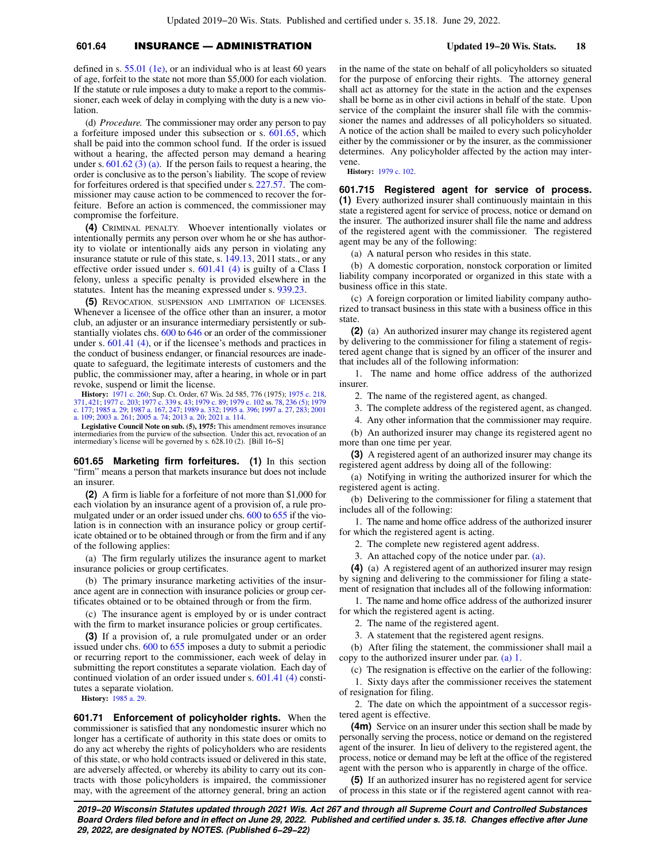# **601.64** INSURANCE — ADMINISTRATION **Updated 19−20 Wis. Stats. 18**

defined in s. [55.01 \(1e\),](https://docs.legis.wisconsin.gov/document/statutes/55.01(1e)) or an individual who is at least 60 years of age, forfeit to the state not more than \$5,000 for each violation. If the statute or rule imposes a duty to make a report to the commissioner, each week of delay in complying with the duty is a new violation.

(d) *Procedure.* The commissioner may order any person to pay a forfeiture imposed under this subsection or s. [601.65](https://docs.legis.wisconsin.gov/document/statutes/601.65), which shall be paid into the common school fund. If the order is issued without a hearing, the affected person may demand a hearing under s.  $601.62$  (3) (a). If the person fails to request a hearing, the order is conclusive as to the person's liability. The scope of review for forfeitures ordered is that specified under s. [227.57](https://docs.legis.wisconsin.gov/document/statutes/227.57). The commissioner may cause action to be commenced to recover the forfeiture. Before an action is commenced, the commissioner may compromise the forfeiture.

**(4)** CRIMINAL PENALTY. Whoever intentionally violates or intentionally permits any person over whom he or she has authority to violate or intentionally aids any person in violating any insurance statute or rule of this state, s. [149.13,](https://docs.legis.wisconsin.gov/document/statutes/2011/149.13) 2011 stats., or any effective order issued under s. [601.41 \(4\)](https://docs.legis.wisconsin.gov/document/statutes/601.41(4)) is guilty of a Class I felony, unless a specific penalty is provided elsewhere in the statutes. Intent has the meaning expressed under s. [939.23](https://docs.legis.wisconsin.gov/document/statutes/939.23).

**(5)** REVOCATION, SUSPENSION AND LIMITATION OF LICENSES. Whenever a licensee of the office other than an insurer, a motor club, an adjuster or an insurance intermediary persistently or substantially violates chs. [600](https://docs.legis.wisconsin.gov/document/statutes/ch.%20600) to [646](https://docs.legis.wisconsin.gov/document/statutes/ch.%20646) or an order of the commissioner under s. [601.41 \(4\),](https://docs.legis.wisconsin.gov/document/statutes/601.41(4)) or if the licensee's methods and practices in the conduct of business endanger, or financial resources are inadequate to safeguard, the legitimate interests of customers and the public, the commissioner may, after a hearing, in whole or in part revoke, suspend or limit the license.

**History:** [1971 c. 260](https://docs.legis.wisconsin.gov/document/acts/1971/260); Sup. Ct. Order, 67 Wis. 2d 585, 776 (1975); [1975 c. 218](https://docs.legis.wisconsin.gov/document/acts/1975/218), [371](https://docs.legis.wisconsin.gov/document/acts/1975/371), [421;](https://docs.legis.wisconsin.gov/document/acts/1975/421) [1977 c. 203;](https://docs.legis.wisconsin.gov/document/acts/1977/203) [1977 c. 339](https://docs.legis.wisconsin.gov/document/acts/1977/339) s. [43](https://docs.legis.wisconsin.gov/document/acts/1977/339,%20s.%2043); [1979 c. 89;](https://docs.legis.wisconsin.gov/document/acts/1979/89) [1979 c. 102](https://docs.legis.wisconsin.gov/document/acts/1979/102) ss. [78,](https://docs.legis.wisconsin.gov/document/acts/1979/102,%20s.%2078) [236 \(5\);](https://docs.legis.wisconsin.gov/document/acts/1979/102,%20s.%20236) [1979](https://docs.legis.wisconsin.gov/document/acts/1979/177) [c. 177;](https://docs.legis.wisconsin.gov/document/acts/1979/177) [1985 a. 29;](https://docs.legis.wisconsin.gov/document/acts/1985/29) [1987 a. 167](https://docs.legis.wisconsin.gov/document/acts/1987/167), [247;](https://docs.legis.wisconsin.gov/document/acts/1987/247) [1989 a. 332](https://docs.legis.wisconsin.gov/document/acts/1989/332); [1995 a. 396;](https://docs.legis.wisconsin.gov/document/acts/1995/396) [1997 a. 27,](https://docs.legis.wisconsin.gov/document/acts/1997/27) [283;](https://docs.legis.wisconsin.gov/document/acts/1997/283) [2001](https://docs.legis.wisconsin.gov/document/acts/2001/109) [a. 109;](https://docs.legis.wisconsin.gov/document/acts/2001/109) [2003 a. 261;](https://docs.legis.wisconsin.gov/document/acts/2003/261) [2005 a. 74;](https://docs.legis.wisconsin.gov/document/acts/2005/74) [2013 a. 20;](https://docs.legis.wisconsin.gov/document/acts/2013/20) [2021 a. 114](https://docs.legis.wisconsin.gov/document/acts/2021/114).

**Legislative Council Note on sub. (5), 1975:** This amendment removes insurance intermediaries from the purview of the subsection. Under this act, revocation of an intermediary's license will be governed by s. 628.10 (2). [Bill 16−S]

**601.65 Marketing firm forfeitures. (1)** In this section "firm" means a person that markets insurance but does not include an insurer.

**(2)** A firm is liable for a forfeiture of not more than \$1,000 for each violation by an insurance agent of a provision of, a rule pro-mulgated under or an order issued under chs. [600](https://docs.legis.wisconsin.gov/document/statutes/ch.%20600) to [655](https://docs.legis.wisconsin.gov/document/statutes/ch.%20655) if the violation is in connection with an insurance policy or group certificate obtained or to be obtained through or from the firm and if any of the following applies:

(a) The firm regularly utilizes the insurance agent to market insurance policies or group certificates.

(b) The primary insurance marketing activities of the insurance agent are in connection with insurance policies or group certificates obtained or to be obtained through or from the firm.

(c) The insurance agent is employed by or is under contract with the firm to market insurance policies or group certificates.

**(3)** If a provision of, a rule promulgated under or an order issued under chs. [600](https://docs.legis.wisconsin.gov/document/statutes/ch.%20600) to [655](https://docs.legis.wisconsin.gov/document/statutes/ch.%20655) imposes a duty to submit a periodic or recurring report to the commissioner, each week of delay in submitting the report constitutes a separate violation. Each day of continued violation of an order issued under s. [601.41 \(4\)](https://docs.legis.wisconsin.gov/document/statutes/601.41(4)) constitutes a separate violation.

**History:** [1985 a. 29.](https://docs.legis.wisconsin.gov/document/acts/1985/29)

**601.71 Enforcement of policyholder rights.** When the commissioner is satisfied that any nondomestic insurer which no longer has a certificate of authority in this state does or omits to do any act whereby the rights of policyholders who are residents of this state, or who hold contracts issued or delivered in this state, are adversely affected, or whereby its ability to carry out its contracts with those policyholders is impaired, the commissioner may, with the agreement of the attorney general, bring an action

in the name of the state on behalf of all policyholders so situated for the purpose of enforcing their rights. The attorney general shall act as attorney for the state in the action and the expenses shall be borne as in other civil actions in behalf of the state. Upon service of the complaint the insurer shall file with the commissioner the names and addresses of all policyholders so situated. A notice of the action shall be mailed to every such policyholder either by the commissioner or by the insurer, as the commissioner determines. Any policyholder affected by the action may intervene.

**History:** [1979 c. 102.](https://docs.legis.wisconsin.gov/document/acts/1979/102)

**601.715 Registered agent for service of process. (1)** Every authorized insurer shall continuously maintain in this state a registered agent for service of process, notice or demand on the insurer. The authorized insurer shall file the name and address of the registered agent with the commissioner. The registered agent may be any of the following:

(a) A natural person who resides in this state.

(b) A domestic corporation, nonstock corporation or limited liability company incorporated or organized in this state with a business office in this state.

(c) A foreign corporation or limited liability company authorized to transact business in this state with a business office in this state.

**(2)** (a) An authorized insurer may change its registered agent by delivering to the commissioner for filing a statement of registered agent change that is signed by an officer of the insurer and that includes all of the following information:

1. The name and home office address of the authorized insurer.

2. The name of the registered agent, as changed.

3. The complete address of the registered agent, as changed.

4. Any other information that the commissioner may require.

(b) An authorized insurer may change its registered agent no more than one time per year.

**(3)** A registered agent of an authorized insurer may change its registered agent address by doing all of the following:

(a) Notifying in writing the authorized insurer for which the registered agent is acting.

(b) Delivering to the commissioner for filing a statement that includes all of the following:

1. The name and home office address of the authorized insurer for which the registered agent is acting.

2. The complete new registered agent address.

3. An attached copy of the notice under par. [\(a\)](https://docs.legis.wisconsin.gov/document/statutes/601.715(3)(a)).

**(4)** (a) A registered agent of an authorized insurer may resign by signing and delivering to the commissioner for filing a statement of resignation that includes all of the following information:

1. The name and home office address of the authorized insurer for which the registered agent is acting.

2. The name of the registered agent.

3. A statement that the registered agent resigns.

(b) After filing the statement, the commissioner shall mail a copy to the authorized insurer under par. [\(a\) 1.](https://docs.legis.wisconsin.gov/document/statutes/601.715(4)(a)1.)

(c) The resignation is effective on the earlier of the following:

1. Sixty days after the commissioner receives the statement of resignation for filing.

2. The date on which the appointment of a successor registered agent is effective.

**(4m)** Service on an insurer under this section shall be made by personally serving the process, notice or demand on the registered agent of the insurer. In lieu of delivery to the registered agent, the process, notice or demand may be left at the office of the registered agent with the person who is apparently in charge of the office.

**(5)** If an authorized insurer has no registered agent for service of process in this state or if the registered agent cannot with rea-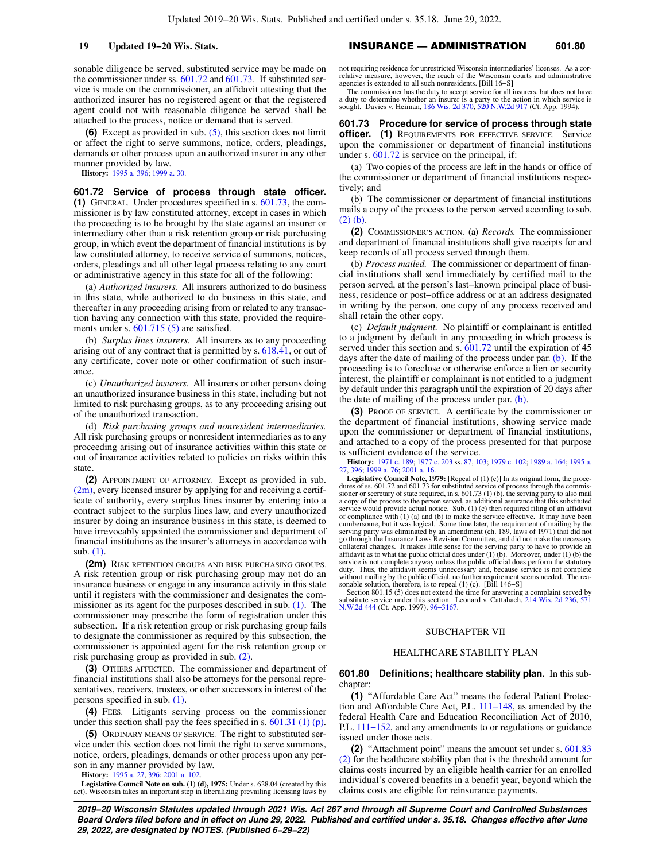sonable diligence be served, substituted service may be made on the commissioner under ss. [601.72](https://docs.legis.wisconsin.gov/document/statutes/601.72) and [601.73](https://docs.legis.wisconsin.gov/document/statutes/601.73). If substituted service is made on the commissioner, an affidavit attesting that the authorized insurer has no registered agent or that the registered agent could not with reasonable diligence be served shall be attached to the process, notice or demand that is served.

**(6)** Except as provided in sub. [\(5\),](https://docs.legis.wisconsin.gov/document/statutes/601.715(5)) this section does not limit or affect the right to serve summons, notice, orders, pleadings, demands or other process upon an authorized insurer in any other manner provided by law.

**History:** [1995 a. 396](https://docs.legis.wisconsin.gov/document/acts/1995/396); [1999 a. 30.](https://docs.legis.wisconsin.gov/document/acts/1999/30)

**601.72 Service of process through state officer. (1)** GENERAL. Under procedures specified in s. [601.73](https://docs.legis.wisconsin.gov/document/statutes/601.73), the commissioner is by law constituted attorney, except in cases in which the proceeding is to be brought by the state against an insurer or intermediary other than a risk retention group or risk purchasing group, in which event the department of financial institutions is by law constituted attorney, to receive service of summons, notices, orders, pleadings and all other legal process relating to any court or administrative agency in this state for all of the following:

(a) *Authorized insurers.* All insurers authorized to do business in this state, while authorized to do business in this state, and thereafter in any proceeding arising from or related to any transaction having any connection with this state, provided the require-ments under s. [601.715 \(5\)](https://docs.legis.wisconsin.gov/document/statutes/601.715(5)) are satisfied.

(b) *Surplus lines insurers.* All insurers as to any proceeding arising out of any contract that is permitted by s. [618.41,](https://docs.legis.wisconsin.gov/document/statutes/618.41) or out of any certificate, cover note or other confirmation of such insurance.

(c) *Unauthorized insurers.* All insurers or other persons doing an unauthorized insurance business in this state, including but not limited to risk purchasing groups, as to any proceeding arising out of the unauthorized transaction.

(d) *Risk purchasing groups and nonresident intermediaries.* All risk purchasing groups or nonresident intermediaries as to any proceeding arising out of insurance activities within this state or out of insurance activities related to policies on risks within this state.

**(2)** APPOINTMENT OF ATTORNEY. Except as provided in sub. [\(2m\)](https://docs.legis.wisconsin.gov/document/statutes/601.72(2m)), every licensed insurer by applying for and receiving a certificate of authority, every surplus lines insurer by entering into a contract subject to the surplus lines law, and every unauthorized insurer by doing an insurance business in this state, is deemed to have irrevocably appointed the commissioner and department of financial institutions as the insurer's attorneys in accordance with sub. [\(1\)](https://docs.legis.wisconsin.gov/document/statutes/601.72(1)).

**(2m)** RISK RETENTION GROUPS AND RISK PURCHASING GROUPS. A risk retention group or risk purchasing group may not do an insurance business or engage in any insurance activity in this state until it registers with the commissioner and designates the commissioner as its agent for the purposes described in sub. [\(1\).](https://docs.legis.wisconsin.gov/document/statutes/601.72(1)) The commissioner may prescribe the form of registration under this subsection. If a risk retention group or risk purchasing group fails to designate the commissioner as required by this subsection, the commissioner is appointed agent for the risk retention group or risk purchasing group as provided in sub. [\(2\)](https://docs.legis.wisconsin.gov/document/statutes/601.72(2)).

**(3)** OTHERS AFFECTED. The commissioner and department of financial institutions shall also be attorneys for the personal representatives, receivers, trustees, or other successors in interest of the persons specified in sub. [\(1\).](https://docs.legis.wisconsin.gov/document/statutes/601.72(1))

**(4)** FEES. Litigants serving process on the commissioner under this section shall pay the fees specified in s. [601.31 \(1\) \(p\).](https://docs.legis.wisconsin.gov/document/statutes/601.31(1)(p))

**(5)** ORDINARY MEANS OF SERVICE. The right to substituted service under this section does not limit the right to serve summons, notice, orders, pleadings, demands or other process upon any person in any manner provided by law.

**History:** [1995 a. 27,](https://docs.legis.wisconsin.gov/document/acts/1995/27) [396;](https://docs.legis.wisconsin.gov/document/acts/1995/396) [2001 a. 102.](https://docs.legis.wisconsin.gov/document/acts/2001/102)

**Legislative Council Note on sub. (1) (d), 1975:** Under s. 628.04 (created by this act), Wisconsin takes an important step in liberalizing prevailing licensing laws by

**19 Updated 19−20 Wis. Stats.** INSURANCE — ADMINISTRATION **601.80**

not requiring residence for unrestricted Wisconsin intermediaries' licenses. As a correlative measure, however, the reach of the Wisconsin courts and administrative agencies is extended to all such nonresidents. [Bill 16−S]

The commissioner has the duty to accept service for all insurers, but does not have a duty to determine whether an insurer is a party to the action in which service is sought. Davies v. Heiman, [186 Wis. 2d 370,](https://docs.legis.wisconsin.gov/document/courts/186%20Wis.%202d%20370) [520 N.W.2d 917](https://docs.legis.wisconsin.gov/document/courts/520%20N.W.2d%20917) (Ct. App. 1994).

**601.73 Procedure for service of process through state officer. (1)** REQUIREMENTS FOR EFFECTIVE SERVICE. Service upon the commissioner or department of financial institutions under s. [601.72](https://docs.legis.wisconsin.gov/document/statutes/601.72) is service on the principal, if:

(a) Two copies of the process are left in the hands or office of the commissioner or department of financial institutions respectively; and

(b) The commissioner or department of financial institutions mails a copy of the process to the person served according to sub. [\(2\) \(b\)](https://docs.legis.wisconsin.gov/document/statutes/601.73(2)(b)).

**(2)** COMMISSIONER'S ACTION. (a) *Records.* The commissioner and department of financial institutions shall give receipts for and keep records of all process served through them.

(b) *Process mailed.* The commissioner or department of financial institutions shall send immediately by certified mail to the person served, at the person's last−known principal place of business, residence or post−office address or at an address designated in writing by the person, one copy of any process received and shall retain the other copy.

(c) *Default judgment.* No plaintiff or complainant is entitled to a judgment by default in any proceeding in which process is served under this section and s. [601.72](https://docs.legis.wisconsin.gov/document/statutes/601.72) until the expiration of 45 days after the date of mailing of the process under par. [\(b\).](https://docs.legis.wisconsin.gov/document/statutes/601.73(2)(b)) If the proceeding is to foreclose or otherwise enforce a lien or security interest, the plaintiff or complainant is not entitled to a judgment by default under this paragraph until the expiration of 20 days after the date of mailing of the process under par. [\(b\).](https://docs.legis.wisconsin.gov/document/statutes/601.73(2)(b))

**(3)** PROOF OF SERVICE. A certificate by the commissioner or the department of financial institutions, showing service made upon the commissioner or department of financial institutions, and attached to a copy of the process presented for that purpose is sufficient evidence of the service.

**History:** [1971 c. 189](https://docs.legis.wisconsin.gov/document/acts/1971/189); [1977 c. 203](https://docs.legis.wisconsin.gov/document/acts/1977/203) ss. [87,](https://docs.legis.wisconsin.gov/document/acts/1977/203,%20s.%2087) [103;](https://docs.legis.wisconsin.gov/document/acts/1977/203,%20s.%20103) [1979 c. 102;](https://docs.legis.wisconsin.gov/document/acts/1979/102) [1989 a. 164](https://docs.legis.wisconsin.gov/document/acts/1989/164); [1995 a.](https://docs.legis.wisconsin.gov/document/acts/1995/27) [27](https://docs.legis.wisconsin.gov/document/acts/1995/27), [396](https://docs.legis.wisconsin.gov/document/acts/1995/396); [1999 a. 76](https://docs.legis.wisconsin.gov/document/acts/1999/76); [2001 a. 16](https://docs.legis.wisconsin.gov/document/acts/2001/16).

**Legislative Council Note, 1979:** [Repeal of (1) (c)] In its original form, the procedures of ss. 601.72 and 601.73 for substituted service of process through the commissioner or secretary of state required, in s. 601.73 (1) (b), the serving party to also mail a copy of the process to the person served, as additional assurance that this substituted<br>service would provide actual notice. Sub. (1) (c) then required filing of an affidavit<br>of compliance with (1) (a) and (b) to make th cumbersome, but it was logical. Some time later, the requirement of mailing by the serving party was eliminated by an amendment (ch. 189, laws of 1971) that did not go through the Insurance Laws Revision Committee, and did not make the necessary collateral changes. It makes little sense for the serving party to have to provide an affidavit as to what the public official does under (1) (b). Moreover, under (1) (b) the service is not complete anyway unless the public official does perform the statutory duty. Thus, the affidavit seems unnecessary and, because service is not complete without mailing by the public official, no further requirement seems needed. The reasonable solution, therefore, is to repeal (1) (c). [Bill 146−S]

Section 801.15 (5) does not extend the time for answering a complaint served by substitute service under this section. Leonard v. Cattahach, [214 Wis. 2d 236,](https://docs.legis.wisconsin.gov/document/courts/214%20Wis.%202d%20236) [571](https://docs.legis.wisconsin.gov/document/courts/571%20N.W.2d%20444) [N.W.2d 444](https://docs.legis.wisconsin.gov/document/courts/571%20N.W.2d%20444) (Ct. App. 1997), [96−3167](https://docs.legis.wisconsin.gov/document/wicourtofappeals/96-3167).

### SUBCHAPTER VII

# HEALTHCARE STABILITY PLAN

**601.80 Definitions; healthcare stability plan.** In this subchapter:

**(1)** "Affordable Care Act" means the federal Patient Protection and Affordable Care Act, P.L. [111−148](https://docs.legis.wisconsin.gov/document/publiclaw/111-148), as amended by the federal Health Care and Education Reconciliation Act of 2010, P.L. [111−152](https://docs.legis.wisconsin.gov/document/publiclaw/111-152), and any amendments to or regulations or guidance issued under those acts.

**(2)** "Attachment point" means the amount set under s. [601.83](https://docs.legis.wisconsin.gov/document/statutes/601.83(2)) [\(2\)](https://docs.legis.wisconsin.gov/document/statutes/601.83(2)) for the healthcare stability plan that is the threshold amount for claims costs incurred by an eligible health carrier for an enrolled individual's covered benefits in a benefit year, beyond which the claims costs are eligible for reinsurance payments.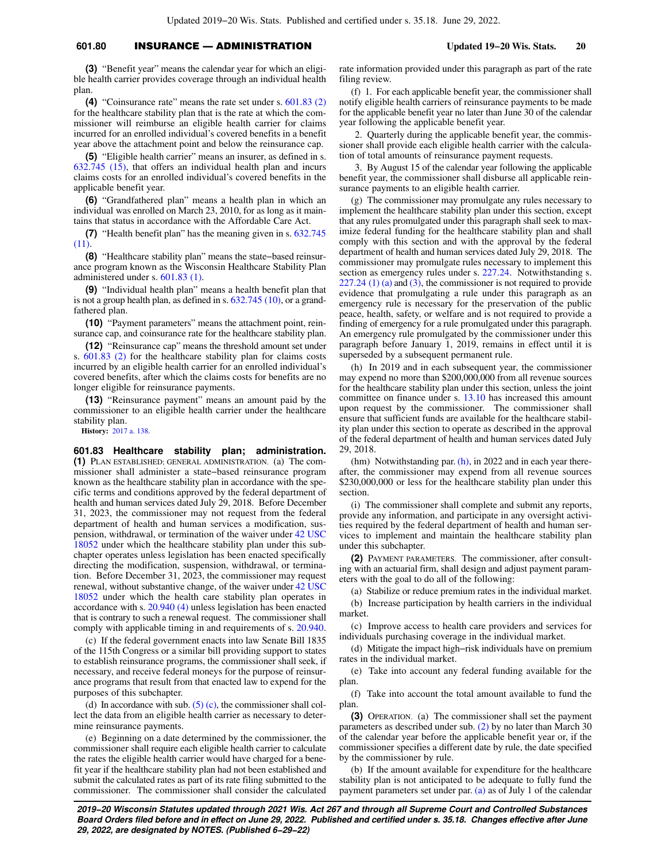# **601.80** INSURANCE — ADMINISTRATION **Updated 19−20 Wis. Stats. 20**

**(3)** "Benefit year" means the calendar year for which an eligible health carrier provides coverage through an individual health plan.

**(4)** "Coinsurance rate" means the rate set under s. [601.83 \(2\)](https://docs.legis.wisconsin.gov/document/statutes/601.83(2)) for the healthcare stability plan that is the rate at which the commissioner will reimburse an eligible health carrier for claims incurred for an enrolled individual's covered benefits in a benefit year above the attachment point and below the reinsurance cap.

**(5)** "Eligible health carrier" means an insurer, as defined in s.  $632.745$   $(15)$ , that offers an individual health plan and incurs claims costs for an enrolled individual's covered benefits in the applicable benefit year.

**(6)** "Grandfathered plan" means a health plan in which an individual was enrolled on March 23, 2010, for as long as it maintains that status in accordance with the Affordable Care Act.

**(7)** "Health benefit plan" has the meaning given in s. [632.745](https://docs.legis.wisconsin.gov/document/statutes/632.745(11)) [\(11\)](https://docs.legis.wisconsin.gov/document/statutes/632.745(11)).

**(8)** "Healthcare stability plan" means the state−based reinsurance program known as the Wisconsin Healthcare Stability Plan administered under s. [601.83 \(1\)](https://docs.legis.wisconsin.gov/document/statutes/601.83(1)).

**(9)** "Individual health plan" means a health benefit plan that is not a group health plan, as defined in s. [632.745 \(10\)](https://docs.legis.wisconsin.gov/document/statutes/632.745(10)), or a grandfathered plan.

**(10)** "Payment parameters" means the attachment point, reinsurance cap, and coinsurance rate for the healthcare stability plan.

**(12)** "Reinsurance cap" means the threshold amount set under s. [601.83 \(2\)](https://docs.legis.wisconsin.gov/document/statutes/601.83(2)) for the healthcare stability plan for claims costs incurred by an eligible health carrier for an enrolled individual's covered benefits, after which the claims costs for benefits are no longer eligible for reinsurance payments.

**(13)** "Reinsurance payment" means an amount paid by the commissioner to an eligible health carrier under the healthcare stability plan.

**History:** [2017 a. 138](https://docs.legis.wisconsin.gov/document/acts/2017/138).

**601.83 Healthcare stability plan; administration. (1)** PLAN ESTABLISHED; GENERAL ADMINISTRATION. (a) The commissioner shall administer a state−based reinsurance program known as the healthcare stability plan in accordance with the specific terms and conditions approved by the federal department of health and human services dated July 29, 2018. Before December 31, 2023, the commissioner may not request from the federal department of health and human services a modification, suspension, withdrawal, or termination of the waiver under [42 USC](https://docs.legis.wisconsin.gov/document/usc/42%20USC%2018052) [18052](https://docs.legis.wisconsin.gov/document/usc/42%20USC%2018052) under which the healthcare stability plan under this subchapter operates unless legislation has been enacted specifically directing the modification, suspension, withdrawal, or termination. Before December 31, 2023, the commissioner may request renewal, without substantive change, of the waiver under [42 USC](https://docs.legis.wisconsin.gov/document/usc/42%20USC%2018052) [18052](https://docs.legis.wisconsin.gov/document/usc/42%20USC%2018052) under which the health care stability plan operates in accordance with s. [20.940 \(4\)](https://docs.legis.wisconsin.gov/document/statutes/20.940(4)) unless legislation has been enacted that is contrary to such a renewal request. The commissioner shall comply with applicable timing in and requirements of s. [20.940.](https://docs.legis.wisconsin.gov/document/statutes/20.940)

(c) If the federal government enacts into law Senate Bill 1835 of the 115th Congress or a similar bill providing support to states to establish reinsurance programs, the commissioner shall seek, if necessary, and receive federal moneys for the purpose of reinsurance programs that result from that enacted law to expend for the purposes of this subchapter.

(d) In accordance with sub.  $(5)$  (c), the commissioner shall collect the data from an eligible health carrier as necessary to determine reinsurance payments.

(e) Beginning on a date determined by the commissioner, the commissioner shall require each eligible health carrier to calculate the rates the eligible health carrier would have charged for a benefit year if the healthcare stability plan had not been established and submit the calculated rates as part of its rate filing submitted to the commissioner. The commissioner shall consider the calculated rate information provided under this paragraph as part of the rate filing review.

(f) 1. For each applicable benefit year, the commissioner shall notify eligible health carriers of reinsurance payments to be made for the applicable benefit year no later than June 30 of the calendar year following the applicable benefit year.

2. Quarterly during the applicable benefit year, the commissioner shall provide each eligible health carrier with the calculation of total amounts of reinsurance payment requests.

3. By August 15 of the calendar year following the applicable benefit year, the commissioner shall disburse all applicable reinsurance payments to an eligible health carrier.

(g) The commissioner may promulgate any rules necessary to implement the healthcare stability plan under this section, except that any rules promulgated under this paragraph shall seek to maximize federal funding for the healthcare stability plan and shall comply with this section and with the approval by the federal department of health and human services dated July 29, 2018. The commissioner may promulgate rules necessary to implement this section as emergency rules under s. [227.24.](https://docs.legis.wisconsin.gov/document/statutes/227.24) Notwithstanding s.  $227.24$  (1) (a) and [\(3\)](https://docs.legis.wisconsin.gov/document/statutes/227.24(3)), the commissioner is not required to provide evidence that promulgating a rule under this paragraph as an emergency rule is necessary for the preservation of the public peace, health, safety, or welfare and is not required to provide a finding of emergency for a rule promulgated under this paragraph. An emergency rule promulgated by the commissioner under this paragraph before January 1, 2019, remains in effect until it is superseded by a subsequent permanent rule.

(h) In 2019 and in each subsequent year, the commissioner may expend no more than \$200,000,000 from all revenue sources for the healthcare stability plan under this section, unless the joint committee on finance under s. [13.10](https://docs.legis.wisconsin.gov/document/statutes/13.10) has increased this amount upon request by the commissioner. The commissioner shall ensure that sufficient funds are available for the healthcare stability plan under this section to operate as described in the approval of the federal department of health and human services dated July 29, 2018.

(hm) Notwithstanding par. [\(h\)](https://docs.legis.wisconsin.gov/document/statutes/601.83(1)(h)), in 2022 and in each year thereafter, the commissioner may expend from all revenue sources \$230,000,000 or less for the healthcare stability plan under this section.

(i) The commissioner shall complete and submit any reports, provide any information, and participate in any oversight activities required by the federal department of health and human services to implement and maintain the healthcare stability plan under this subchapter.

**(2)** PAYMENT PARAMETERS. The commissioner, after consulting with an actuarial firm, shall design and adjust payment parameters with the goal to do all of the following:

(a) Stabilize or reduce premium rates in the individual market.

(b) Increase participation by health carriers in the individual market.

(c) Improve access to health care providers and services for individuals purchasing coverage in the individual market.

(d) Mitigate the impact high−risk individuals have on premium rates in the individual market.

(e) Take into account any federal funding available for the plan.

(f) Take into account the total amount available to fund the plan.

**(3)** OPERATION. (a) The commissioner shall set the payment parameters as described under sub. [\(2\)](https://docs.legis.wisconsin.gov/document/statutes/601.83(2)) by no later than March 30 of the calendar year before the applicable benefit year or, if the commissioner specifies a different date by rule, the date specified by the commissioner by rule.

(b) If the amount available for expenditure for the healthcare stability plan is not anticipated to be adequate to fully fund the payment parameters set under par. [\(a\)](https://docs.legis.wisconsin.gov/document/statutes/601.83(3)(a)) as of July 1 of the calendar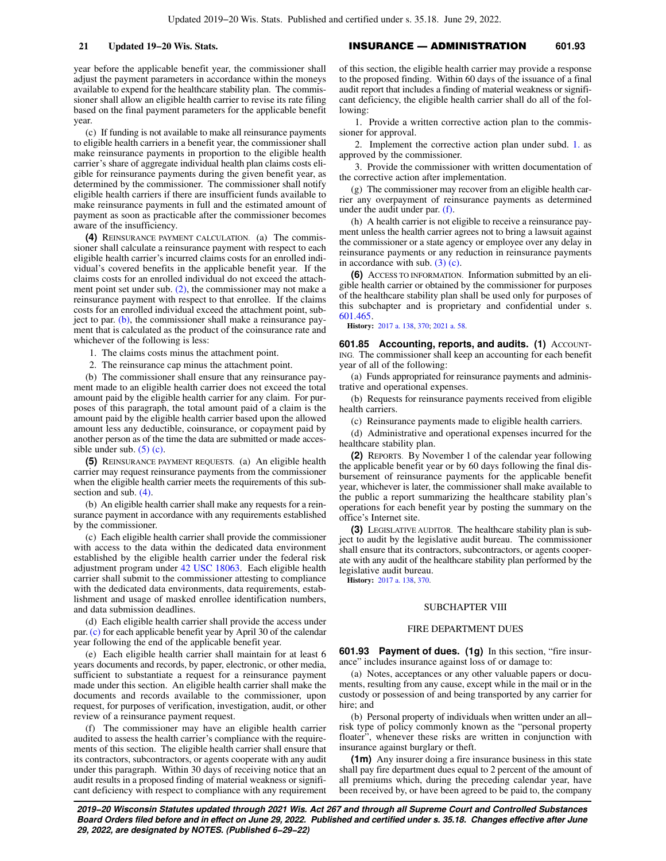year before the applicable benefit year, the commissioner shall adjust the payment parameters in accordance within the moneys available to expend for the healthcare stability plan. The commissioner shall allow an eligible health carrier to revise its rate filing based on the final payment parameters for the applicable benefit year.

(c) If funding is not available to make all reinsurance payments to eligible health carriers in a benefit year, the commissioner shall make reinsurance payments in proportion to the eligible health carrier's share of aggregate individual health plan claims costs eligible for reinsurance payments during the given benefit year, as determined by the commissioner. The commissioner shall notify eligible health carriers if there are insufficient funds available to make reinsurance payments in full and the estimated amount of payment as soon as practicable after the commissioner becomes aware of the insufficiency.

**(4)** REINSURANCE PAYMENT CALCULATION. (a) The commissioner shall calculate a reinsurance payment with respect to each eligible health carrier's incurred claims costs for an enrolled individual's covered benefits in the applicable benefit year. If the claims costs for an enrolled individual do not exceed the attachment point set under sub. [\(2\),](https://docs.legis.wisconsin.gov/document/statutes/601.83(2)) the commissioner may not make a reinsurance payment with respect to that enrollee. If the claims costs for an enrolled individual exceed the attachment point, subject to par. [\(b\)](https://docs.legis.wisconsin.gov/document/statutes/601.83(4)(b)), the commissioner shall make a reinsurance payment that is calculated as the product of the coinsurance rate and whichever of the following is less:

1. The claims costs minus the attachment point.

2. The reinsurance cap minus the attachment point.

(b) The commissioner shall ensure that any reinsurance payment made to an eligible health carrier does not exceed the total amount paid by the eligible health carrier for any claim. For purposes of this paragraph, the total amount paid of a claim is the amount paid by the eligible health carrier based upon the allowed amount less any deductible, coinsurance, or copayment paid by another person as of the time the data are submitted or made accessible under sub.  $(5)$  (c).

**(5)** REINSURANCE PAYMENT REQUESTS. (a) An eligible health carrier may request reinsurance payments from the commissioner when the eligible health carrier meets the requirements of this subsection and sub. [\(4\).](https://docs.legis.wisconsin.gov/document/statutes/601.83(4))

(b) An eligible health carrier shall make any requests for a reinsurance payment in accordance with any requirements established by the commissioner.

(c) Each eligible health carrier shall provide the commissioner with access to the data within the dedicated data environment established by the eligible health carrier under the federal risk adjustment program under [42 USC 18063](https://docs.legis.wisconsin.gov/document/usc/42%20USC%2018063). Each eligible health carrier shall submit to the commissioner attesting to compliance with the dedicated data environments, data requirements, establishment and usage of masked enrollee identification numbers, and data submission deadlines.

(d) Each eligible health carrier shall provide the access under par.[\(c\)](https://docs.legis.wisconsin.gov/document/statutes/601.83(5)(c)) for each applicable benefit year by April 30 of the calendar year following the end of the applicable benefit year.

(e) Each eligible health carrier shall maintain for at least 6 years documents and records, by paper, electronic, or other media, sufficient to substantiate a request for a reinsurance payment made under this section. An eligible health carrier shall make the documents and records available to the commissioner, upon request, for purposes of verification, investigation, audit, or other review of a reinsurance payment request.

(f) The commissioner may have an eligible health carrier audited to assess the health carrier's compliance with the requirements of this section. The eligible health carrier shall ensure that its contractors, subcontractors, or agents cooperate with any audit under this paragraph. Within 30 days of receiving notice that an audit results in a proposed finding of material weakness or significant deficiency with respect to compliance with any requirement

**21 Updated 19−20 Wis. Stats.** INSURANCE — ADMINISTRATION **601.93**

of this section, the eligible health carrier may provide a response to the proposed finding. Within 60 days of the issuance of a final audit report that includes a finding of material weakness or significant deficiency, the eligible health carrier shall do all of the following:

1. Provide a written corrective action plan to the commissioner for approval.

2. Implement the corrective action plan under subd. [1.](https://docs.legis.wisconsin.gov/document/statutes/601.83(5)(f)1.) as approved by the commissioner.

3. Provide the commissioner with written documentation of the corrective action after implementation.

(g) The commissioner may recover from an eligible health carrier any overpayment of reinsurance payments as determined under the audit under par. [\(f\)](https://docs.legis.wisconsin.gov/document/statutes/601.83(5)(f)).

(h) A health carrier is not eligible to receive a reinsurance payment unless the health carrier agrees not to bring a lawsuit against the commissioner or a state agency or employee over any delay in reinsurance payments or any reduction in reinsurance payments in accordance with sub. [\(3\) \(c\).](https://docs.legis.wisconsin.gov/document/statutes/601.83(3)(c))

**(6)** ACCESS TO INFORMATION. Information submitted by an eligible health carrier or obtained by the commissioner for purposes of the healthcare stability plan shall be used only for purposes of this subchapter and is proprietary and confidential under s. [601.465](https://docs.legis.wisconsin.gov/document/statutes/601.465).

**History:** [2017 a. 138,](https://docs.legis.wisconsin.gov/document/acts/2017/138) [370;](https://docs.legis.wisconsin.gov/document/acts/2017/370) [2021 a. 58.](https://docs.legis.wisconsin.gov/document/acts/2021/58)

**601.85 Accounting, reports, and audits. (1) ACCOUNT-**ING. The commissioner shall keep an accounting for each benefit year of all of the following:

(a) Funds appropriated for reinsurance payments and administrative and operational expenses.

(b) Requests for reinsurance payments received from eligible health carriers.

(c) Reinsurance payments made to eligible health carriers.

(d) Administrative and operational expenses incurred for the healthcare stability plan.

**(2)** REPORTS. By November 1 of the calendar year following the applicable benefit year or by 60 days following the final disbursement of reinsurance payments for the applicable benefit year, whichever is later, the commissioner shall make available to the public a report summarizing the healthcare stability plan's operations for each benefit year by posting the summary on the office's Internet site.

**(3)** LEGISLATIVE AUDITOR. The healthcare stability plan is subject to audit by the legislative audit bureau. The commissioner shall ensure that its contractors, subcontractors, or agents cooperate with any audit of the healthcare stability plan performed by the legislative audit bureau.

**History:** [2017 a. 138,](https://docs.legis.wisconsin.gov/document/acts/2017/138) [370.](https://docs.legis.wisconsin.gov/document/acts/2017/370)

## SUBCHAPTER VIII

## FIRE DEPARTMENT DUES

**601.93 Payment of dues. (1g)** In this section, "fire insurance" includes insurance against loss of or damage to:

(a) Notes, acceptances or any other valuable papers or documents, resulting from any cause, except while in the mail or in the custody or possession of and being transported by any carrier for hire; and

(b) Personal property of individuals when written under an all− risk type of policy commonly known as the "personal property floater", whenever these risks are written in conjunction with insurance against burglary or theft.

**(1m)** Any insurer doing a fire insurance business in this state shall pay fire department dues equal to 2 percent of the amount of all premiums which, during the preceding calendar year, have been received by, or have been agreed to be paid to, the company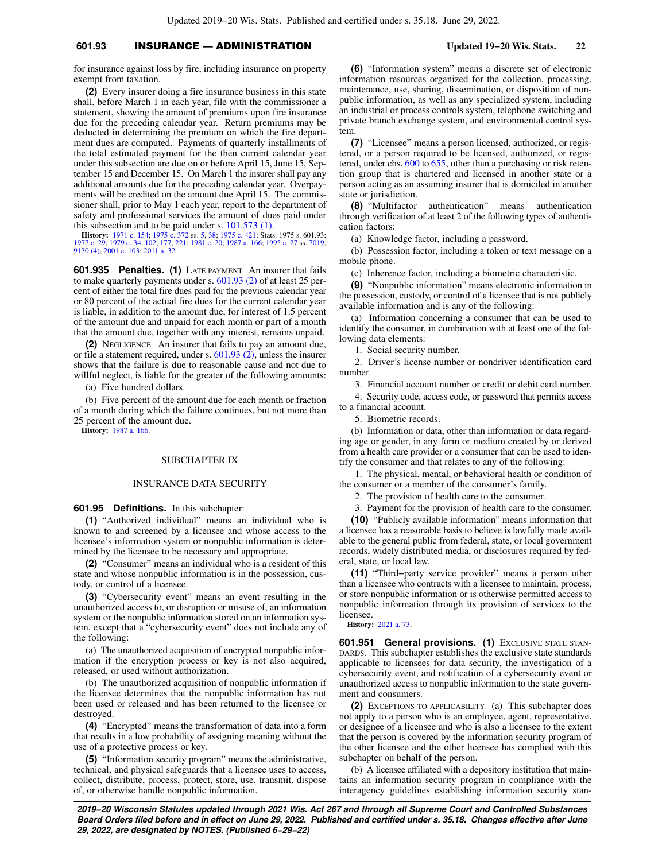# **601.93** INSURANCE — ADMINISTRATION **Updated 19−20 Wis. Stats. 22**

for insurance against loss by fire, including insurance on property exempt from taxation.

**(2)** Every insurer doing a fire insurance business in this state shall, before March 1 in each year, file with the commissioner a statement, showing the amount of premiums upon fire insurance due for the preceding calendar year. Return premiums may be deducted in determining the premium on which the fire department dues are computed. Payments of quarterly installments of the total estimated payment for the then current calendar year under this subsection are due on or before April 15, June 15, September 15 and December 15. On March 1 the insurer shall pay any additional amounts due for the preceding calendar year. Overpayments will be credited on the amount due April 15. The commissioner shall, prior to May 1 each year, report to the department of safety and professional services the amount of dues paid under this subsection and to be paid under s. [101.573 \(1\)](https://docs.legis.wisconsin.gov/document/statutes/101.573(1)).

**History:** [1971 c. 154;](https://docs.legis.wisconsin.gov/document/acts/1971/154) [1975 c. 372](https://docs.legis.wisconsin.gov/document/acts/1975/372) ss. [5](https://docs.legis.wisconsin.gov/document/acts/1975/372,%20s.%205), [38;](https://docs.legis.wisconsin.gov/document/acts/1975/372,%20s.%2038) [1975 c. 421;](https://docs.legis.wisconsin.gov/document/acts/1975/421) Stats. 1975 s. 601.93; [1977 c. 29](https://docs.legis.wisconsin.gov/document/acts/1977/29); [1979 c. 34,](https://docs.legis.wisconsin.gov/document/acts/1979/34) [102,](https://docs.legis.wisconsin.gov/document/acts/1979/102) [177,](https://docs.legis.wisconsin.gov/document/acts/1979/177) [221;](https://docs.legis.wisconsin.gov/document/acts/1979/221) [1981 c. 20](https://docs.legis.wisconsin.gov/document/acts/1981/20); [1987 a. 166;](https://docs.legis.wisconsin.gov/document/acts/1987/166) [1995 a. 27](https://docs.legis.wisconsin.gov/document/acts/1995/27) ss. [7019](https://docs.legis.wisconsin.gov/document/acts/1995/27,%20s.%207019), [9130 \(4\);](https://docs.legis.wisconsin.gov/document/acts/1995/27,%20s.%209130) [2001 a. 103](https://docs.legis.wisconsin.gov/document/acts/2001/103); [2011 a. 32](https://docs.legis.wisconsin.gov/document/acts/2011/32).

**601.935 Penalties. (1)** LATE PAYMENT. An insurer that fails to make quarterly payments under s. [601.93 \(2\)](https://docs.legis.wisconsin.gov/document/statutes/601.93(2)) of at least 25 percent of either the total fire dues paid for the previous calendar year or 80 percent of the actual fire dues for the current calendar year is liable, in addition to the amount due, for interest of 1.5 percent of the amount due and unpaid for each month or part of a month that the amount due, together with any interest, remains unpaid.

**(2)** NEGLIGENCE. An insurer that fails to pay an amount due, or file a statement required, under s. [601.93 \(2\),](https://docs.legis.wisconsin.gov/document/statutes/601.93(2)) unless the insurer shows that the failure is due to reasonable cause and not due to willful neglect, is liable for the greater of the following amounts:

(a) Five hundred dollars.

(b) Five percent of the amount due for each month or fraction of a month during which the failure continues, but not more than 25 percent of the amount due.

**History:** [1987 a. 166](https://docs.legis.wisconsin.gov/document/acts/1987/166).

## SUBCHAPTER IX

### INSURANCE DATA SECURITY

**601.95 Definitions.** In this subchapter:

**(1)** "Authorized individual" means an individual who is known to and screened by a licensee and whose access to the licensee's information system or nonpublic information is determined by the licensee to be necessary and appropriate.

**(2)** "Consumer" means an individual who is a resident of this state and whose nonpublic information is in the possession, custody, or control of a licensee.

**(3)** "Cybersecurity event" means an event resulting in the unauthorized access to, or disruption or misuse of, an information system or the nonpublic information stored on an information system, except that a "cybersecurity event" does not include any of the following:

(a) The unauthorized acquisition of encrypted nonpublic information if the encryption process or key is not also acquired, released, or used without authorization.

(b) The unauthorized acquisition of nonpublic information if the licensee determines that the nonpublic information has not been used or released and has been returned to the licensee or destroyed.

**(4)** "Encrypted" means the transformation of data into a form that results in a low probability of assigning meaning without the use of a protective process or key.

**(5)** "Information security program" means the administrative, technical, and physical safeguards that a licensee uses to access, collect, distribute, process, protect, store, use, transmit, dispose of, or otherwise handle nonpublic information.

**(6)** "Information system" means a discrete set of electronic information resources organized for the collection, processing, maintenance, use, sharing, dissemination, or disposition of nonpublic information, as well as any specialized system, including an industrial or process controls system, telephone switching and private branch exchange system, and environmental control system.

**(7)** "Licensee" means a person licensed, authorized, or registered, or a person required to be licensed, authorized, or registered, under chs. [600](https://docs.legis.wisconsin.gov/document/statutes/ch.%20600) to [655](https://docs.legis.wisconsin.gov/document/statutes/ch.%20655), other than a purchasing or risk retention group that is chartered and licensed in another state or a person acting as an assuming insurer that is domiciled in another state or jurisdiction.

**(8)** "Multifactor authentication" means authentication through verification of at least 2 of the following types of authentication factors:

(a) Knowledge factor, including a password.

(b) Possession factor, including a token or text message on a mobile phone.

(c) Inherence factor, including a biometric characteristic.

**(9)** "Nonpublic information" means electronic information in the possession, custody, or control of a licensee that is not publicly available information and is any of the following:

(a) Information concerning a consumer that can be used to identify the consumer, in combination with at least one of the following data elements:

1. Social security number.

2. Driver's license number or nondriver identification card number.

3. Financial account number or credit or debit card number.

4. Security code, access code, or password that permits access to a financial account.

5. Biometric records.

(b) Information or data, other than information or data regarding age or gender, in any form or medium created by or derived from a health care provider or a consumer that can be used to identify the consumer and that relates to any of the following:

1. The physical, mental, or behavioral health or condition of the consumer or a member of the consumer's family.

2. The provision of health care to the consumer.

3. Payment for the provision of health care to the consumer.

**(10)** "Publicly available information" means information that a licensee has a reasonable basis to believe is lawfully made available to the general public from federal, state, or local government records, widely distributed media, or disclosures required by federal, state, or local law.

**(11)** "Third−party service provider" means a person other than a licensee who contracts with a licensee to maintain, process, or store nonpublic information or is otherwise permitted access to nonpublic information through its provision of services to the licensee.

**History:** [2021 a. 73](https://docs.legis.wisconsin.gov/document/acts/2021/73).

**601.951 General provisions. (1)** EXCLUSIVE STATE STAN-DARDS. This subchapter establishes the exclusive state standards applicable to licensees for data security, the investigation of a cybersecurity event, and notification of a cybersecurity event or unauthorized access to nonpublic information to the state government and consumers.

**(2)** EXCEPTIONS TO APPLICABILITY. (a) This subchapter does not apply to a person who is an employee, agent, representative, or designee of a licensee and who is also a licensee to the extent that the person is covered by the information security program of the other licensee and the other licensee has complied with this subchapter on behalf of the person.

(b) A licensee affiliated with a depository institution that maintains an information security program in compliance with the interagency guidelines establishing information security stan-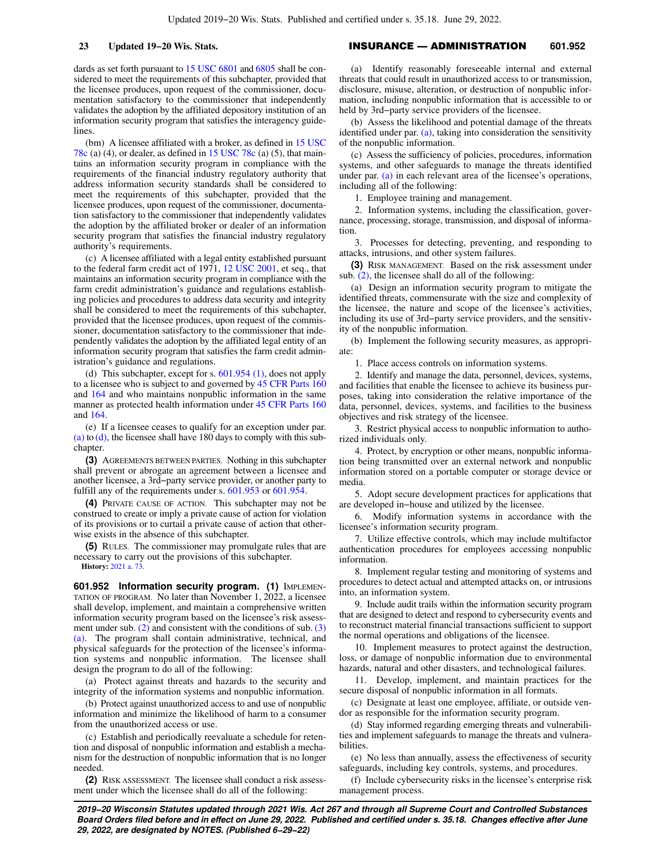dards as set forth pursuant to [15 USC 6801](https://docs.legis.wisconsin.gov/document/usc/15%20USC%206801) and [6805](https://docs.legis.wisconsin.gov/document/usc/15%20USC%206805) shall be considered to meet the requirements of this subchapter, provided that the licensee produces, upon request of the commissioner, documentation satisfactory to the commissioner that independently validates the adoption by the affiliated depository institution of an information security program that satisfies the interagency guide**lines** 

(bm) A licensee affiliated with a broker, as defined in [15 USC](https://docs.legis.wisconsin.gov/document/usc/15%20USC%2078c) [78c](https://docs.legis.wisconsin.gov/document/usc/15%20USC%2078c) (a) (4), or dealer, as defined in [15 USC 78c](https://docs.legis.wisconsin.gov/document/usc/15%20USC%2078c) (a) (5), that maintains an information security program in compliance with the requirements of the financial industry regulatory authority that address information security standards shall be considered to meet the requirements of this subchapter, provided that the licensee produces, upon request of the commissioner, documentation satisfactory to the commissioner that independently validates the adoption by the affiliated broker or dealer of an information security program that satisfies the financial industry regulatory authority's requirements.

(c) A licensee affiliated with a legal entity established pursuant to the federal farm credit act of 1971, [12 USC 2001](https://docs.legis.wisconsin.gov/document/usc/12%20USC%202001), et seq., that maintains an information security program in compliance with the farm credit administration's guidance and regulations establishing policies and procedures to address data security and integrity shall be considered to meet the requirements of this subchapter, provided that the licensee produces, upon request of the commissioner, documentation satisfactory to the commissioner that independently validates the adoption by the affiliated legal entity of an information security program that satisfies the farm credit administration's guidance and regulations.

(d) This subchapter, except for s. [601.954 \(1\)](https://docs.legis.wisconsin.gov/document/statutes/601.954(1)), does not apply to a licensee who is subject to and governed by [45 CFR Parts 160](https://docs.legis.wisconsin.gov/document/cfr/45%20CFR%20160) and [164](https://docs.legis.wisconsin.gov/document/cfr/45%20CFR%20164) and who maintains nonpublic information in the same manner as protected health information under [45 CFR Parts 160](https://docs.legis.wisconsin.gov/document/cfr/45%20CFR%20160) and [164.](https://docs.legis.wisconsin.gov/document/cfr/45%20CFR%20164)

(e) If a licensee ceases to qualify for an exception under par. [\(a\)](https://docs.legis.wisconsin.gov/document/statutes/601.951(2)(a)) to  $(d)$ , the licensee shall have 180 days to comply with this subchapter.

**(3)** AGREEMENTS BETWEEN PARTIES. Nothing in this subchapter shall prevent or abrogate an agreement between a licensee and another licensee, a 3rd−party service provider, or another party to fulfill any of the requirements under s. [601.953](https://docs.legis.wisconsin.gov/document/statutes/601.953) or [601.954.](https://docs.legis.wisconsin.gov/document/statutes/601.954)

**(4)** PRIVATE CAUSE OF ACTION. This subchapter may not be construed to create or imply a private cause of action for violation of its provisions or to curtail a private cause of action that otherwise exists in the absence of this subchapter.

**(5)** RULES. The commissioner may promulgate rules that are necessary to carry out the provisions of this subchapter. **History:** [2021 a. 73](https://docs.legis.wisconsin.gov/document/acts/2021/73).

**601.952 Information security program. (1)** IMPLEMEN-TATION OF PROGRAM. No later than November 1, 2022, a licensee shall develop, implement, and maintain a comprehensive written information security program based on the licensee's risk assessment under sub.  $(2)$  and consistent with the conditions of sub.  $(3)$ [\(a\).](https://docs.legis.wisconsin.gov/document/statutes/601.952(3)(a)) The program shall contain administrative, technical, and physical safeguards for the protection of the licensee's information systems and nonpublic information. The licensee shall design the program to do all of the following:

(a) Protect against threats and hazards to the security and integrity of the information systems and nonpublic information.

(b) Protect against unauthorized access to and use of nonpublic information and minimize the likelihood of harm to a consumer from the unauthorized access or use.

(c) Establish and periodically reevaluate a schedule for retention and disposal of nonpublic information and establish a mechanism for the destruction of nonpublic information that is no longer needed.

**(2)** RISK ASSESSMENT. The licensee shall conduct a risk assessment under which the licensee shall do all of the following:

## **23 Updated 19−20 Wis. Stats.** INSURANCE — ADMINISTRATION **601.952**

(a) Identify reasonably foreseeable internal and external threats that could result in unauthorized access to or transmission, disclosure, misuse, alteration, or destruction of nonpublic information, including nonpublic information that is accessible to or held by 3rd−party service providers of the licensee.

(b) Assess the likelihood and potential damage of the threats identified under par. [\(a\)](https://docs.legis.wisconsin.gov/document/statutes/601.952(2)(a)), taking into consideration the sensitivity of the nonpublic information.

(c) Assess the sufficiency of policies, procedures, information systems, and other safeguards to manage the threats identified under par. [\(a\)](https://docs.legis.wisconsin.gov/document/statutes/601.952(2)(a)) in each relevant area of the licensee's operations, including all of the following:

1. Employee training and management.

2. Information systems, including the classification, governance, processing, storage, transmission, and disposal of information.

3. Processes for detecting, preventing, and responding to attacks, intrusions, and other system failures.

**(3)** RISK MANAGEMENT. Based on the risk assessment under sub. [\(2\),](https://docs.legis.wisconsin.gov/document/statutes/601.952(2)) the licensee shall do all of the following:

(a) Design an information security program to mitigate the identified threats, commensurate with the size and complexity of the licensee, the nature and scope of the licensee's activities, including its use of 3rd−party service providers, and the sensitivity of the nonpublic information.

(b) Implement the following security measures, as appropriate:

1. Place access controls on information systems.

2. Identify and manage the data, personnel, devices, systems, and facilities that enable the licensee to achieve its business purposes, taking into consideration the relative importance of the data, personnel, devices, systems, and facilities to the business objectives and risk strategy of the licensee.

3. Restrict physical access to nonpublic information to authorized individuals only.

4. Protect, by encryption or other means, nonpublic information being transmitted over an external network and nonpublic information stored on a portable computer or storage device or media.

5. Adopt secure development practices for applications that are developed in−house and utilized by the licensee.

6. Modify information systems in accordance with the licensee's information security program.

7. Utilize effective controls, which may include multifactor authentication procedures for employees accessing nonpublic information.

8. Implement regular testing and monitoring of systems and procedures to detect actual and attempted attacks on, or intrusions into, an information system.

9. Include audit trails within the information security program that are designed to detect and respond to cybersecurity events and to reconstruct material financial transactions sufficient to support the normal operations and obligations of the licensee.

10. Implement measures to protect against the destruction, loss, or damage of nonpublic information due to environmental hazards, natural and other disasters, and technological failures.

11. Develop, implement, and maintain practices for the secure disposal of nonpublic information in all formats.

(c) Designate at least one employee, affiliate, or outside vendor as responsible for the information security program.

(d) Stay informed regarding emerging threats and vulnerabilities and implement safeguards to manage the threats and vulnerabilities.

(e) No less than annually, assess the effectiveness of security safeguards, including key controls, systems, and procedures.

(f) Include cybersecurity risks in the licensee's enterprise risk management process.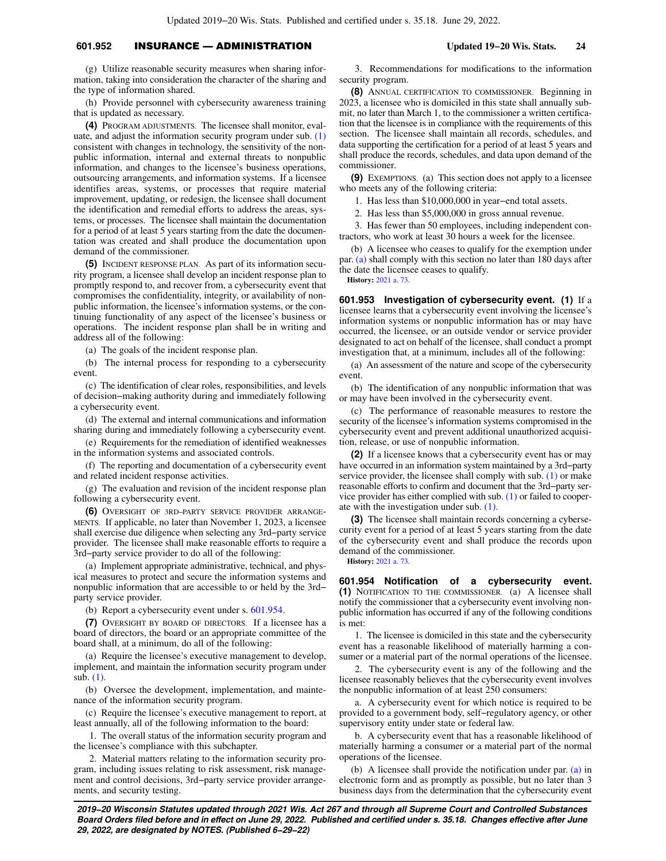# **601.952** INSURANCE — ADMINISTRATION **Updated 19−20 Wis. Stats. 24**

(g) Utilize reasonable security measures when sharing information, taking into consideration the character of the sharing and the type of information shared.

(h) Provide personnel with cybersecurity awareness training that is updated as necessary.

**(4)** PROGRAM ADJUSTMENTS. The licensee shall monitor, evaluate, and adjust the information security program under sub. [\(1\)](https://docs.legis.wisconsin.gov/document/statutes/601.952(1)) consistent with changes in technology, the sensitivity of the nonpublic information, internal and external threats to nonpublic information, and changes to the licensee's business operations, outsourcing arrangements, and information systems. If a licensee identifies areas, systems, or processes that require material improvement, updating, or redesign, the licensee shall document the identification and remedial efforts to address the areas, systems, or processes. The licensee shall maintain the documentation for a period of at least 5 years starting from the date the documentation was created and shall produce the documentation upon demand of the commissioner.

**(5)** INCIDENT RESPONSE PLAN. As part of its information security program, a licensee shall develop an incident response plan to promptly respond to, and recover from, a cybersecurity event that compromises the confidentiality, integrity, or availability of nonpublic information, the licensee's information systems, or the continuing functionality of any aspect of the licensee's business or operations. The incident response plan shall be in writing and address all of the following:

(a) The goals of the incident response plan.

(b) The internal process for responding to a cybersecurity event.

(c) The identification of clear roles, responsibilities, and levels of decision−making authority during and immediately following a cybersecurity event.

(d) The external and internal communications and information sharing during and immediately following a cybersecurity event.

(e) Requirements for the remediation of identified weaknesses in the information systems and associated controls.

(f) The reporting and documentation of a cybersecurity event and related incident response activities.

(g) The evaluation and revision of the incident response plan following a cybersecurity event.

**(6)** OVERSIGHT OF 3RD−PARTY SERVICE PROVIDER ARRANGE-MENTS. If applicable, no later than November 1, 2023, a licensee shall exercise due diligence when selecting any 3rd−party service provider. The licensee shall make reasonable efforts to require a 3rd−party service provider to do all of the following:

(a) Implement appropriate administrative, technical, and physical measures to protect and secure the information systems and nonpublic information that are accessible to or held by the 3rd− party service provider.

(b) Report a cybersecurity event under s. [601.954](https://docs.legis.wisconsin.gov/document/statutes/601.954).

**(7)** OVERSIGHT BY BOARD OF DIRECTORS. If a licensee has a board of directors, the board or an appropriate committee of the board shall, at a minimum, do all of the following:

(a) Require the licensee's executive management to develop, implement, and maintain the information security program under sub. [\(1\)](https://docs.legis.wisconsin.gov/document/statutes/601.952(1)).

(b) Oversee the development, implementation, and maintenance of the information security program.

(c) Require the licensee's executive management to report, at least annually, all of the following information to the board:

1. The overall status of the information security program and the licensee's compliance with this subchapter.

2. Material matters relating to the information security program, including issues relating to risk assessment, risk management and control decisions, 3rd−party service provider arrangements, and security testing.

3. Recommendations for modifications to the information security program.

**(8)** ANNUAL CERTIFICATION TO COMMISSIONER. Beginning in 2023, a licensee who is domiciled in this state shall annually submit, no later than March 1, to the commissioner a written certification that the licensee is in compliance with the requirements of this section. The licensee shall maintain all records, schedules, and data supporting the certification for a period of at least 5 years and shall produce the records, schedules, and data upon demand of the commissioner.

**(9)** EXEMPTIONS. (a) This section does not apply to a licensee who meets any of the following criteria:

1. Has less than \$10,000,000 in year−end total assets.

2. Has less than \$5,000,000 in gross annual revenue.

3. Has fewer than 50 employees, including independent contractors, who work at least 30 hours a week for the licensee.

(b) A licensee who ceases to qualify for the exemption under par. [\(a\)](https://docs.legis.wisconsin.gov/document/statutes/601.952(9)(a)) shall comply with this section no later than 180 days after the date the licensee ceases to qualify.

**History:** [2021 a. 73](https://docs.legis.wisconsin.gov/document/acts/2021/73).

**601.953 Investigation of cybersecurity event. (1)** If a licensee learns that a cybersecurity event involving the licensee's information systems or nonpublic information has or may have occurred, the licensee, or an outside vendor or service provider designated to act on behalf of the licensee, shall conduct a prompt investigation that, at a minimum, includes all of the following:

(a) An assessment of the nature and scope of the cybersecurity event.

(b) The identification of any nonpublic information that was or may have been involved in the cybersecurity event.

(c) The performance of reasonable measures to restore the security of the licensee's information systems compromised in the cybersecurity event and prevent additional unauthorized acquisition, release, or use of nonpublic information.

**(2)** If a licensee knows that a cybersecurity event has or may have occurred in an information system maintained by a 3rd−party service provider, the licensee shall comply with sub. [\(1\)](https://docs.legis.wisconsin.gov/document/statutes/601.953(1)) or make reasonable efforts to confirm and document that the 3rd−party service provider has either complied with sub. [\(1\)](https://docs.legis.wisconsin.gov/document/statutes/601.953(1)) or failed to cooperate with the investigation under sub. [\(1\).](https://docs.legis.wisconsin.gov/document/statutes/601.953(1))

**(3)** The licensee shall maintain records concerning a cybersecurity event for a period of at least 5 years starting from the date of the cybersecurity event and shall produce the records upon demand of the commissioner.

**History:** [2021 a. 73](https://docs.legis.wisconsin.gov/document/acts/2021/73).

**601.954 Notification of a cybersecurity event. (1)** NOTIFICATION TO THE COMMISSIONER. (a) A licensee shall notify the commissioner that a cybersecurity event involving nonpublic information has occurred if any of the following conditions is met:

1. The licensee is domiciled in this state and the cybersecurity event has a reasonable likelihood of materially harming a consumer or a material part of the normal operations of the licensee.

2. The cybersecurity event is any of the following and the licensee reasonably believes that the cybersecurity event involves the nonpublic information of at least 250 consumers:

a. A cybersecurity event for which notice is required to be provided to a government body, self−regulatory agency, or other supervisory entity under state or federal law.

b. A cybersecurity event that has a reasonable likelihood of materially harming a consumer or a material part of the normal operations of the licensee.

(b) A licensee shall provide the notification under par. [\(a\)](https://docs.legis.wisconsin.gov/document/statutes/601.954(1)(a)) in electronic form and as promptly as possible, but no later than 3 business days from the determination that the cybersecurity event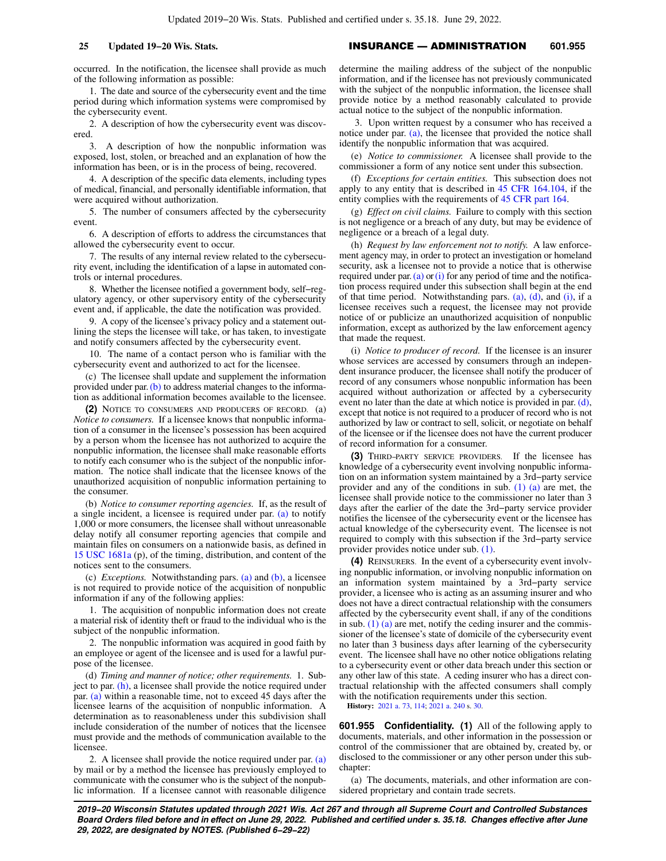occurred. In the notification, the licensee shall provide as much of the following information as possible:

1. The date and source of the cybersecurity event and the time period during which information systems were compromised by the cybersecurity event.

2. A description of how the cybersecurity event was discovered.

3. A description of how the nonpublic information was exposed, lost, stolen, or breached and an explanation of how the information has been, or is in the process of being, recovered.

4. A description of the specific data elements, including types of medical, financial, and personally identifiable information, that were acquired without authorization.

5. The number of consumers affected by the cybersecurity event.

6. A description of efforts to address the circumstances that allowed the cybersecurity event to occur.

7. The results of any internal review related to the cybersecurity event, including the identification of a lapse in automated controls or internal procedures.

8. Whether the licensee notified a government body, self−regulatory agency, or other supervisory entity of the cybersecurity event and, if applicable, the date the notification was provided.

9. A copy of the licensee's privacy policy and a statement outlining the steps the licensee will take, or has taken, to investigate and notify consumers affected by the cybersecurity event.

10. The name of a contact person who is familiar with the cybersecurity event and authorized to act for the licensee.

(c) The licensee shall update and supplement the information provided under par. [\(b\)](https://docs.legis.wisconsin.gov/document/statutes/601.954(1)(b)) to address material changes to the information as additional information becomes available to the licensee.

**(2)** NOTICE TO CONSUMERS AND PRODUCERS OF RECORD. (a) *Notice to consumers.* If a licensee knows that nonpublic information of a consumer in the licensee's possession has been acquired by a person whom the licensee has not authorized to acquire the nonpublic information, the licensee shall make reasonable efforts to notify each consumer who is the subject of the nonpublic information. The notice shall indicate that the licensee knows of the unauthorized acquisition of nonpublic information pertaining to the consumer.

(b) *Notice to consumer reporting agencies.* If, as the result of a single incident, a licensee is required under par. [\(a\)](https://docs.legis.wisconsin.gov/document/statutes/601.954(2)(a)) to notify 1,000 or more consumers, the licensee shall without unreasonable delay notify all consumer reporting agencies that compile and maintain files on consumers on a nationwide basis, as defined in [15 USC 1681a](https://docs.legis.wisconsin.gov/document/usc/15%20USC%201681a) (p), of the timing, distribution, and content of the notices sent to the consumers.

(c) *Exceptions.* Notwithstanding pars. [\(a\)](https://docs.legis.wisconsin.gov/document/statutes/601.954(2)(a)) and [\(b\),](https://docs.legis.wisconsin.gov/document/statutes/601.954(2)(b)) a licensee is not required to provide notice of the acquisition of nonpublic information if any of the following applies:

1. The acquisition of nonpublic information does not create a material risk of identity theft or fraud to the individual who is the subject of the nonpublic information.

2. The nonpublic information was acquired in good faith by an employee or agent of the licensee and is used for a lawful purpose of the licensee.

(d) *Timing and manner of notice; other requirements.* 1. Subject to par. [\(h\)](https://docs.legis.wisconsin.gov/document/statutes/601.954(2)(h)), a licensee shall provide the notice required under par. [\(a\)](https://docs.legis.wisconsin.gov/document/statutes/601.954(2)(a)) within a reasonable time, not to exceed 45 days after the licensee learns of the acquisition of nonpublic information. A determination as to reasonableness under this subdivision shall include consideration of the number of notices that the licensee must provide and the methods of communication available to the licensee.

2. A licensee shall provide the notice required under par.  $(a)$ by mail or by a method the licensee has previously employed to communicate with the consumer who is the subject of the nonpublic information. If a licensee cannot with reasonable diligence determine the mailing address of the subject of the nonpublic information, and if the licensee has not previously communicated with the subject of the nonpublic information, the licensee shall provide notice by a method reasonably calculated to provide actual notice to the subject of the nonpublic information.

3. Upon written request by a consumer who has received a notice under par. [\(a\)](https://docs.legis.wisconsin.gov/document/statutes/601.954(2)(a)), the licensee that provided the notice shall identify the nonpublic information that was acquired.

(e) *Notice to commissioner.* A licensee shall provide to the commissioner a form of any notice sent under this subsection.

(f) *Exceptions for certain entities.* This subsection does not apply to any entity that is described in [45 CFR 164.104](https://docs.legis.wisconsin.gov/document/cfr/45%20CFR%20164.104), if the entity complies with the requirements of [45 CFR part 164](https://docs.legis.wisconsin.gov/document/cfr/45%20CFR%20164).

(g) *Effect on civil claims.* Failure to comply with this section is not negligence or a breach of any duty, but may be evidence of negligence or a breach of a legal duty.

(h) *Request by law enforcement not to notify.* A law enforcement agency may, in order to protect an investigation or homeland security, ask a licensee not to provide a notice that is otherwise required under par. [\(a\)](https://docs.legis.wisconsin.gov/document/statutes/601.954(2)(a)) or [\(i\)](https://docs.legis.wisconsin.gov/document/statutes/601.954(2)(i)) for any period of time and the notification process required under this subsection shall begin at the end of that time period. Notwithstanding pars. [\(a\),](https://docs.legis.wisconsin.gov/document/statutes/601.954(2)(a)) [\(d\)](https://docs.legis.wisconsin.gov/document/statutes/601.954(2)(d)), and [\(i\),](https://docs.legis.wisconsin.gov/document/statutes/601.954(2)(i)) if a licensee receives such a request, the licensee may not provide notice of or publicize an unauthorized acquisition of nonpublic information, except as authorized by the law enforcement agency that made the request.

(i) *Notice to producer of record.* If the licensee is an insurer whose services are accessed by consumers through an independent insurance producer, the licensee shall notify the producer of record of any consumers whose nonpublic information has been acquired without authorization or affected by a cybersecurity event no later than the date at which notice is provided in par. [\(d\),](https://docs.legis.wisconsin.gov/document/statutes/601.954(2)(d)) except that notice is not required to a producer of record who is not authorized by law or contract to sell, solicit, or negotiate on behalf of the licensee or if the licensee does not have the current producer of record information for a consumer.

**(3)** THIRD−PARTY SERVICE PROVIDERS. If the licensee has knowledge of a cybersecurity event involving nonpublic information on an information system maintained by a 3rd−party service provider and any of the conditions in sub.  $(1)$   $(a)$  are met, the licensee shall provide notice to the commissioner no later than 3 days after the earlier of the date the 3rd−party service provider notifies the licensee of the cybersecurity event or the licensee has actual knowledge of the cybersecurity event. The licensee is not required to comply with this subsection if the 3rd−party service provider provides notice under sub. [\(1\)](https://docs.legis.wisconsin.gov/document/statutes/601.954(1)).

**(4)** REINSURERS. In the event of a cybersecurity event involving nonpublic information, or involving nonpublic information on an information system maintained by a 3rd−party service provider, a licensee who is acting as an assuming insurer and who does not have a direct contractual relationship with the consumers affected by the cybersecurity event shall, if any of the conditions in sub.  $(1)$  (a) are met, notify the ceding insurer and the commissioner of the licensee's state of domicile of the cybersecurity event no later than 3 business days after learning of the cybersecurity event. The licensee shall have no other notice obligations relating to a cybersecurity event or other data breach under this section or any other law of this state. A ceding insurer who has a direct contractual relationship with the affected consumers shall comply with the notification requirements under this section.

**History:** [2021 a. 73](https://docs.legis.wisconsin.gov/document/acts/2021/73), [114;](https://docs.legis.wisconsin.gov/document/acts/2021/114) [2021 a. 240](https://docs.legis.wisconsin.gov/document/acts/2021/240) s. [30.](https://docs.legis.wisconsin.gov/document/acts/2021/240,%20s.%2030)

**601.955 Confidentiality. (1)** All of the following apply to documents, materials, and other information in the possession or control of the commissioner that are obtained by, created by, or disclosed to the commissioner or any other person under this subchapter:

(a) The documents, materials, and other information are considered proprietary and contain trade secrets.

**2019−20 Wisconsin Statutes updated through 2021 Wis. Act 267 and through all Supreme Court and Controlled Substances Board Orders filed before and in effect on June 29, 2022. Published and certified under s. 35.18. Changes effective after June 29, 2022, are designated by NOTES. (Published 6−29−22)**

## **25 Updated 19−20 Wis. Stats.** INSURANCE — ADMINISTRATION **601.955**